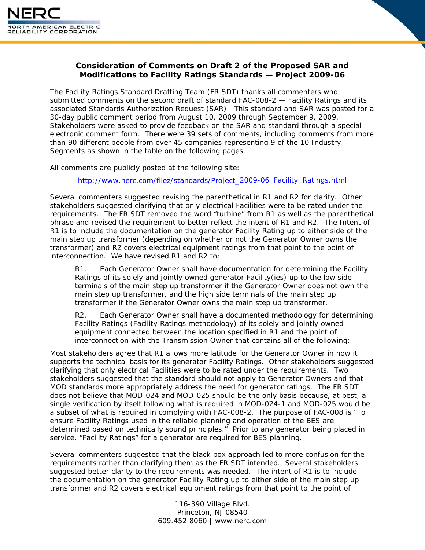

## **Consideration of Comments on Draft 2 of the Proposed SAR and Modifications to Facility Ratings Standards — Project 2009-06**

The Facility Ratings Standard Drafting Team (FR SDT) thanks all commenters who submitted comments on the second draft of standard FAC-008-2 — Facility Ratings and its associated Standards Authorization Request (SAR). This standard and SAR was posted for a 30-day public comment period from August 10, 2009 through September 9, 2009. Stakeholders were asked to provide feedback on the SAR and standard through a special electronic comment form. There were 39 sets of comments, including comments from more than 90 different people from over 45 companies representing 9 of the 10 Industry Segments as shown in the table on the following pages.

All comments are publicly posted at the following site:

[http://www.nerc.com/filez/standards/Project\\_2009-06\\_Facility\\_Ratings.html](http://www.nerc.com/filez/standards/Project_2009-06_Facility_Ratings.html)

Several commenters suggested revising the parenthetical in R1 and R2 for clarity. Other stakeholders suggested clarifying that only electrical Facilities were to be rated under the requirements. The FR SDT removed the word "turbine" from R1 as well as the parenthetical phrase and revised the requirement to better reflect the intent of R1 and R2. The Intent of R1 is to include the documentation on the generator Facility Rating up to either side of the main step up transformer (depending on whether or not the Generator Owner owns the transformer) and R2 covers electrical equipment ratings from that point to the point of interconnection. We have revised R1 and R2 to:

R1. Each Generator Owner shall have documentation for determining the Facility Ratings of its solely and jointly owned generator Facility(ies) up to the low side terminals of the main step up transformer if the Generator Owner does not own the main step up transformer, and the high side terminals of the main step up transformer if the Generator Owner owns the main step up transformer.

R2. Each Generator Owner shall have a documented methodology for determining Facility Ratings (Facility Ratings methodology) of its solely and jointly owned equipment connected between the location specified in R1 and the point of interconnection with the Transmission Owner that contains all of the following:

Most stakeholders agree that R1 allows more latitude for the Generator Owner in how it supports the technical basis for its generator Facility Ratings. Other stakeholders suggested clarifying that only electrical Facilities were to be rated under the requirements. Two stakeholders suggested that the standard should not apply to Generator Owners and that MOD standards more appropriately address the need for generator ratings. The FR SDT does not believe that MOD-024 and MOD-025 should be the only basis because, at best, a single verification by itself following what is required in MOD-024-1 and MOD-025 would be a subset of what is required in complying with FAC-008-2. The purpose of FAC-008 is "To ensure Facility Ratings used in the reliable planning and operation of the BES are determined based on technically sound principles." Prior to any generator being placed in service, "Facility Ratings" for a generator are required for BES planning.

Several commenters suggested that the black box approach led to more confusion for the requirements rather than clarifying them as the FR SDT intended. Several stakeholders suggested better clarity to the requirements was needed. The intent of R1 is to include the documentation on the generator Facility Rating up to either side of the main step up transformer and R2 covers electrical equipment ratings from that point to the point of

> 116-390 Village Blvd. Princeton, NJ 08540 609.452.8060 | www.nerc.com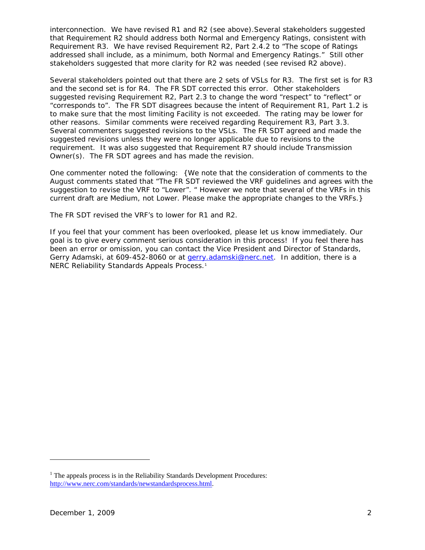interconnection. We have revised R1 and R2 (see above).Several stakeholders suggested that Requirement R2 should address both Normal and Emergency Ratings, consistent with Requirement R3. We have revised Requirement R2, Part 2.4.2 to "The scope of Ratings addressed shall include, as a minimum, both Normal and Emergency Ratings." Still other stakeholders suggested that more clarity for R2 was needed (see revised R2 above).

Several stakeholders pointed out that there are 2 sets of VSLs for R3. The first set is for R3 and the second set is for R4. The FR SDT corrected this error. Other stakeholders suggested revising Requirement R2, Part 2.3 to change the word "respect" to "reflect" or "corresponds to". The FR SDT disagrees because the intent of Requirement R1, Part 1.2 is to make sure that the most limiting Facility is not exceeded. The rating may be lower for other reasons. Similar comments were received regarding Requirement R3, Part 3.3. Several commenters suggested revisions to the VSLs. The FR SDT agreed and made the suggested revisions unless they were no longer applicable due to revisions to the requirement. It was also suggested that Requirement R7 should include Transmission Owner(s). The FR SDT agrees and has made the revision.

One commenter noted the following: {We note that the consideration of comments to the August comments stated that "The FR SDT reviewed the VRF guidelines and agrees with the suggestion to revise the VRF to "Lower". " However we note that several of the VRFs in this current draft are Medium, not Lower. Please make the appropriate changes to the VRFs.}

The FR SDT revised the VRF's to lower for R1 and R2.

If you feel that your comment has been overlooked, please let us know immediately. Our goal is to give every comment serious consideration in this process! If you feel there has been an error or omission, you can contact the Vice President and Director of Standards, Gerry Adamski, at 609-452-8060 or at [gerry.adamski@nerc.net](mailto:gerry.adamski@nerc.net). In addition, there is a NERC Reliability Standards Appeals Process.<sup>[1](#page-1-0)</sup>

 $\overline{a}$ 

<span id="page-1-0"></span><sup>&</sup>lt;sup>1</sup> The appeals process is in the Reliability Standards Development Procedures: http://www.nerc.com/standards/newstandardsprocess.html.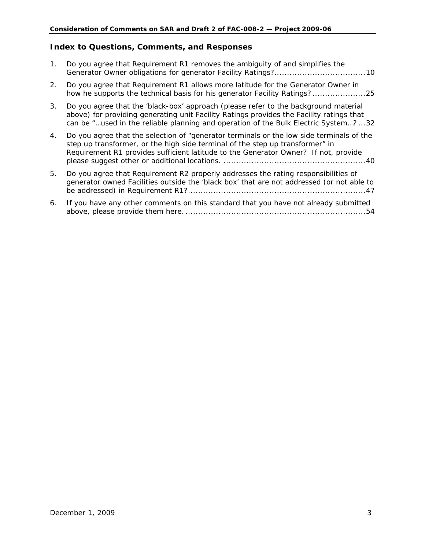# **Index to Questions, Comments, and Responses**

| 1.             | Do you agree that Requirement R1 removes the ambiguity of and simplifies the                                                                                                                                                                                          |
|----------------|-----------------------------------------------------------------------------------------------------------------------------------------------------------------------------------------------------------------------------------------------------------------------|
| 2.             | Do you agree that Requirement R1 allows more latitude for the Generator Owner in<br>how he supports the technical basis for his generator Facility Ratings?                                                                                                           |
| 3 <sub>1</sub> | Do you agree that the 'black-box' approach (please refer to the background material<br>above) for providing generating unit Facility Ratings provides the Facility ratings that<br>can be "used in the reliable planning and operation of the Bulk Electric System?32 |
| 4.             | Do you agree that the selection of "generator terminals or the low side terminals of the<br>step up transformer, or the high side terminal of the step up transformer" in<br>Requirement R1 provides sufficient latitude to the Generator Owner? If not, provide      |
| 5.             | Do you agree that Requirement R2 properly addresses the rating responsibilities of<br>generator owned Facilities outside the 'black box' that are not addressed (or not able to                                                                                       |
| 6.             | If you have any other comments on this standard that you have not already submitted<br>.54                                                                                                                                                                            |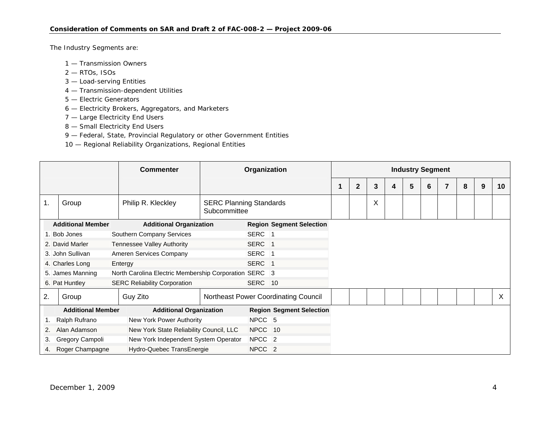The Industry Segments are:

- 1 Transmission Owners
- 2 RTOs, ISOs
- 3 Load-serving Entities
- 4 Transmission-dependent Utilities
- 5 Electric Generators
- 6 Electricity Brokers, Aggregators, and Marketers
- 7 Large Electricity End Users
- 8 Small Electricity End Users
- 9 Federal, State, Provincial Regulatory or other Government Entities
- 10 Regional Reliability Organizations, Regional Entities

|                                                            |                                                         |                            | <b>Commenter</b>                                      | Organization                    |                                                |                                      |  | <b>Industry Segment</b> |   |   |   |   |  |   |   |    |  |
|------------------------------------------------------------|---------------------------------------------------------|----------------------------|-------------------------------------------------------|---------------------------------|------------------------------------------------|--------------------------------------|--|-------------------------|---|---|---|---|--|---|---|----|--|
|                                                            |                                                         |                            |                                                       |                                 |                                                |                                      |  | $\overline{2}$          | 3 | 4 | 5 | 6 |  | 8 | 9 | 10 |  |
| 1.                                                         | Group                                                   |                            | Philip R. Kleckley                                    |                                 | <b>SERC Planning Standards</b><br>Subcommittee |                                      |  |                         | Χ |   |   |   |  |   |   |    |  |
| <b>Additional Member</b><br><b>Additional Organization</b> |                                                         |                            |                                                       |                                 | <b>Region Segment Selection</b>                |                                      |  |                         |   |   |   |   |  |   |   |    |  |
|                                                            | 1. Bob Jones                                            |                            | Southern Company Services                             |                                 | SERC <sub>1</sub>                              |                                      |  |                         |   |   |   |   |  |   |   |    |  |
|                                                            | 2. David Marler                                         | Tennessee Valley Authority |                                                       |                                 | SERC 1                                         |                                      |  |                         |   |   |   |   |  |   |   |    |  |
|                                                            | 3. John Sullivan<br>Ameren Services Company             |                            |                                                       |                                 | SERC 1                                         |                                      |  |                         |   |   |   |   |  |   |   |    |  |
|                                                            | 4. Charles Long                                         |                            | Entergy                                               |                                 | SERC 1                                         |                                      |  |                         |   |   |   |   |  |   |   |    |  |
|                                                            | 5. James Manning                                        |                            | North Carolina Electric Membership Corporation SERC 3 |                                 |                                                |                                      |  |                         |   |   |   |   |  |   |   |    |  |
|                                                            | 6. Pat Huntley                                          |                            | <b>SERC Reliability Corporation</b>                   |                                 | SERC 10                                        |                                      |  |                         |   |   |   |   |  |   |   |    |  |
| 2.                                                         | Group                                                   |                            | Guy Zito                                              |                                 |                                                | Northeast Power Coordinating Council |  |                         |   |   |   |   |  |   |   | X  |  |
|                                                            | <b>Additional Member</b>                                |                            | <b>Additional Organization</b>                        | <b>Region Segment Selection</b> |                                                |                                      |  |                         |   |   |   |   |  |   |   |    |  |
| 1.                                                         | Ralph Rufrano                                           |                            | New York Power Authority                              |                                 | NPCC <sub>5</sub>                              |                                      |  |                         |   |   |   |   |  |   |   |    |  |
| 2.                                                         | New York State Reliability Council, LLC<br>Alan Adamson |                            | NPCC 10                                               |                                 |                                                |                                      |  |                         |   |   |   |   |  |   |   |    |  |
| 3.                                                         | Gregory Campoli<br>New York Independent System Operator |                            |                                                       | NPCC <sub>2</sub>               |                                                |                                      |  |                         |   |   |   |   |  |   |   |    |  |
| 4.                                                         | Hydro-Quebec TransEnergie<br>Roger Champagne            |                            |                                                       |                                 | NPCC <sub>2</sub>                              |                                      |  |                         |   |   |   |   |  |   |   |    |  |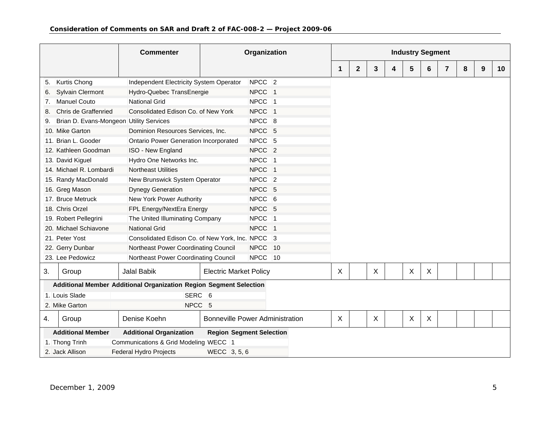|    |                                         | <b>Commenter</b>                                                   | Organization                           |                   |                |   |              |   | <b>Industry Segment</b> |                           |   |   |   |   |    |
|----|-----------------------------------------|--------------------------------------------------------------------|----------------------------------------|-------------------|----------------|---|--------------|---|-------------------------|---------------------------|---|---|---|---|----|
|    |                                         |                                                                    |                                        |                   |                | 1 | $\mathbf{2}$ | 3 | 4                       | 5                         | 6 | 7 | 8 | 9 | 10 |
| 5. | Kurtis Chong                            | Independent Electricity System Operator                            |                                        | NPCC <sub>2</sub> |                |   |              |   |                         |                           |   |   |   |   |    |
| 6. | <b>Sylvain Clermont</b>                 | Hydro-Quebec TransEnergie                                          |                                        | NPCC <sub>1</sub> |                |   |              |   |                         |                           |   |   |   |   |    |
| 7. | <b>Manuel Couto</b>                     | <b>National Grid</b>                                               |                                        | NPCC <sub>1</sub> |                |   |              |   |                         |                           |   |   |   |   |    |
|    | Chris de Graffenried                    | Consolidated Edison Co. of New York                                |                                        | <b>NPCC</b>       | $\overline{1}$ |   |              |   |                         |                           |   |   |   |   |    |
| 9. | Brian D. Evans-Mongeon Utility Services |                                                                    |                                        | NPCC <sub>8</sub> |                |   |              |   |                         |                           |   |   |   |   |    |
|    | 10. Mike Garton                         | Dominion Resources Services, Inc.                                  |                                        | NPCC 5            |                |   |              |   |                         |                           |   |   |   |   |    |
|    | 11. Brian L. Gooder                     | Ontario Power Generation Incorporated                              |                                        | NPCC 5            |                |   |              |   |                         |                           |   |   |   |   |    |
|    | 12. Kathleen Goodman                    | ISO - New England                                                  |                                        | NPCC <sub>2</sub> |                |   |              |   |                         |                           |   |   |   |   |    |
|    | 13. David Kiguel                        | Hydro One Networks Inc.                                            |                                        | NPCC <sub>1</sub> |                |   |              |   |                         |                           |   |   |   |   |    |
|    | 14. Michael R. Lombardi                 | Northeast Utilities                                                |                                        | NPCC <sub>1</sub> |                |   |              |   |                         |                           |   |   |   |   |    |
|    | 15. Randy MacDonald                     | New Brunswick System Operator                                      |                                        | NPCC <sub>2</sub> |                |   |              |   |                         |                           |   |   |   |   |    |
|    | 16. Greg Mason                          | <b>Dynegy Generation</b>                                           |                                        | NPCC <sub>5</sub> |                |   |              |   |                         |                           |   |   |   |   |    |
|    | 17. Bruce Metruck                       | New York Power Authority                                           |                                        | NPCC <sub>6</sub> |                |   |              |   |                         |                           |   |   |   |   |    |
|    | 18. Chris Orzel                         | FPL Energy/NextEra Energy                                          |                                        | NPCC 5            |                |   |              |   |                         |                           |   |   |   |   |    |
|    | 19. Robert Pellegrini                   | The United Illuminating Company                                    |                                        | NPCC <sub>1</sub> |                |   |              |   |                         |                           |   |   |   |   |    |
|    | 20. Michael Schiavone                   | <b>National Grid</b>                                               |                                        | NPCC <sub>1</sub> |                |   |              |   |                         |                           |   |   |   |   |    |
|    | 21. Peter Yost                          | Consolidated Edison Co. of New York, Inc. NPCC 3                   |                                        |                   |                |   |              |   |                         |                           |   |   |   |   |    |
|    | 22. Gerry Dunbar                        | Northeast Power Coordinating Council                               |                                        | <b>NPCC</b>       | 10             |   |              |   |                         |                           |   |   |   |   |    |
|    | 23. Lee Pedowicz                        | Northeast Power Coordinating Council                               |                                        | <b>NPCC</b>       | 10             |   |              |   |                         |                           |   |   |   |   |    |
| 3. | Group                                   | <b>Jalal Babik</b>                                                 | <b>Electric Market Policy</b>          |                   |                | X |              | X |                         | X                         | X |   |   |   |    |
|    |                                         | Additional Member Additional Organization Region Segment Selection |                                        |                   |                |   |              |   |                         |                           |   |   |   |   |    |
|    | 1. Louis Slade                          | SERC <sub>6</sub>                                                  |                                        |                   |                |   |              |   |                         |                           |   |   |   |   |    |
|    | 2. Mike Garton                          | NPCC <sub>5</sub>                                                  |                                        |                   |                |   |              |   |                         |                           |   |   |   |   |    |
| 4. | Group                                   | Denise Koehn                                                       | <b>Bonneville Power Administration</b> |                   |                | X |              | X |                         | $\boldsymbol{\mathsf{X}}$ | X |   |   |   |    |
|    | <b>Additional Member</b>                | <b>Additional Organization</b>                                     | <b>Region Segment Selection</b>        |                   |                |   |              |   |                         |                           |   |   |   |   |    |
|    | 1. Thong Trinh                          | Communications & Grid Modeling WECC 1                              |                                        |                   |                |   |              |   |                         |                           |   |   |   |   |    |
|    | 2. Jack Allison                         | Federal Hydro Projects                                             | WECC 3, 5, 6                           |                   |                |   |              |   |                         |                           |   |   |   |   |    |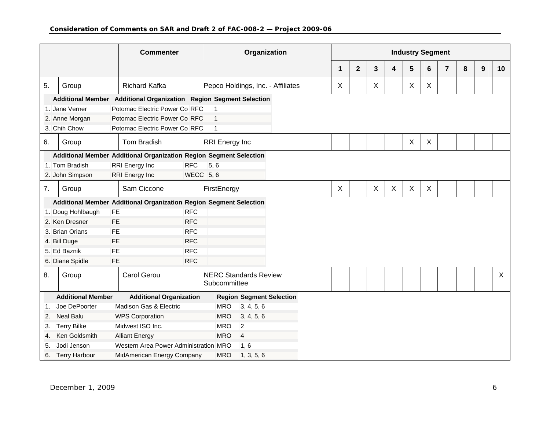|    |                          | <b>Commenter</b>                                                   | Organization                                 |                      |              |   |   | <b>Industry Segment</b> |   |                |   |   |    |
|----|--------------------------|--------------------------------------------------------------------|----------------------------------------------|----------------------|--------------|---|---|-------------------------|---|----------------|---|---|----|
|    |                          |                                                                    |                                              | $\blacktriangleleft$ | $\mathbf{2}$ | 3 | 4 | 5                       | 6 | $\overline{7}$ | 8 | 9 | 10 |
| 5. | Group                    | <b>Richard Kafka</b>                                               | Pepco Holdings, Inc. - Affiliates            | $\pmb{\times}$       |              | X |   | X                       | X |                |   |   |    |
|    |                          | Additional Member Additional Organization Region Segment Selection |                                              |                      |              |   |   |                         |   |                |   |   |    |
|    | 1. Jane Verner           | Potomac Electric Power Co RFC                                      | $\vert$ 1                                    |                      |              |   |   |                         |   |                |   |   |    |
|    | 2. Anne Morgan           | Potomac Electric Power Co RFC                                      | $\overline{1}$                               |                      |              |   |   |                         |   |                |   |   |    |
|    | 3. Chih Chow             | Potomac Electric Power Co RFC                                      | $\vert$ 1                                    |                      |              |   |   |                         |   |                |   |   |    |
| 6. | Group                    | Tom Bradish                                                        | <b>RRI</b> Energy Inc                        |                      |              |   |   | X                       | X |                |   |   |    |
|    |                          | Additional Member Additional Organization Region Segment Selection |                                              |                      |              |   |   |                         |   |                |   |   |    |
|    | 1. Tom Bradish           | <b>RRI</b> Energy Inc<br><b>RFC</b>                                | 5, 6                                         |                      |              |   |   |                         |   |                |   |   |    |
|    | 2. John Simpson          | <b>RRI Energy Inc</b>                                              | <b>WECC</b> 5, 6                             |                      |              |   |   |                         |   |                |   |   |    |
| 7. | Group                    | Sam Ciccone                                                        | FirstEnergy                                  | $\times$             |              | X | X | X                       | X |                |   |   |    |
|    |                          | Additional Member Additional Organization Region Segment Selection |                                              |                      |              |   |   |                         |   |                |   |   |    |
|    | 1. Doug Hohlbaugh        | <b>RFC</b><br><b>FE</b>                                            |                                              |                      |              |   |   |                         |   |                |   |   |    |
|    | 2. Ken Dresner           | <b>RFC</b><br><b>FE</b>                                            |                                              |                      |              |   |   |                         |   |                |   |   |    |
|    | 3. Brian Orians          | FE<br><b>RFC</b>                                                   |                                              |                      |              |   |   |                         |   |                |   |   |    |
|    | 4. Bill Duge             | <b>RFC</b><br><b>FE</b>                                            |                                              |                      |              |   |   |                         |   |                |   |   |    |
|    | 5. Ed Baznik             | <b>RFC</b><br><b>FE</b>                                            |                                              |                      |              |   |   |                         |   |                |   |   |    |
|    | 6. Diane Spidle          | <b>RFC</b><br><b>FE</b>                                            |                                              |                      |              |   |   |                         |   |                |   |   |    |
| 8. | Group                    | Carol Gerou                                                        | <b>NERC Standards Review</b><br>Subcommittee |                      |              |   |   |                         |   |                |   |   | X  |
|    | <b>Additional Member</b> | <b>Additional Organization</b>                                     | <b>Region Segment Selection</b>              |                      |              |   |   |                         |   |                |   |   |    |
| 1. | Joe DePoorter            | Madison Gas & Electric                                             | <b>MRO</b><br>3, 4, 5, 6                     |                      |              |   |   |                         |   |                |   |   |    |
| 2. | <b>Neal Balu</b>         | <b>WPS Corporation</b>                                             | <b>MRO</b><br>3, 4, 5, 6                     |                      |              |   |   |                         |   |                |   |   |    |
| 3. | <b>Terry Bilke</b>       | Midwest ISO Inc.                                                   | <b>MRO</b><br>$\overline{2}$                 |                      |              |   |   |                         |   |                |   |   |    |
| 4. | Ken Goldsmith            | <b>Alliant Energy</b>                                              | <b>MRO</b><br>$\overline{4}$                 |                      |              |   |   |                         |   |                |   |   |    |
| 5. | Jodi Jenson              | Western Area Power Administration MRO                              | 1, 6                                         |                      |              |   |   |                         |   |                |   |   |    |
| 6. | <b>Terry Harbour</b>     | MidAmerican Energy Company                                         | <b>MRO</b><br>1, 3, 5, 6                     |                      |              |   |   |                         |   |                |   |   |    |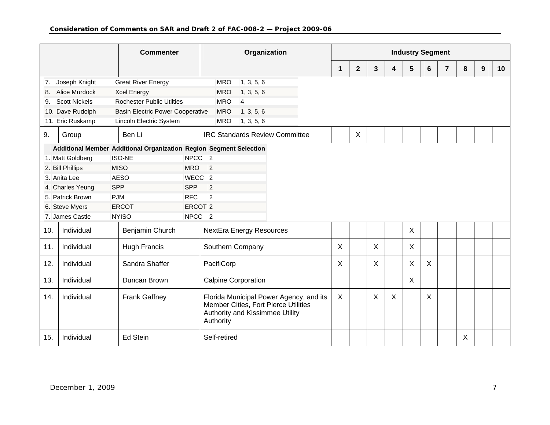|     |                      |                          | <b>Commenter</b>                        |                                                                    | Organization                                 |                |                                                                                 |   |                           |   |                           | <b>Industry Segment</b> |   |   |   |   |                 |
|-----|----------------------|--------------------------|-----------------------------------------|--------------------------------------------------------------------|----------------------------------------------|----------------|---------------------------------------------------------------------------------|---|---------------------------|---|---------------------------|-------------------------|---|---|---|---|-----------------|
|     |                      |                          |                                         |                                                                    |                                              |                |                                                                                 | 1 | $\mathbf{2}$              | 3 | 4                         | 5                       | 6 | 7 | 8 | 9 | 10 <sup>°</sup> |
| 7.  | Joseph Knight        |                          | <b>Great River Energy</b>               |                                                                    | <b>MRO</b>                                   | 1, 3, 5, 6     |                                                                                 |   |                           |   |                           |                         |   |   |   |   |                 |
| 8.  | <b>Alice Murdock</b> |                          | <b>Xcel Energy</b>                      |                                                                    | <b>MRO</b>                                   | 1, 3, 5, 6     |                                                                                 |   |                           |   |                           |                         |   |   |   |   |                 |
| 9.  | <b>Scott Nickels</b> |                          | <b>Rochester Public Utilties</b>        |                                                                    | <b>MRO</b>                                   | $\overline{4}$ |                                                                                 |   |                           |   |                           |                         |   |   |   |   |                 |
|     | 10. Dave Rudolph     |                          | <b>Basin Electric Power Cooperative</b> |                                                                    | <b>MRO</b>                                   | 1, 3, 5, 6     |                                                                                 |   |                           |   |                           |                         |   |   |   |   |                 |
|     | 11. Eric Ruskamp     |                          | Lincoln Electric System                 |                                                                    | <b>MRO</b>                                   | 1, 3, 5, 6     |                                                                                 |   |                           |   |                           |                         |   |   |   |   |                 |
| 9.  | Group                |                          | Ben Li                                  |                                                                    |                                              |                | <b>IRC Standards Review Committee</b>                                           |   | $\boldsymbol{\mathsf{X}}$ |   |                           |                         |   |   |   |   |                 |
|     |                      |                          |                                         | Additional Member Additional Organization Region Segment Selection |                                              |                |                                                                                 |   |                           |   |                           |                         |   |   |   |   |                 |
|     | 1. Matt Goldberg     |                          | <b>ISO-NE</b>                           | NPCC <sub>2</sub>                                                  |                                              |                |                                                                                 |   |                           |   |                           |                         |   |   |   |   |                 |
|     | 2. Bill Phillips     |                          | <b>MISO</b>                             | <b>MRO</b>                                                         | $\overline{2}$                               |                |                                                                                 |   |                           |   |                           |                         |   |   |   |   |                 |
|     | 3. Anita Lee         |                          | <b>AESO</b>                             | WECC <sub>2</sub>                                                  |                                              |                |                                                                                 |   |                           |   |                           |                         |   |   |   |   |                 |
|     | 4. Charles Yeung     | <b>SPP</b><br><b>SPP</b> |                                         |                                                                    | 2                                            |                |                                                                                 |   |                           |   |                           |                         |   |   |   |   |                 |
|     | 5. Patrick Brown     | <b>PJM</b>               |                                         | <b>RFC</b>                                                         | $\overline{2}$                               |                |                                                                                 |   |                           |   |                           |                         |   |   |   |   |                 |
|     | 6. Steve Myers       |                          | <b>ERCOT</b>                            | ERCOT <sub>2</sub>                                                 |                                              |                |                                                                                 |   |                           |   |                           |                         |   |   |   |   |                 |
|     | 7. James Castle      |                          | <b>NYISO</b>                            | NPCC <sub>2</sub>                                                  |                                              |                |                                                                                 |   |                           |   |                           |                         |   |   |   |   |                 |
| 10. | Individual           |                          | Benjamin Church                         |                                                                    | <b>NextEra Energy Resources</b>              |                |                                                                                 |   |                           |   |                           | X                       |   |   |   |   |                 |
| 11. | Individual           |                          | <b>Hugh Francis</b>                     |                                                                    | Southern Company                             |                |                                                                                 | X |                           | X |                           | X                       |   |   |   |   |                 |
| 12. | Individual           |                          | Sandra Shaffer                          |                                                                    | PacifiCorp                                   |                |                                                                                 | X |                           | X |                           | X                       | X |   |   |   |                 |
| 13. | Individual           |                          | Duncan Brown                            |                                                                    | <b>Calpine Corporation</b>                   |                |                                                                                 |   |                           |   |                           | $\times$                |   |   |   |   |                 |
| 14. | Individual           |                          | <b>Frank Gaffney</b>                    |                                                                    | Authority and Kissimmee Utility<br>Authority |                | Florida Municipal Power Agency, and its<br>Member Cities, Fort Pierce Utilities | X |                           | X | $\boldsymbol{\mathsf{X}}$ |                         | X |   |   |   |                 |
| 15. | Individual           |                          | <b>Ed Stein</b>                         |                                                                    | Self-retired                                 |                |                                                                                 |   |                           |   |                           |                         |   |   | X |   |                 |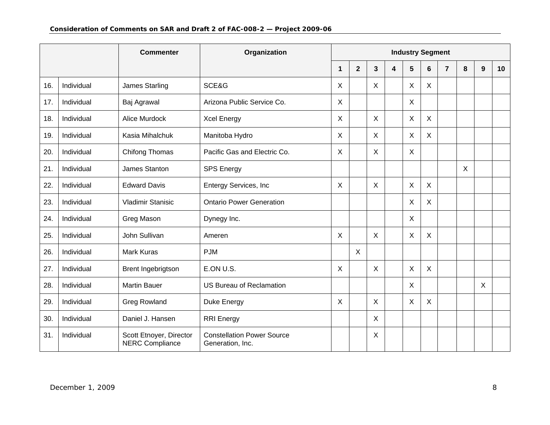|     |            | <b>Commenter</b><br>Organization                  |                                                       |          |              |   |   | <b>Industry Segment</b> |   |                |    |   |    |
|-----|------------|---------------------------------------------------|-------------------------------------------------------|----------|--------------|---|---|-------------------------|---|----------------|----|---|----|
|     |            |                                                   |                                                       | 1        | $\mathbf{2}$ | 3 | 4 | $5\phantom{.0}$         | 6 | $\overline{7}$ | 8  | 9 | 10 |
| 16. | Individual | James Starling                                    | SCE&G                                                 | X        |              | X |   | X                       | X |                |    |   |    |
| 17. | Individual | Baj Agrawal                                       | Arizona Public Service Co.                            | X        |              |   |   | X                       |   |                |    |   |    |
| 18. | Individual | Alice Murdock                                     | <b>Xcel Energy</b>                                    | $\times$ |              | X |   | X                       | X |                |    |   |    |
| 19. | Individual | Kasia Mihalchuk                                   | Manitoba Hydro                                        | X        |              | X |   | X                       | X |                |    |   |    |
| 20. | Individual | Chifong Thomas                                    | Pacific Gas and Electric Co.                          | $\times$ |              | X |   | X                       |   |                |    |   |    |
| 21. | Individual | James Stanton                                     | <b>SPS Energy</b>                                     |          |              |   |   |                         |   |                | X. |   |    |
| 22. | Individual | <b>Edward Davis</b>                               | Entergy Services, Inc                                 | $\times$ |              | Χ |   | X                       | X |                |    |   |    |
| 23. | Individual | <b>Vladimir Stanisic</b>                          | <b>Ontario Power Generation</b>                       |          |              |   |   | X                       | X |                |    |   |    |
| 24. | Individual | Greg Mason                                        | Dynegy Inc.                                           |          |              |   |   | $\mathsf{X}$            |   |                |    |   |    |
| 25. | Individual | <b>John Sullivan</b>                              | Ameren                                                | X        |              | X |   | X                       | X |                |    |   |    |
| 26. | Individual | <b>Mark Kuras</b>                                 | <b>PJM</b>                                            |          | $\sf X$      |   |   |                         |   |                |    |   |    |
| 27. | Individual | Brent Ingebrigtson                                | E.ON U.S.                                             | X        |              | X |   | X                       | X |                |    |   |    |
| 28. | Individual | <b>Martin Bauer</b>                               | <b>US Bureau of Reclamation</b>                       |          |              |   |   | X                       |   |                |    | X |    |
| 29. | Individual | <b>Greg Rowland</b>                               | Duke Energy                                           | X        |              | X |   | X                       | X |                |    |   |    |
| 30. | Individual | Daniel J. Hansen                                  | <b>RRI</b> Energy                                     |          |              | X |   |                         |   |                |    |   |    |
| 31. | Individual | Scott Etnoyer, Director<br><b>NERC Compliance</b> | <b>Constellation Power Source</b><br>Generation, Inc. |          |              | X |   |                         |   |                |    |   |    |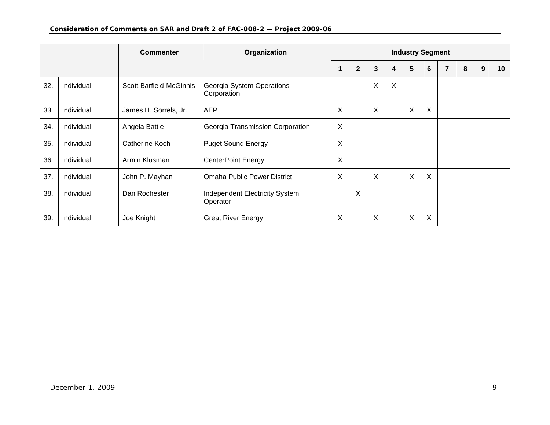| <b>Commenter</b> |            |                         | Organization                               | <b>Industry Segment</b> |                |   |   |         |   |  |   |   |                 |
|------------------|------------|-------------------------|--------------------------------------------|-------------------------|----------------|---|---|---------|---|--|---|---|-----------------|
|                  |            |                         |                                            |                         | $\overline{2}$ | 3 | 4 | 5       | 6 |  | 8 | 9 | 10 <sup>°</sup> |
| 32.              | Individual | Scott Barfield-McGinnis | Georgia System Operations<br>Corporation   |                         |                | X | X |         |   |  |   |   |                 |
| 33.              | Individual | James H. Sorrels, Jr.   | <b>AEP</b>                                 | X                       |                | X |   | $\sf X$ | X |  |   |   |                 |
| 34.              | Individual | Angela Battle           | Georgia Transmission Corporation           | X                       |                |   |   |         |   |  |   |   |                 |
| 35.              | Individual | Catherine Koch          | <b>Puget Sound Energy</b>                  | X                       |                |   |   |         |   |  |   |   |                 |
| 36.              | Individual | Armin Klusman           | <b>CenterPoint Energy</b>                  | X                       |                |   |   |         |   |  |   |   |                 |
| 37.              | Individual | John P. Mayhan          | <b>Omaha Public Power District</b>         | X                       |                | X |   | X       | X |  |   |   |                 |
| 38.              | Individual | Dan Rochester           | Independent Electricity System<br>Operator |                         | X              |   |   |         |   |  |   |   |                 |
| 39.              | Individual | Joe Knight              | <b>Great River Energy</b>                  | X                       |                | Χ |   | X       | X |  |   |   |                 |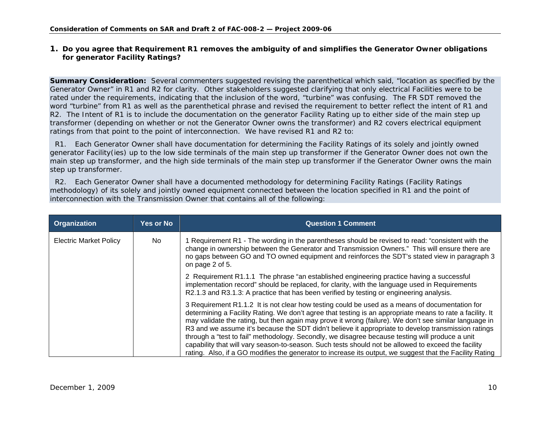#### **1. Do you agree that Requirement R1 removes the ambiguity of and simplifies the Generator Owner obligations for generator Facility Ratings?**

**Summary Consideration:** Several commenters suggested revising the parenthetical which said, "location as specified by the Generator Owner" in R1 and R2 for clarity. Other stakeholders suggested clarifying that only electrical Facilities were to be rated under the requirements, indicating that the inclusion of the word, "turbine" was confusing. The FR SDT removed the word "turbine" from R1 as well as the parenthetical phrase and revised the requirement to better reflect the intent of R1 and R2. The Intent of R1 is to include the documentation on the generator Facility Rating up to either side of the main step up transformer (depending on whether or not the Generator Owner owns the transformer) and R2 covers electrical equipment ratings from that point to the point of interconnection. We have revised R1 and R2 to:

 R1. Each Generator Owner shall have documentation for determining the Facility Ratings of its solely and jointly owned generator Facility(ies) up to the low side terminals of the main step up transformer if the Generator Owner does not own the main step up transformer, and the high side terminals of the main step up transformer if the Generator Owner owns the main step up transformer.

<span id="page-9-0"></span>

| Organization                  | <b>Yes or No</b> | <b>Question 1 Comment</b>                                                                                                                                                                                                                                                                                                                                                                                                                                                                                                                                                                                                                                                                                                                          |
|-------------------------------|------------------|----------------------------------------------------------------------------------------------------------------------------------------------------------------------------------------------------------------------------------------------------------------------------------------------------------------------------------------------------------------------------------------------------------------------------------------------------------------------------------------------------------------------------------------------------------------------------------------------------------------------------------------------------------------------------------------------------------------------------------------------------|
| <b>Electric Market Policy</b> | No.              | Requirement R1 - The wording in the parentheses should be revised to read: "consistent with the<br>change in ownership between the Generator and Transmission Owners." This will ensure there are<br>no gaps between GO and TO owned equipment and reinforces the SDT's stated view in paragraph 3<br>on page 2 of 5.                                                                                                                                                                                                                                                                                                                                                                                                                              |
|                               |                  | 2 Requirement R1.1.1 The phrase "an established engineering practice having a successful<br>implementation record" should be replaced, for clarity, with the language used in Requirements<br>R2.1.3 and R3.1.3: A practice that has been verified by testing or engineering analysis.                                                                                                                                                                                                                                                                                                                                                                                                                                                             |
|                               |                  | 3 Requirement R1.1.2 It is not clear how testing could be used as a means of documentation for<br>determining a Facility Rating. We don't agree that testing is an appropriate means to rate a facility. It<br>may validate the rating, but then again may prove it wrong (failure). We don't see similar language in<br>R3 and we assume it's because the SDT didn't believe it appropriate to develop transmission ratings<br>through a "test to fail" methodology. Secondly, we disagree because testing will produce a unit<br>capability that will vary season-to-season. Such tests should not be allowed to exceed the facility<br>rating. Also, if a GO modifies the generator to increase its output, we suggest that the Facility Rating |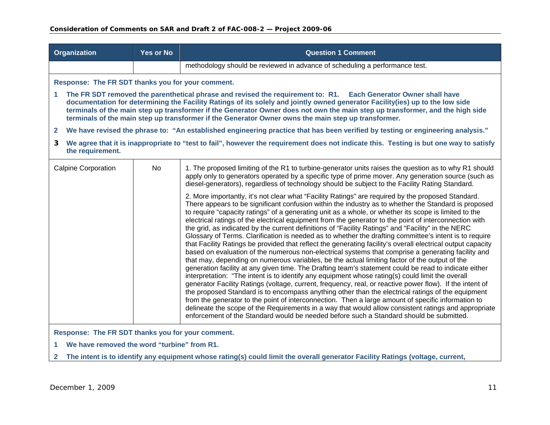|              | <b>Organization</b>                                                                                                                                        | <b>Yes or No</b> | <b>Question 1 Comment</b>                                                                                                                                                                                                                                                                                                                                                                                                                                                                                                                                                                                                                                                                                                                                                                                                                                                                                                                                                                                                                                                                                                                                                                                                                                                                                                                                                                                                                                                                                                                                                                                                                                                                                  |  |  |  |  |  |
|--------------|------------------------------------------------------------------------------------------------------------------------------------------------------------|------------------|------------------------------------------------------------------------------------------------------------------------------------------------------------------------------------------------------------------------------------------------------------------------------------------------------------------------------------------------------------------------------------------------------------------------------------------------------------------------------------------------------------------------------------------------------------------------------------------------------------------------------------------------------------------------------------------------------------------------------------------------------------------------------------------------------------------------------------------------------------------------------------------------------------------------------------------------------------------------------------------------------------------------------------------------------------------------------------------------------------------------------------------------------------------------------------------------------------------------------------------------------------------------------------------------------------------------------------------------------------------------------------------------------------------------------------------------------------------------------------------------------------------------------------------------------------------------------------------------------------------------------------------------------------------------------------------------------------|--|--|--|--|--|
|              |                                                                                                                                                            |                  | methodology should be reviewed in advance of scheduling a performance test.                                                                                                                                                                                                                                                                                                                                                                                                                                                                                                                                                                                                                                                                                                                                                                                                                                                                                                                                                                                                                                                                                                                                                                                                                                                                                                                                                                                                                                                                                                                                                                                                                                |  |  |  |  |  |
|              | Response: The FR SDT thanks you for your comment.                                                                                                          |                  |                                                                                                                                                                                                                                                                                                                                                                                                                                                                                                                                                                                                                                                                                                                                                                                                                                                                                                                                                                                                                                                                                                                                                                                                                                                                                                                                                                                                                                                                                                                                                                                                                                                                                                            |  |  |  |  |  |
| 1            |                                                                                                                                                            |                  | The FR SDT removed the parenthetical phrase and revised the requirement to: R1. Each Generator Owner shall have<br>documentation for determining the Facility Ratings of its solely and jointly owned generator Facility(ies) up to the low side<br>terminals of the main step up transformer if the Generator Owner does not own the main step up transformer, and the high side<br>terminals of the main step up transformer if the Generator Owner owns the main step up transformer.                                                                                                                                                                                                                                                                                                                                                                                                                                                                                                                                                                                                                                                                                                                                                                                                                                                                                                                                                                                                                                                                                                                                                                                                                   |  |  |  |  |  |
| $\mathbf{2}$ | We have revised the phrase to: "An established engineering practice that has been verified by testing or engineering analysis."                            |                  |                                                                                                                                                                                                                                                                                                                                                                                                                                                                                                                                                                                                                                                                                                                                                                                                                                                                                                                                                                                                                                                                                                                                                                                                                                                                                                                                                                                                                                                                                                                                                                                                                                                                                                            |  |  |  |  |  |
| 3            | We agree that it is inappropriate to "test to fail", however the requirement does not indicate this. Testing is but one way to satisfy<br>the requirement. |                  |                                                                                                                                                                                                                                                                                                                                                                                                                                                                                                                                                                                                                                                                                                                                                                                                                                                                                                                                                                                                                                                                                                                                                                                                                                                                                                                                                                                                                                                                                                                                                                                                                                                                                                            |  |  |  |  |  |
|              | <b>Calpine Corporation</b>                                                                                                                                 | No               | 1. The proposed limiting of the R1 to turbine-generator units raises the question as to why R1 should<br>apply only to generators operated by a specific type of prime mover. Any generation source (such as<br>diesel-generators), regardless of technology should be subject to the Facility Rating Standard.                                                                                                                                                                                                                                                                                                                                                                                                                                                                                                                                                                                                                                                                                                                                                                                                                                                                                                                                                                                                                                                                                                                                                                                                                                                                                                                                                                                            |  |  |  |  |  |
|              |                                                                                                                                                            |                  | 2. More importantly, it's not clear what "Facility Ratings" are required by the proposed Standard.<br>There appears to be significant confusion within the industry as to whether the Standard is proposed<br>to require "capacity ratings" of a generating unit as a whole, or whether its scope is limited to the<br>electrical ratings of the electrical equipment from the generator to the point of interconnection with<br>the grid, as indicated by the current definitions of "Facility Ratings" and "Facility" in the NERC<br>Glossary of Terms. Clarification is needed as to whether the drafting committee's intent is to require<br>that Facility Ratings be provided that reflect the generating facility's overall electrical output capacity<br>based on evaluation of the numerous non-electrical systems that comprise a generating facility and<br>that may, depending on numerous variables, be the actual limiting factor of the output of the<br>generation facility at any given time. The Drafting team's statement could be read to indicate either<br>interpretation: "The intent is to identify any equipment whose rating(s) could limit the overall<br>generator Facility Ratings (voltage, current, frequency, real, or reactive power flow). If the intent of<br>the proposed Standard is to encompass anything other than the electrical ratings of the equipment<br>from the generator to the point of interconnection. Then a large amount of specific information to<br>delineate the scope of the Requirements in a way that would allow consistent ratings and appropriate<br>enforcement of the Standard would be needed before such a Standard should be submitted. |  |  |  |  |  |

**Response: The FR SDT thanks you for your comment.** 

**1 We have removed the word "turbine" from R1.** 

**2 The intent is to identify any equipment whose rating(s) could limit the overall generator Facility Ratings (voltage, current,**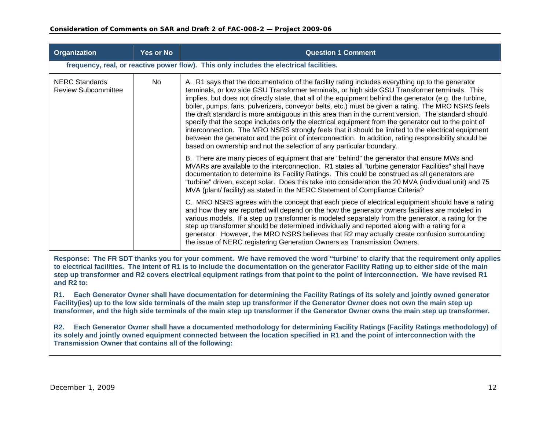| Organization                                        | <b>Yes or No</b> | <b>Question 1 Comment</b>                                                                                                                                                                                                                                                                                                                                                                                                                                                                                                                                                                                                                                                                                                                                                                                                                                                                                                                                                                                                                                                                                                                                                                                                                                                                                                                                                                                                                                                                                                                                                                                                                                                                                                                                                                                                                                                                                                                                                                                       |
|-----------------------------------------------------|------------------|-----------------------------------------------------------------------------------------------------------------------------------------------------------------------------------------------------------------------------------------------------------------------------------------------------------------------------------------------------------------------------------------------------------------------------------------------------------------------------------------------------------------------------------------------------------------------------------------------------------------------------------------------------------------------------------------------------------------------------------------------------------------------------------------------------------------------------------------------------------------------------------------------------------------------------------------------------------------------------------------------------------------------------------------------------------------------------------------------------------------------------------------------------------------------------------------------------------------------------------------------------------------------------------------------------------------------------------------------------------------------------------------------------------------------------------------------------------------------------------------------------------------------------------------------------------------------------------------------------------------------------------------------------------------------------------------------------------------------------------------------------------------------------------------------------------------------------------------------------------------------------------------------------------------------------------------------------------------------------------------------------------------|
|                                                     |                  | frequency, real, or reactive power flow). This only includes the electrical facilities.                                                                                                                                                                                                                                                                                                                                                                                                                                                                                                                                                                                                                                                                                                                                                                                                                                                                                                                                                                                                                                                                                                                                                                                                                                                                                                                                                                                                                                                                                                                                                                                                                                                                                                                                                                                                                                                                                                                         |
| <b>NERC Standards</b><br><b>Review Subcommittee</b> | No.              | A. R1 says that the documentation of the facility rating includes everything up to the generator<br>terminals, or low side GSU Transformer terminals, or high side GSU Transformer terminals. This<br>implies, but does not directly state, that all of the equipment behind the generator (e.g. the turbine,<br>boiler, pumps, fans, pulverizers, conveyor belts, etc.) must be given a rating. The MRO NSRS feels<br>the draft standard is more ambiguous in this area than in the current version. The standard should<br>specify that the scope includes only the electrical equipment from the generator out to the point of<br>interconnection. The MRO NSRS strongly feels that it should be limited to the electrical equipment<br>between the generator and the point of interconnection. In addition, rating responsibility should be<br>based on ownership and not the selection of any particular boundary.<br>B. There are many pieces of equipment that are "behind" the generator that ensure MWs and<br>MVARs are available to the interconnection. R1 states all "turbine generator Facilities" shall have<br>documentation to determine its Facility Ratings. This could be construed as all generators are<br>"turbine" driven, except solar. Does this take into consideration the 20 MVA (individual unit) and 75<br>MVA (plant/ facility) as stated in the NERC Statement of Compliance Criteria?<br>C. MRO NSRS agrees with the concept that each piece of electrical equipment should have a rating<br>and how they are reported will depend on the how the generator owners facilities are modeled in<br>various models. If a step up transformer is modeled separately from the generator, a rating for the<br>step up transformer should be determined individually and reported along with a rating for a<br>generator. However, the MRO NSRS believes that R2 may actually create confusion surrounding<br>the issue of NERC registering Generation Owners as Transmission Owners. |

**Response: The FR SDT thanks you for your comment. We have removed the word "turbine' to clarify that the requirement only applies to electrical facilities. The intent of R1 is to include the documentation on the generator Facility Rating up to either side of the main step up transformer and R2 covers electrical equipment ratings from that point to the point of interconnection. We have revised R1 and R2 to:** 

**R1. Each Generator Owner shall have documentation for determining the Facility Ratings of its solely and jointly owned generator Facility(ies) up to the low side terminals of the main step up transformer if the Generator Owner does not own the main step up transformer, and the high side terminals of the main step up transformer if the Generator Owner owns the main step up transformer.**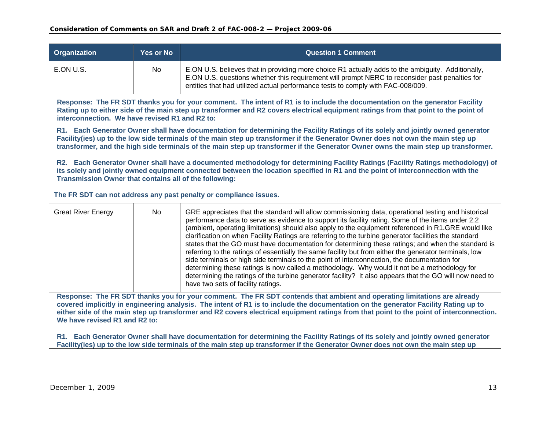| <b>Organization</b>                                                                                                                                                                                                                                                                                                                                                                                                                         | <b>Yes or No</b>                                                                                                                                                                                                                                                                                                             | <b>Question 1 Comment</b>                                                                                                                                                                                                                                                                                                                                                                                                                                                                                                                                                                                                                                                                                                                                                                                                                                                                                                                                                                 |  |  |  |  |  |  |  |  |  |
|---------------------------------------------------------------------------------------------------------------------------------------------------------------------------------------------------------------------------------------------------------------------------------------------------------------------------------------------------------------------------------------------------------------------------------------------|------------------------------------------------------------------------------------------------------------------------------------------------------------------------------------------------------------------------------------------------------------------------------------------------------------------------------|-------------------------------------------------------------------------------------------------------------------------------------------------------------------------------------------------------------------------------------------------------------------------------------------------------------------------------------------------------------------------------------------------------------------------------------------------------------------------------------------------------------------------------------------------------------------------------------------------------------------------------------------------------------------------------------------------------------------------------------------------------------------------------------------------------------------------------------------------------------------------------------------------------------------------------------------------------------------------------------------|--|--|--|--|--|--|--|--|--|
| E.ON U.S.                                                                                                                                                                                                                                                                                                                                                                                                                                   | No                                                                                                                                                                                                                                                                                                                           | E.ON U.S. believes that in providing more choice R1 actually adds to the ambiguity. Additionally,<br>E.ON U.S. questions whether this requirement will prompt NERC to reconsider past penalties for<br>entities that had utilized actual performance tests to comply with FAC-008/009.                                                                                                                                                                                                                                                                                                                                                                                                                                                                                                                                                                                                                                                                                                    |  |  |  |  |  |  |  |  |  |
|                                                                                                                                                                                                                                                                                                                                                                                                                                             | Response: The FR SDT thanks you for your comment. The intent of R1 is to include the documentation on the generator Facility<br>Rating up to either side of the main step up transformer and R2 covers electrical equipment ratings from that point to the point of<br>interconnection. We have revised R1 and R2 to:        |                                                                                                                                                                                                                                                                                                                                                                                                                                                                                                                                                                                                                                                                                                                                                                                                                                                                                                                                                                                           |  |  |  |  |  |  |  |  |  |
| R1. Each Generator Owner shall have documentation for determining the Facility Ratings of its solely and jointly owned generator<br>Facility(ies) up to the low side terminals of the main step up transformer if the Generator Owner does not own the main step up<br>transformer, and the high side terminals of the main step up transformer if the Generator Owner owns the main step up transformer.                                   |                                                                                                                                                                                                                                                                                                                              |                                                                                                                                                                                                                                                                                                                                                                                                                                                                                                                                                                                                                                                                                                                                                                                                                                                                                                                                                                                           |  |  |  |  |  |  |  |  |  |
|                                                                                                                                                                                                                                                                                                                                                                                                                                             | R2. Each Generator Owner shall have a documented methodology for determining Facility Ratings (Facility Ratings methodology) of<br>its solely and jointly owned equipment connected between the location specified in R1 and the point of interconnection with the<br>Transmission Owner that contains all of the following: |                                                                                                                                                                                                                                                                                                                                                                                                                                                                                                                                                                                                                                                                                                                                                                                                                                                                                                                                                                                           |  |  |  |  |  |  |  |  |  |
|                                                                                                                                                                                                                                                                                                                                                                                                                                             |                                                                                                                                                                                                                                                                                                                              | The FR SDT can not address any past penalty or compliance issues.                                                                                                                                                                                                                                                                                                                                                                                                                                                                                                                                                                                                                                                                                                                                                                                                                                                                                                                         |  |  |  |  |  |  |  |  |  |
| <b>Great River Energy</b>                                                                                                                                                                                                                                                                                                                                                                                                                   | <b>No</b>                                                                                                                                                                                                                                                                                                                    | GRE appreciates that the standard will allow commissioning data, operational testing and historical<br>performance data to serve as evidence to support its facility rating. Some of the items under 2.2<br>(ambient, operating limitations) should also apply to the equipment referenced in R1.GRE would like<br>clarification on when Facility Ratings are referring to the turbine generator facilities the standard<br>states that the GO must have documentation for determining these ratings; and when the standard is<br>referring to the ratings of essentially the same facility but from either the generator terminals, low<br>side terminals or high side terminals to the point of interconnection, the documentation for<br>determining these ratings is now called a methodology. Why would it not be a methodology for<br>determining the ratings of the turbine generator facility? It also appears that the GO will now need to<br>have two sets of facility ratings. |  |  |  |  |  |  |  |  |  |
| Response: The FR SDT thanks you for your comment. The FR SDT contends that ambient and operating limitations are already<br>covered implicitly in engineering analysis. The intent of R1 is to include the documentation on the generator Facility Rating up to<br>either side of the main step up transformer and R2 covers electrical equipment ratings from that point to the point of interconnection.<br>We have revised R1 and R2 to: |                                                                                                                                                                                                                                                                                                                              |                                                                                                                                                                                                                                                                                                                                                                                                                                                                                                                                                                                                                                                                                                                                                                                                                                                                                                                                                                                           |  |  |  |  |  |  |  |  |  |
| R1. Each Generator Owner shall have documentation for determining the Facility Ratings of its solely and jointly owned generator<br>Facility(ies) up to the low side terminals of the main step up transformer if the Generator Owner does not own the main step up                                                                                                                                                                         |                                                                                                                                                                                                                                                                                                                              |                                                                                                                                                                                                                                                                                                                                                                                                                                                                                                                                                                                                                                                                                                                                                                                                                                                                                                                                                                                           |  |  |  |  |  |  |  |  |  |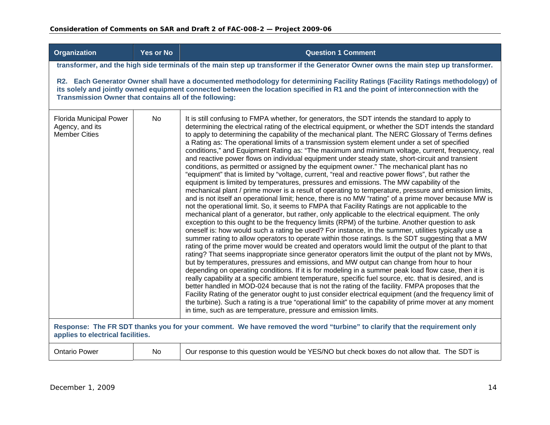| <b>Organization</b>                                                | <b>Yes or No</b>                                                                                                                                                                                                                                                                                                             | <b>Question 1 Comment</b>                                                                                                                                                                                                                                                                                                                                                                                                                                                                                                                                                                                                                                                                                                                                                                                                                                                                                                                                                                                                                                                                                                                                                                                                                                                                                                                                                                                                                                                                                                                                                                                                                                                                                                                                                                                                                                                                                                                                                                                                                                                                                                                                                                                                                                                                                                                                                                                                                                                                                                                                                                      |  |  |  |  |  |  |  |  |
|--------------------------------------------------------------------|------------------------------------------------------------------------------------------------------------------------------------------------------------------------------------------------------------------------------------------------------------------------------------------------------------------------------|------------------------------------------------------------------------------------------------------------------------------------------------------------------------------------------------------------------------------------------------------------------------------------------------------------------------------------------------------------------------------------------------------------------------------------------------------------------------------------------------------------------------------------------------------------------------------------------------------------------------------------------------------------------------------------------------------------------------------------------------------------------------------------------------------------------------------------------------------------------------------------------------------------------------------------------------------------------------------------------------------------------------------------------------------------------------------------------------------------------------------------------------------------------------------------------------------------------------------------------------------------------------------------------------------------------------------------------------------------------------------------------------------------------------------------------------------------------------------------------------------------------------------------------------------------------------------------------------------------------------------------------------------------------------------------------------------------------------------------------------------------------------------------------------------------------------------------------------------------------------------------------------------------------------------------------------------------------------------------------------------------------------------------------------------------------------------------------------------------------------------------------------------------------------------------------------------------------------------------------------------------------------------------------------------------------------------------------------------------------------------------------------------------------------------------------------------------------------------------------------------------------------------------------------------------------------------------------------|--|--|--|--|--|--|--|--|
|                                                                    |                                                                                                                                                                                                                                                                                                                              | transformer, and the high side terminals of the main step up transformer if the Generator Owner owns the main step up transformer.                                                                                                                                                                                                                                                                                                                                                                                                                                                                                                                                                                                                                                                                                                                                                                                                                                                                                                                                                                                                                                                                                                                                                                                                                                                                                                                                                                                                                                                                                                                                                                                                                                                                                                                                                                                                                                                                                                                                                                                                                                                                                                                                                                                                                                                                                                                                                                                                                                                             |  |  |  |  |  |  |  |  |
|                                                                    | R2. Each Generator Owner shall have a documented methodology for determining Facility Ratings (Facility Ratings methodology) of<br>its solely and jointly owned equipment connected between the location specified in R1 and the point of interconnection with the<br>Transmission Owner that contains all of the following: |                                                                                                                                                                                                                                                                                                                                                                                                                                                                                                                                                                                                                                                                                                                                                                                                                                                                                                                                                                                                                                                                                                                                                                                                                                                                                                                                                                                                                                                                                                                                                                                                                                                                                                                                                                                                                                                                                                                                                                                                                                                                                                                                                                                                                                                                                                                                                                                                                                                                                                                                                                                                |  |  |  |  |  |  |  |  |
| Florida Municipal Power<br>Agency, and its<br><b>Member Cities</b> | N <sub>o</sub>                                                                                                                                                                                                                                                                                                               | It is still confusing to FMPA whether, for generators, the SDT intends the standard to apply to<br>determining the electrical rating of the electrical equipment, or whether the SDT intends the standard<br>to apply to determining the capability of the mechanical plant. The NERC Glossary of Terms defines<br>a Rating as: The operational limits of a transmission system element under a set of specified<br>conditions," and Equipment Rating as: "The maximum and minimum voltage, current, frequency, real<br>and reactive power flows on individual equipment under steady state, short-circuit and transient<br>conditions, as permitted or assigned by the equipment owner." The mechanical plant has no<br>"equipment" that is limited by "voltage, current, "real and reactive power flows", but rather the<br>equipment is limited by temperatures, pressures and emissions. The MW capability of the<br>mechanical plant / prime mover is a result of operating to temperature, pressure and emission limits,<br>and is not itself an operational limit; hence, there is no MW "rating" of a prime mover because MW is<br>not the operational limit. So, it seems to FMPA that Facility Ratings are not applicable to the<br>mechanical plant of a generator, but rather, only applicable to the electrical equipment. The only<br>exception to this ought to be the frequency limits (RPM) of the turbine. Another question to ask<br>oneself is: how would such a rating be used? For instance, in the summer, utilities typically use a<br>summer rating to allow operators to operate within those ratings. Is the SDT suggesting that a MW<br>rating of the prime mover would be created and operators would limit the output of the plant to that<br>rating? That seems inappropriate since generator operators limit the output of the plant not by MWs,<br>but by temperatures, pressures and emissions, and MW output can change from hour to hour<br>depending on operating conditions. If it is for modeling in a summer peak load flow case, then it is<br>really capability at a specific ambient temperature, specific fuel source, etc. that is desired, and is<br>better handled in MOD-024 because that is not the rating of the facility. FMPA proposes that the<br>Facility Rating of the generator ought to just consider electrical equipment (and the frequency limit of<br>the turbine). Such a rating is a true "operational limit" to the capability of prime mover at any moment<br>in time, such as are temperature, pressure and emission limits. |  |  |  |  |  |  |  |  |
| applies to electrical facilities.                                  |                                                                                                                                                                                                                                                                                                                              | Response: The FR SDT thanks you for your comment. We have removed the word "turbine" to clarify that the requirement only                                                                                                                                                                                                                                                                                                                                                                                                                                                                                                                                                                                                                                                                                                                                                                                                                                                                                                                                                                                                                                                                                                                                                                                                                                                                                                                                                                                                                                                                                                                                                                                                                                                                                                                                                                                                                                                                                                                                                                                                                                                                                                                                                                                                                                                                                                                                                                                                                                                                      |  |  |  |  |  |  |  |  |
| <b>Ontario Power</b>                                               | No.                                                                                                                                                                                                                                                                                                                          | Our response to this question would be YES/NO but check boxes do not allow that. The SDT is                                                                                                                                                                                                                                                                                                                                                                                                                                                                                                                                                                                                                                                                                                                                                                                                                                                                                                                                                                                                                                                                                                                                                                                                                                                                                                                                                                                                                                                                                                                                                                                                                                                                                                                                                                                                                                                                                                                                                                                                                                                                                                                                                                                                                                                                                                                                                                                                                                                                                                    |  |  |  |  |  |  |  |  |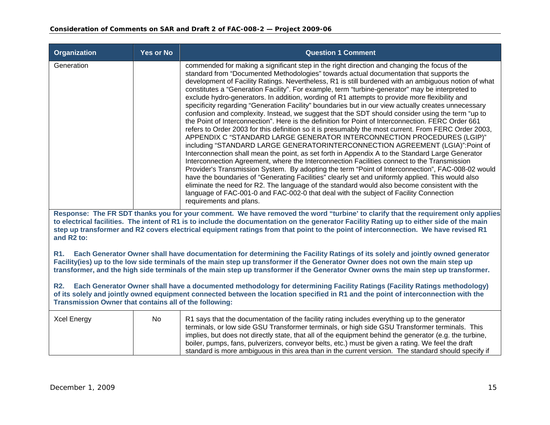| <b>Organization</b>                                                                                                                                                                                                                                                                                                                                                                                                                            | Yes or No | <b>Question 1 Comment</b>                                                                                                                                                                                                                                                                                                                                                                                                                                                                                                                                                                                                                                                                                                                                                                                                                                                                                                                                                                                                                                                                                                                                                                                                                                                                                                                                                                                                                                                                                                                                                                                                                                                                                                   |
|------------------------------------------------------------------------------------------------------------------------------------------------------------------------------------------------------------------------------------------------------------------------------------------------------------------------------------------------------------------------------------------------------------------------------------------------|-----------|-----------------------------------------------------------------------------------------------------------------------------------------------------------------------------------------------------------------------------------------------------------------------------------------------------------------------------------------------------------------------------------------------------------------------------------------------------------------------------------------------------------------------------------------------------------------------------------------------------------------------------------------------------------------------------------------------------------------------------------------------------------------------------------------------------------------------------------------------------------------------------------------------------------------------------------------------------------------------------------------------------------------------------------------------------------------------------------------------------------------------------------------------------------------------------------------------------------------------------------------------------------------------------------------------------------------------------------------------------------------------------------------------------------------------------------------------------------------------------------------------------------------------------------------------------------------------------------------------------------------------------------------------------------------------------------------------------------------------------|
| Generation                                                                                                                                                                                                                                                                                                                                                                                                                                     |           | commended for making a significant step in the right direction and changing the focus of the<br>standard from "Documented Methodologies" towards actual documentation that supports the<br>development of Facility Ratings. Nevertheless, R1 is still burdened with an ambiguous notion of what<br>constitutes a "Generation Facility". For example, term "turbine-generator" may be interpreted to<br>exclude hydro-generators. In addition, wording of R1 attempts to provide more flexibility and<br>specificity regarding "Generation Facility" boundaries but in our view actually creates unnecessary<br>confusion and complexity. Instead, we suggest that the SDT should consider using the term "up to<br>the Point of Interconnection". Here is the definition for Point of Interconnection. FERC Order 661<br>refers to Order 2003 for this definition so it is presumably the most current. From FERC Order 2003,<br>APPENDIX C "STANDARD LARGE GENERATOR INTERCONNECTION PROCEDURES (LGIP)"<br>including "STANDARD LARGE GENERATORINTERCONNECTION AGREEMENT (LGIA)":Point of<br>Interconnection shall mean the point, as set forth in Appendix A to the Standard Large Generator<br>Interconnection Agreement, where the Interconnection Facilities connect to the Transmission<br>Provider's Transmission System. By adopting the term "Point of Interconnection", FAC-008-02 would<br>have the boundaries of "Generating Facilities" clearly set and uniformly applied. This would also<br>eliminate the need for R2. The language of the standard would also become consistent with the<br>language of FAC-001-0 and FAC-002-0 that deal with the subject of Facility Connection<br>requirements and plans. |
| Response: The FR SDT thanks you for your comment. We have removed the word "turbine' to clarify that the requirement only applies<br>to electrical facilities. The intent of R1 is to include the documentation on the generator Facility Rating up to either side of the main<br>step up transformer and R2 covers electrical equipment ratings from that point to the point of interconnection. We have revised R1<br>and R <sub>2</sub> to: |           |                                                                                                                                                                                                                                                                                                                                                                                                                                                                                                                                                                                                                                                                                                                                                                                                                                                                                                                                                                                                                                                                                                                                                                                                                                                                                                                                                                                                                                                                                                                                                                                                                                                                                                                             |
| R1.                                                                                                                                                                                                                                                                                                                                                                                                                                            |           | Each Generator Owner shall have documentation for determining the Facility Ratings of its solely and jointly owned generator<br>Facility(ies) up to the low side terminals of the main step up transformer if the Generator Owner does not own the main step up<br>transformer, and the high side terminals of the main step up transformer if the Generator Owner owns the main step up transformer.                                                                                                                                                                                                                                                                                                                                                                                                                                                                                                                                                                                                                                                                                                                                                                                                                                                                                                                                                                                                                                                                                                                                                                                                                                                                                                                       |
| <b>R2.</b><br>Transmission Owner that contains all of the following:                                                                                                                                                                                                                                                                                                                                                                           |           | Each Generator Owner shall have a documented methodology for determining Facility Ratings (Facility Ratings methodology)<br>of its solely and jointly owned equipment connected between the location specified in R1 and the point of interconnection with the                                                                                                                                                                                                                                                                                                                                                                                                                                                                                                                                                                                                                                                                                                                                                                                                                                                                                                                                                                                                                                                                                                                                                                                                                                                                                                                                                                                                                                                              |
| <b>Xcel Energy</b>                                                                                                                                                                                                                                                                                                                                                                                                                             | <b>No</b> | R1 says that the documentation of the facility rating includes everything up to the generator<br>terminals, or low side GSU Transformer terminals, or high side GSU Transformer terminals. This<br>implies, but does not directly state, that all of the equipment behind the generator (e.g. the turbine,<br>boiler, pumps, fans, pulverizers, conveyor belts, etc.) must be given a rating. We feel the draft<br>standard is more ambiguous in this area than in the current version. The standard should specify if                                                                                                                                                                                                                                                                                                                                                                                                                                                                                                                                                                                                                                                                                                                                                                                                                                                                                                                                                                                                                                                                                                                                                                                                      |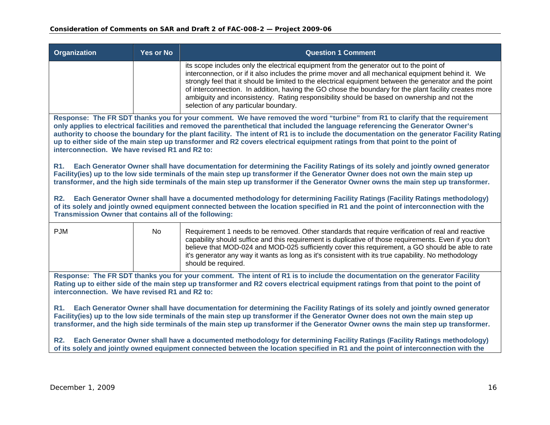| Organization                                                                                                                                                                                                                                                                                                                                                                                              | <b>Yes or No</b>                                                                                                                                                                                                                                                                                                                                                                                                                                                                                                                                                                                 | <b>Question 1 Comment</b>                                                                                                                                                                                                                                                                                                                                                                                                                                                                                                                                 |  |
|-----------------------------------------------------------------------------------------------------------------------------------------------------------------------------------------------------------------------------------------------------------------------------------------------------------------------------------------------------------------------------------------------------------|--------------------------------------------------------------------------------------------------------------------------------------------------------------------------------------------------------------------------------------------------------------------------------------------------------------------------------------------------------------------------------------------------------------------------------------------------------------------------------------------------------------------------------------------------------------------------------------------------|-----------------------------------------------------------------------------------------------------------------------------------------------------------------------------------------------------------------------------------------------------------------------------------------------------------------------------------------------------------------------------------------------------------------------------------------------------------------------------------------------------------------------------------------------------------|--|
|                                                                                                                                                                                                                                                                                                                                                                                                           |                                                                                                                                                                                                                                                                                                                                                                                                                                                                                                                                                                                                  | its scope includes only the electrical equipment from the generator out to the point of<br>interconnection, or if it also includes the prime mover and all mechanical equipment behind it. We<br>strongly feel that it should be limited to the electrical equipment between the generator and the point<br>of interconnection. In addition, having the GO chose the boundary for the plant facility creates more<br>ambiguity and inconsistency. Rating responsibility should be based on ownership and not the<br>selection of any particular boundary. |  |
|                                                                                                                                                                                                                                                                                                                                                                                                           | Response: The FR SDT thanks you for your comment. We have removed the word "turbine" from R1 to clarify that the requirement<br>only applies to electrical facilities and removed the parenthetical that included the language referencing the Generator Owner's<br>authority to choose the boundary for the plant facility. The intent of R1 is to include the documentation on the generator Facility Rating<br>up to either side of the main step up transformer and R2 covers electrical equipment ratings from that point to the point of<br>interconnection. We have revised R1 and R2 to: |                                                                                                                                                                                                                                                                                                                                                                                                                                                                                                                                                           |  |
| <b>R1.</b>                                                                                                                                                                                                                                                                                                                                                                                                | Each Generator Owner shall have documentation for determining the Facility Ratings of its solely and jointly owned generator<br>Facility(ies) up to the low side terminals of the main step up transformer if the Generator Owner does not own the main step up<br>transformer, and the high side terminals of the main step up transformer if the Generator Owner owns the main step up transformer.                                                                                                                                                                                            |                                                                                                                                                                                                                                                                                                                                                                                                                                                                                                                                                           |  |
| Each Generator Owner shall have a documented methodology for determining Facility Ratings (Facility Ratings methodology)<br><b>R2.</b><br>of its solely and jointly owned equipment connected between the location specified in R1 and the point of interconnection with the<br>Transmission Owner that contains all of the following:                                                                    |                                                                                                                                                                                                                                                                                                                                                                                                                                                                                                                                                                                                  |                                                                                                                                                                                                                                                                                                                                                                                                                                                                                                                                                           |  |
| <b>PJM</b>                                                                                                                                                                                                                                                                                                                                                                                                | No                                                                                                                                                                                                                                                                                                                                                                                                                                                                                                                                                                                               | Requirement 1 needs to be removed. Other standards that require verification of real and reactive<br>capability should suffice and this requirement is duplicative of those requirements. Even if you don't<br>believe that MOD-024 and MOD-025 sufficiently cover this requirement, a GO should be able to rate<br>it's generator any way it wants as long as it's consistent with its true capability. No methodology<br>should be required.                                                                                                            |  |
| Response: The FR SDT thanks you for your comment. The intent of R1 is to include the documentation on the generator Facility<br>Rating up to either side of the main step up transformer and R2 covers electrical equipment ratings from that point to the point of<br>interconnection. We have revised R1 and R2 to:                                                                                     |                                                                                                                                                                                                                                                                                                                                                                                                                                                                                                                                                                                                  |                                                                                                                                                                                                                                                                                                                                                                                                                                                                                                                                                           |  |
| R1. Each Generator Owner shall have documentation for determining the Facility Ratings of its solely and jointly owned generator<br>Facility(ies) up to the low side terminals of the main step up transformer if the Generator Owner does not own the main step up<br>transformer, and the high side terminals of the main step up transformer if the Generator Owner owns the main step up transformer. |                                                                                                                                                                                                                                                                                                                                                                                                                                                                                                                                                                                                  |                                                                                                                                                                                                                                                                                                                                                                                                                                                                                                                                                           |  |
| <b>R2.</b>                                                                                                                                                                                                                                                                                                                                                                                                | Each Generator Owner shall have a documented methodology for determining Facility Ratings (Facility Ratings methodology)<br>of its solely and jointly owned equipment connected between the location specified in R1 and the point of interconnection with the                                                                                                                                                                                                                                                                                                                                   |                                                                                                                                                                                                                                                                                                                                                                                                                                                                                                                                                           |  |
|                                                                                                                                                                                                                                                                                                                                                                                                           |                                                                                                                                                                                                                                                                                                                                                                                                                                                                                                                                                                                                  |                                                                                                                                                                                                                                                                                                                                                                                                                                                                                                                                                           |  |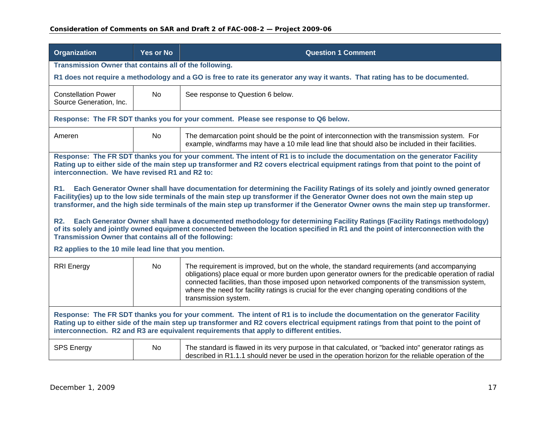| <b>Organization</b>                                                                                                                                                                                                                                                                                                                                             | <b>Yes or No</b>                                                                                                                                                                                                                                                                                                                                                                                      | <b>Question 1 Comment</b>                                                                                                                                                                                                                                                                                                                                                                                                        |  |  |
|-----------------------------------------------------------------------------------------------------------------------------------------------------------------------------------------------------------------------------------------------------------------------------------------------------------------------------------------------------------------|-------------------------------------------------------------------------------------------------------------------------------------------------------------------------------------------------------------------------------------------------------------------------------------------------------------------------------------------------------------------------------------------------------|----------------------------------------------------------------------------------------------------------------------------------------------------------------------------------------------------------------------------------------------------------------------------------------------------------------------------------------------------------------------------------------------------------------------------------|--|--|
| Transmission Owner that contains all of the following.                                                                                                                                                                                                                                                                                                          |                                                                                                                                                                                                                                                                                                                                                                                                       |                                                                                                                                                                                                                                                                                                                                                                                                                                  |  |  |
|                                                                                                                                                                                                                                                                                                                                                                 |                                                                                                                                                                                                                                                                                                                                                                                                       | R1 does not require a methodology and a GO is free to rate its generator any way it wants. That rating has to be documented.                                                                                                                                                                                                                                                                                                     |  |  |
| <b>Constellation Power</b><br>Source Generation, Inc.                                                                                                                                                                                                                                                                                                           | <b>No</b>                                                                                                                                                                                                                                                                                                                                                                                             | See response to Question 6 below.                                                                                                                                                                                                                                                                                                                                                                                                |  |  |
|                                                                                                                                                                                                                                                                                                                                                                 |                                                                                                                                                                                                                                                                                                                                                                                                       | Response: The FR SDT thanks you for your comment. Please see response to Q6 below.                                                                                                                                                                                                                                                                                                                                               |  |  |
| Ameren                                                                                                                                                                                                                                                                                                                                                          | <b>No</b>                                                                                                                                                                                                                                                                                                                                                                                             | The demarcation point should be the point of interconnection with the transmission system. For<br>example, windfarms may have a 10 mile lead line that should also be included in their facilities.                                                                                                                                                                                                                              |  |  |
| interconnection. We have revised R1 and R2 to:                                                                                                                                                                                                                                                                                                                  |                                                                                                                                                                                                                                                                                                                                                                                                       | Response: The FR SDT thanks you for your comment. The intent of R1 is to include the documentation on the generator Facility<br>Rating up to either side of the main step up transformer and R2 covers electrical equipment ratings from that point to the point of                                                                                                                                                              |  |  |
| R1.                                                                                                                                                                                                                                                                                                                                                             | Each Generator Owner shall have documentation for determining the Facility Ratings of its solely and jointly owned generator<br>Facility(ies) up to the low side terminals of the main step up transformer if the Generator Owner does not own the main step up<br>transformer, and the high side terminals of the main step up transformer if the Generator Owner owns the main step up transformer. |                                                                                                                                                                                                                                                                                                                                                                                                                                  |  |  |
| Each Generator Owner shall have a documented methodology for determining Facility Ratings (Facility Ratings methodology)<br>R2.<br>of its solely and jointly owned equipment connected between the location specified in R1 and the point of interconnection with the<br>Transmission Owner that contains all of the following:                                 |                                                                                                                                                                                                                                                                                                                                                                                                       |                                                                                                                                                                                                                                                                                                                                                                                                                                  |  |  |
| R2 applies to the 10 mile lead line that you mention.                                                                                                                                                                                                                                                                                                           |                                                                                                                                                                                                                                                                                                                                                                                                       |                                                                                                                                                                                                                                                                                                                                                                                                                                  |  |  |
| <b>RRI</b> Energy                                                                                                                                                                                                                                                                                                                                               | <b>No</b>                                                                                                                                                                                                                                                                                                                                                                                             | The requirement is improved, but on the whole, the standard requirements (and accompanying<br>obligations) place equal or more burden upon generator owners for the predicable operation of radial<br>connected facilities, than those imposed upon networked components of the transmission system,<br>where the need for facility ratings is crucial for the ever changing operating conditions of the<br>transmission system. |  |  |
| Response: The FR SDT thanks you for your comment. The intent of R1 is to include the documentation on the generator Facility<br>Rating up to either side of the main step up transformer and R2 covers electrical equipment ratings from that point to the point of<br>interconnection. R2 and R3 are equivalent requirements that apply to different entities. |                                                                                                                                                                                                                                                                                                                                                                                                       |                                                                                                                                                                                                                                                                                                                                                                                                                                  |  |  |
| <b>SPS Energy</b>                                                                                                                                                                                                                                                                                                                                               | <b>No</b>                                                                                                                                                                                                                                                                                                                                                                                             | The standard is flawed in its very purpose in that calculated, or "backed into" generator ratings as<br>described in R1.1.1 should never be used in the operation horizon for the reliable operation of the                                                                                                                                                                                                                      |  |  |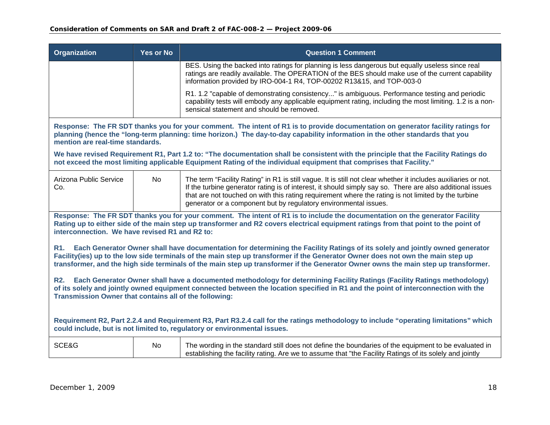| <b>Organization</b>                                                                                                                                                                                                                                                                                                                                                                                          | <b>Yes or No</b> | <b>Question 1 Comment</b>                                                                                                                                                                                                                                                                                                                                                                              |
|--------------------------------------------------------------------------------------------------------------------------------------------------------------------------------------------------------------------------------------------------------------------------------------------------------------------------------------------------------------------------------------------------------------|------------------|--------------------------------------------------------------------------------------------------------------------------------------------------------------------------------------------------------------------------------------------------------------------------------------------------------------------------------------------------------------------------------------------------------|
|                                                                                                                                                                                                                                                                                                                                                                                                              |                  | BES. Using the backed into ratings for planning is less dangerous but equally useless since real<br>ratings are readily available. The OPERATION of the BES should make use of the current capability<br>information provided by IRO-004-1 R4, TOP-00202 R13&15, and TOP-003-0                                                                                                                         |
|                                                                                                                                                                                                                                                                                                                                                                                                              |                  | R1. 1.2 "capable of demonstrating consistency" is ambiguous. Performance testing and periodic<br>capability tests will embody any applicable equipment rating, including the most limiting. 1.2 is a non-<br>sensical statement and should be removed.                                                                                                                                                 |
| mention are real-time standards.                                                                                                                                                                                                                                                                                                                                                                             |                  | Response: The FR SDT thanks you for your comment. The intent of R1 is to provide documentation on generator facility ratings for<br>planning (hence the "long-term planning: time horizon.) The day-to-day capability information in the other standards that you                                                                                                                                      |
|                                                                                                                                                                                                                                                                                                                                                                                                              |                  | We have revised Requirement R1, Part 1.2 to: "The documentation shall be consistent with the principle that the Facility Ratings do<br>not exceed the most limiting applicable Equipment Rating of the individual equipment that comprises that Facility."                                                                                                                                             |
| Arizona Public Service<br>Co.                                                                                                                                                                                                                                                                                                                                                                                | N <sub>o</sub>   | The term "Facility Rating" in R1 is still vague. It is still not clear whether it includes auxiliaries or not.<br>If the turbine generator rating is of interest, it should simply say so. There are also additional issues<br>that are not touched on with this rating requirement where the rating is not limited by the turbine<br>generator or a component but by regulatory environmental issues. |
| Response: The FR SDT thanks you for your comment. The intent of R1 is to include the documentation on the generator Facility<br>Rating up to either side of the main step up transformer and R2 covers electrical equipment ratings from that point to the point of<br>interconnection. We have revised R1 and R2 to:                                                                                        |                  |                                                                                                                                                                                                                                                                                                                                                                                                        |
| Each Generator Owner shall have documentation for determining the Facility Ratings of its solely and jointly owned generator<br>R1.<br>Facility(ies) up to the low side terminals of the main step up transformer if the Generator Owner does not own the main step up<br>transformer, and the high side terminals of the main step up transformer if the Generator Owner owns the main step up transformer. |                  |                                                                                                                                                                                                                                                                                                                                                                                                        |
| Each Generator Owner shall have a documented methodology for determining Facility Ratings (Facility Ratings methodology)<br><b>R2.</b><br>of its solely and jointly owned equipment connected between the location specified in R1 and the point of interconnection with the<br>Transmission Owner that contains all of the following:                                                                       |                  |                                                                                                                                                                                                                                                                                                                                                                                                        |
| Requirement R2, Part 2.2.4 and Requirement R3, Part R3.2.4 call for the ratings methodology to include "operating limitations" which<br>could include, but is not limited to, regulatory or environmental issues.                                                                                                                                                                                            |                  |                                                                                                                                                                                                                                                                                                                                                                                                        |
| SCE&G                                                                                                                                                                                                                                                                                                                                                                                                        | No               | The wording in the standard still does not define the boundaries of the equipment to be evaluated in<br>establishing the facility rating. Are we to assume that "the Facility Ratings of its solely and jointly                                                                                                                                                                                        |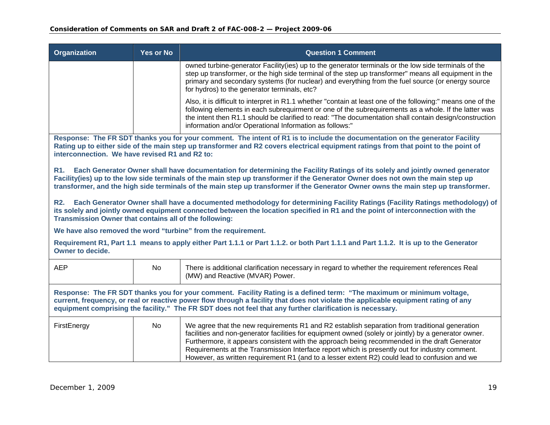| <b>Organization</b>                                                                                                                                                                                                                                                                                                                                                      | Yes or No                                                                                                                             | <b>Question 1 Comment</b>                                                                                                                                                                                                                                                                                                                                                                                                                                                                                  |  |
|--------------------------------------------------------------------------------------------------------------------------------------------------------------------------------------------------------------------------------------------------------------------------------------------------------------------------------------------------------------------------|---------------------------------------------------------------------------------------------------------------------------------------|------------------------------------------------------------------------------------------------------------------------------------------------------------------------------------------------------------------------------------------------------------------------------------------------------------------------------------------------------------------------------------------------------------------------------------------------------------------------------------------------------------|--|
|                                                                                                                                                                                                                                                                                                                                                                          |                                                                                                                                       | owned turbine-generator Facility (ies) up to the generator terminals or the low side terminals of the<br>step up transformer, or the high side terminal of the step up transformer" means all equipment in the<br>primary and secondary systems (for nuclear) and everything from the fuel source (or energy source<br>for hydros) to the generator terminals, etc?                                                                                                                                        |  |
|                                                                                                                                                                                                                                                                                                                                                                          |                                                                                                                                       | Also, it is difficult to interpret in R1.1 whether "contain at least one of the following:" means one of the<br>following elements in each subrequirment or one of the subrequirements as a whole. If the latter was<br>the intent then R1.1 should be clarified to read: "The documentation shall contain design/construction<br>information and/or Operational Information as follows:"                                                                                                                  |  |
| interconnection. We have revised R1 and R2 to:                                                                                                                                                                                                                                                                                                                           |                                                                                                                                       | Response: The FR SDT thanks you for your comment. The intent of R1 is to include the documentation on the generator Facility<br>Rating up to either side of the main step up transformer and R2 covers electrical equipment ratings from that point to the point of                                                                                                                                                                                                                                        |  |
|                                                                                                                                                                                                                                                                                                                                                                          |                                                                                                                                       | R1. Each Generator Owner shall have documentation for determining the Facility Ratings of its solely and jointly owned generator<br>Facility(ies) up to the low side terminals of the main step up transformer if the Generator Owner does not own the main step up<br>transformer, and the high side terminals of the main step up transformer if the Generator Owner owns the main step up transformer.                                                                                                  |  |
| <b>R2.</b><br>Each Generator Owner shall have a documented methodology for determining Facility Ratings (Facility Ratings methodology) of<br>its solely and jointly owned equipment connected between the location specified in R1 and the point of interconnection with the<br>Transmission Owner that contains all of the following:                                   |                                                                                                                                       |                                                                                                                                                                                                                                                                                                                                                                                                                                                                                                            |  |
| We have also removed the word "turbine" from the requirement.                                                                                                                                                                                                                                                                                                            |                                                                                                                                       |                                                                                                                                                                                                                                                                                                                                                                                                                                                                                                            |  |
| Owner to decide.                                                                                                                                                                                                                                                                                                                                                         | Requirement R1, Part 1.1 means to apply either Part 1.1.1 or Part 1.1.2. or both Part 1.1.1 and Part 1.1.2. It is up to the Generator |                                                                                                                                                                                                                                                                                                                                                                                                                                                                                                            |  |
| <b>AEP</b>                                                                                                                                                                                                                                                                                                                                                               | No                                                                                                                                    | There is additional clarification necessary in regard to whether the requirement references Real<br>(MW) and Reactive (MVAR) Power.                                                                                                                                                                                                                                                                                                                                                                        |  |
| Response: The FR SDT thanks you for your comment. Facility Rating is a defined term: "The maximum or minimum voltage,<br>current, frequency, or real or reactive power flow through a facility that does not violate the applicable equipment rating of any<br>equipment comprising the facility." The FR SDT does not feel that any further clarification is necessary. |                                                                                                                                       |                                                                                                                                                                                                                                                                                                                                                                                                                                                                                                            |  |
| FirstEnergy                                                                                                                                                                                                                                                                                                                                                              | <b>No</b>                                                                                                                             | We agree that the new requirements R1 and R2 establish separation from traditional generation<br>facilities and non-generator facilities for equipment owned (solely or jointly) by a generator owner.<br>Furthermore, it appears consistent with the approach being recommended in the draft Generator<br>Requirements at the Transmission Interface report which is presently out for industry comment.<br>However, as written requirement R1 (and to a lesser extent R2) could lead to confusion and we |  |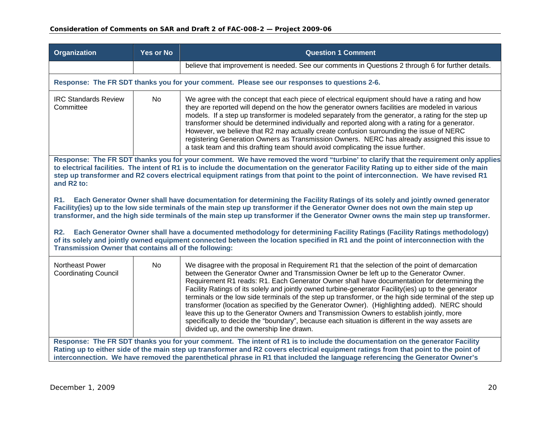| <b>Organization</b>                                                                                                                                                                                                                                                                                                                                                                                       | <b>Yes or No</b>                                                                                                                                                                                                                                                                                                                                                                                                     | <b>Question 1 Comment</b>                                                                                                                                                                                                                                                                                                                                                                                                                                                                                                                                                                                                                                                                                                                                                                                                                                 |  |
|-----------------------------------------------------------------------------------------------------------------------------------------------------------------------------------------------------------------------------------------------------------------------------------------------------------------------------------------------------------------------------------------------------------|----------------------------------------------------------------------------------------------------------------------------------------------------------------------------------------------------------------------------------------------------------------------------------------------------------------------------------------------------------------------------------------------------------------------|-----------------------------------------------------------------------------------------------------------------------------------------------------------------------------------------------------------------------------------------------------------------------------------------------------------------------------------------------------------------------------------------------------------------------------------------------------------------------------------------------------------------------------------------------------------------------------------------------------------------------------------------------------------------------------------------------------------------------------------------------------------------------------------------------------------------------------------------------------------|--|
|                                                                                                                                                                                                                                                                                                                                                                                                           |                                                                                                                                                                                                                                                                                                                                                                                                                      | believe that improvement is needed. See our comments in Questions 2 through 6 for further details.                                                                                                                                                                                                                                                                                                                                                                                                                                                                                                                                                                                                                                                                                                                                                        |  |
|                                                                                                                                                                                                                                                                                                                                                                                                           |                                                                                                                                                                                                                                                                                                                                                                                                                      | Response: The FR SDT thanks you for your comment. Please see our responses to questions 2-6.                                                                                                                                                                                                                                                                                                                                                                                                                                                                                                                                                                                                                                                                                                                                                              |  |
| <b>IRC Standards Review</b><br>Committee                                                                                                                                                                                                                                                                                                                                                                  | <b>No</b>                                                                                                                                                                                                                                                                                                                                                                                                            | We agree with the concept that each piece of electrical equipment should have a rating and how<br>they are reported will depend on the how the generator owners facilities are modeled in various<br>models. If a step up transformer is modeled separately from the generator, a rating for the step up<br>transformer should be determined individually and reported along with a rating for a generator.<br>However, we believe that R2 may actually create confusion surrounding the issue of NERC<br>registering Generation Owners as Transmission Owners. NERC has already assigned this issue to<br>a task team and this drafting team should avoid complicating the issue further.                                                                                                                                                                |  |
| and R2 to:                                                                                                                                                                                                                                                                                                                                                                                                | Response: The FR SDT thanks you for your comment. We have removed the word "turbine' to clarify that the requirement only applies<br>to electrical facilities. The intent of R1 is to include the documentation on the generator Facility Rating up to either side of the main<br>step up transformer and R2 covers electrical equipment ratings from that point to the point of interconnection. We have revised R1 |                                                                                                                                                                                                                                                                                                                                                                                                                                                                                                                                                                                                                                                                                                                                                                                                                                                           |  |
| R1. Each Generator Owner shall have documentation for determining the Facility Ratings of its solely and jointly owned generator<br>Facility(ies) up to the low side terminals of the main step up transformer if the Generator Owner does not own the main step up<br>transformer, and the high side terminals of the main step up transformer if the Generator Owner owns the main step up transformer. |                                                                                                                                                                                                                                                                                                                                                                                                                      |                                                                                                                                                                                                                                                                                                                                                                                                                                                                                                                                                                                                                                                                                                                                                                                                                                                           |  |
| Each Generator Owner shall have a documented methodology for determining Facility Ratings (Facility Ratings methodology)<br><b>R2.</b><br>of its solely and jointly owned equipment connected between the location specified in R1 and the point of interconnection with the<br>Transmission Owner that contains all of the following:                                                                    |                                                                                                                                                                                                                                                                                                                                                                                                                      |                                                                                                                                                                                                                                                                                                                                                                                                                                                                                                                                                                                                                                                                                                                                                                                                                                                           |  |
| Northeast Power<br><b>Coordinating Council</b>                                                                                                                                                                                                                                                                                                                                                            | <b>No</b>                                                                                                                                                                                                                                                                                                                                                                                                            | We disagree with the proposal in Requirement R1 that the selection of the point of demarcation<br>between the Generator Owner and Transmission Owner be left up to the Generator Owner.<br>Requirement R1 reads: R1. Each Generator Owner shall have documentation for determining the<br>Facility Ratings of its solely and jointly owned turbine-generator Facility (ies) up to the generator<br>terminals or the low side terminals of the step up transformer, or the high side terminal of the step up<br>transformer (location as specified by the Generator Owner). (Highlighting added). NERC should<br>leave this up to the Generator Owners and Transmission Owners to establish jointly, more<br>specifically to decide the "boundary", because each situation is different in the way assets are<br>divided up, and the ownership line drawn. |  |
| Response: The FR SDT thanks you for your comment. The intent of R1 is to include the documentation on the generator Facility<br>Rating up to either side of the main step up transformer and R2 covers electrical equipment ratings from that point to the point of<br>interconnection. We have removed the parenthetical phrase in R1 that included the language referencing the Generator Owner's       |                                                                                                                                                                                                                                                                                                                                                                                                                      |                                                                                                                                                                                                                                                                                                                                                                                                                                                                                                                                                                                                                                                                                                                                                                                                                                                           |  |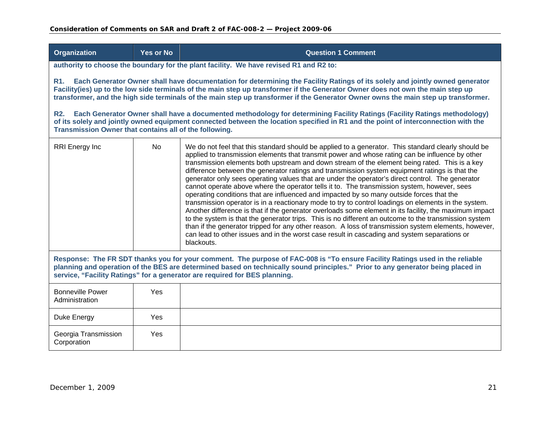**Organization 7 CONSULTER VIDEO YES OF NO CONSULTER AND ACCEPT ACCEPT ACCEPT ACCEPT ACCEPT ACCEPT ACCEPT ACCEPT** 

| authority to choose the boundary for the plant facility. We have revised R1 and R2 to:                                                                                                                                                                                                                                                                                                                                   |     |                                                                                                                                                                                                                                                                                                                                                                                                                                                                                                                                                                                                                                                                                                                                                                                                                                                                                                                                                                                                                                                                                                                                                                                                                                                           |  |
|--------------------------------------------------------------------------------------------------------------------------------------------------------------------------------------------------------------------------------------------------------------------------------------------------------------------------------------------------------------------------------------------------------------------------|-----|-----------------------------------------------------------------------------------------------------------------------------------------------------------------------------------------------------------------------------------------------------------------------------------------------------------------------------------------------------------------------------------------------------------------------------------------------------------------------------------------------------------------------------------------------------------------------------------------------------------------------------------------------------------------------------------------------------------------------------------------------------------------------------------------------------------------------------------------------------------------------------------------------------------------------------------------------------------------------------------------------------------------------------------------------------------------------------------------------------------------------------------------------------------------------------------------------------------------------------------------------------------|--|
| Each Generator Owner shall have documentation for determining the Facility Ratings of its solely and jointly owned generator<br>R <sub>1.</sub><br>Facility(ies) up to the low side terminals of the main step up transformer if the Generator Owner does not own the main step up<br>transformer, and the high side terminals of the main step up transformer if the Generator Owner owns the main step up transformer. |     |                                                                                                                                                                                                                                                                                                                                                                                                                                                                                                                                                                                                                                                                                                                                                                                                                                                                                                                                                                                                                                                                                                                                                                                                                                                           |  |
| R2.<br>Transmission Owner that contains all of the following.                                                                                                                                                                                                                                                                                                                                                            |     | Each Generator Owner shall have a documented methodology for determining Facility Ratings (Facility Ratings methodology)<br>of its solely and jointly owned equipment connected between the location specified in R1 and the point of interconnection with the                                                                                                                                                                                                                                                                                                                                                                                                                                                                                                                                                                                                                                                                                                                                                                                                                                                                                                                                                                                            |  |
| RRI Energy Inc                                                                                                                                                                                                                                                                                                                                                                                                           | No  | We do not feel that this standard should be applied to a generator. This standard clearly should be<br>applied to transmission elements that transmit power and whose rating can be influence by other<br>transmission elements both upstream and down stream of the element being rated. This is a key<br>difference between the generator ratings and transmission system equipment ratings is that the<br>generator only sees operating values that are under the operator's direct control. The generator<br>cannot operate above where the operator tells it to. The transmission system, however, sees<br>operating conditions that are influenced and impacted by so many outside forces that the<br>transmission operator is in a reactionary mode to try to control loadings on elements in the system.<br>Another difference is that if the generator overloads some element in its facility, the maximum impact<br>to the system is that the generator trips. This is no different an outcome to the transmission system<br>than if the generator tripped for any other reason. A loss of transmission system elements, however,<br>can lead to other issues and in the worst case result in cascading and system separations or<br>blackouts. |  |
| Response: The FR SDT thanks you for your comment. The purpose of FAC-008 is "To ensure Facility Ratings used in the reliable<br>planning and operation of the BES are determined based on technically sound principles." Prior to any generator being placed in<br>service, "Facility Ratings" for a generator are required for BES planning.                                                                            |     |                                                                                                                                                                                                                                                                                                                                                                                                                                                                                                                                                                                                                                                                                                                                                                                                                                                                                                                                                                                                                                                                                                                                                                                                                                                           |  |
| <b>Bonneville Power</b><br>Administration                                                                                                                                                                                                                                                                                                                                                                                | Yes |                                                                                                                                                                                                                                                                                                                                                                                                                                                                                                                                                                                                                                                                                                                                                                                                                                                                                                                                                                                                                                                                                                                                                                                                                                                           |  |
| Duke Energy                                                                                                                                                                                                                                                                                                                                                                                                              | Yes |                                                                                                                                                                                                                                                                                                                                                                                                                                                                                                                                                                                                                                                                                                                                                                                                                                                                                                                                                                                                                                                                                                                                                                                                                                                           |  |
| Georgia Transmission<br>Corporation                                                                                                                                                                                                                                                                                                                                                                                      | Yes |                                                                                                                                                                                                                                                                                                                                                                                                                                                                                                                                                                                                                                                                                                                                                                                                                                                                                                                                                                                                                                                                                                                                                                                                                                                           |  |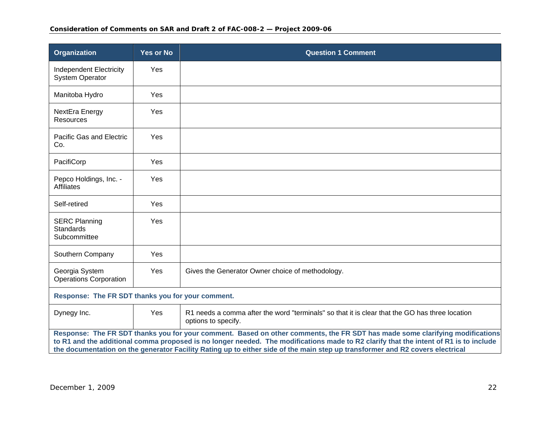### **Consideration of Comments on SAR and Draft 2 of FAC-008-2 — Project 2009-06**

| Organization                                                                                                                                                                                                                                                                                                                                                                                           | Yes or No | <b>Question 1 Comment</b>                                                                                             |
|--------------------------------------------------------------------------------------------------------------------------------------------------------------------------------------------------------------------------------------------------------------------------------------------------------------------------------------------------------------------------------------------------------|-----------|-----------------------------------------------------------------------------------------------------------------------|
| Independent Electricity<br><b>System Operator</b>                                                                                                                                                                                                                                                                                                                                                      | Yes       |                                                                                                                       |
| Manitoba Hydro                                                                                                                                                                                                                                                                                                                                                                                         | Yes       |                                                                                                                       |
| NextEra Energy<br><b>Resources</b>                                                                                                                                                                                                                                                                                                                                                                     | Yes       |                                                                                                                       |
| Pacific Gas and Electric<br>Co.                                                                                                                                                                                                                                                                                                                                                                        | Yes       |                                                                                                                       |
| PacifiCorp                                                                                                                                                                                                                                                                                                                                                                                             | Yes       |                                                                                                                       |
| Pepco Holdings, Inc. -<br><b>Affiliates</b>                                                                                                                                                                                                                                                                                                                                                            | Yes       |                                                                                                                       |
| Self-retired                                                                                                                                                                                                                                                                                                                                                                                           | Yes       |                                                                                                                       |
| <b>SERC Planning</b><br><b>Standards</b><br>Subcommittee                                                                                                                                                                                                                                                                                                                                               | Yes       |                                                                                                                       |
| Southern Company                                                                                                                                                                                                                                                                                                                                                                                       | Yes       |                                                                                                                       |
| Georgia System<br><b>Operations Corporation</b>                                                                                                                                                                                                                                                                                                                                                        | Yes       | Gives the Generator Owner choice of methodology.                                                                      |
| Response: The FR SDT thanks you for your comment.                                                                                                                                                                                                                                                                                                                                                      |           |                                                                                                                       |
| Dynegy Inc.                                                                                                                                                                                                                                                                                                                                                                                            | Yes       | R1 needs a comma after the word "terminals" so that it is clear that the GO has three location<br>options to specify. |
| Response: The FR SDT thanks you for your comment. Based on other comments, the FR SDT has made some clarifying modifications<br>to R1 and the additional comma proposed is no longer needed. The modifications made to R2 clarify that the intent of R1 is to include<br>the documentation on the generator Facility Rating up to either side of the main step up transformer and R2 covers electrical |           |                                                                                                                       |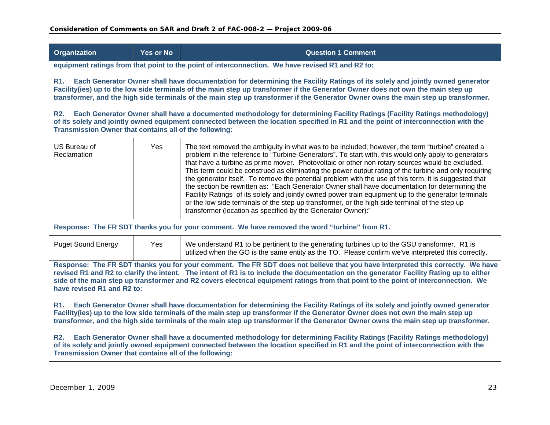| <b>Organization</b>                                                                                                                                                                                                                                                                                                                                                                                                                             | <b>Yes or No</b>                                                                                                                                                                                                                                                                                                                                                                                      | <b>Question 1 Comment</b>                                                                                                                                                                                                                                                                                                                                                                                                                                                                                                                                                                                                                                                                                                                                                                                                                                                                                  |  |
|-------------------------------------------------------------------------------------------------------------------------------------------------------------------------------------------------------------------------------------------------------------------------------------------------------------------------------------------------------------------------------------------------------------------------------------------------|-------------------------------------------------------------------------------------------------------------------------------------------------------------------------------------------------------------------------------------------------------------------------------------------------------------------------------------------------------------------------------------------------------|------------------------------------------------------------------------------------------------------------------------------------------------------------------------------------------------------------------------------------------------------------------------------------------------------------------------------------------------------------------------------------------------------------------------------------------------------------------------------------------------------------------------------------------------------------------------------------------------------------------------------------------------------------------------------------------------------------------------------------------------------------------------------------------------------------------------------------------------------------------------------------------------------------|--|
|                                                                                                                                                                                                                                                                                                                                                                                                                                                 | equipment ratings from that point to the point of interconnection. We have revised R1 and R2 to:                                                                                                                                                                                                                                                                                                      |                                                                                                                                                                                                                                                                                                                                                                                                                                                                                                                                                                                                                                                                                                                                                                                                                                                                                                            |  |
| <b>R1.</b><br><b>R2.</b>                                                                                                                                                                                                                                                                                                                                                                                                                        | Each Generator Owner shall have documentation for determining the Facility Ratings of its solely and jointly owned generator<br>Facility(ies) up to the low side terminals of the main step up transformer if the Generator Owner does not own the main step up<br>transformer, and the high side terminals of the main step up transformer if the Generator Owner owns the main step up transformer. |                                                                                                                                                                                                                                                                                                                                                                                                                                                                                                                                                                                                                                                                                                                                                                                                                                                                                                            |  |
| Transmission Owner that contains all of the following:                                                                                                                                                                                                                                                                                                                                                                                          |                                                                                                                                                                                                                                                                                                                                                                                                       | Each Generator Owner shall have a documented methodology for determining Facility Ratings (Facility Ratings methodology)<br>of its solely and jointly owned equipment connected between the location specified in R1 and the point of interconnection with the                                                                                                                                                                                                                                                                                                                                                                                                                                                                                                                                                                                                                                             |  |
| US Bureau of<br>Reclamation                                                                                                                                                                                                                                                                                                                                                                                                                     | Yes                                                                                                                                                                                                                                                                                                                                                                                                   | The text removed the ambiguity in what was to be included; however, the term "turbine" created a<br>problem in the reference to "Turbine-Generators". To start with, this would only apply to generators<br>that have a turbine as prime mover. Photovoltaic or other non rotary sources would be excluded.<br>This term could be construed as eliminating the power output rating of the turbine and only requiring<br>the generator itself. To remove the potential problem with the use of this term, it is suggested that<br>the section be rewritten as: "Each Generator Owner shall have documentation for determining the<br>Facility Ratings of its solely and jointly owned power train equipment up to the generator terminals<br>or the low side terminals of the step up transformer, or the high side terminal of the step up<br>transformer (location as specified by the Generator Owner):" |  |
|                                                                                                                                                                                                                                                                                                                                                                                                                                                 | Response: The FR SDT thanks you for your comment. We have removed the word "turbine" from R1.                                                                                                                                                                                                                                                                                                         |                                                                                                                                                                                                                                                                                                                                                                                                                                                                                                                                                                                                                                                                                                                                                                                                                                                                                                            |  |
| <b>Puget Sound Energy</b>                                                                                                                                                                                                                                                                                                                                                                                                                       | Yes                                                                                                                                                                                                                                                                                                                                                                                                   | We understand R1 to be pertinent to the generating turbines up to the GSU transformer. R1 is<br>utilized when the GO is the same entity as the TO. Please confirm we've interpreted this correctly.                                                                                                                                                                                                                                                                                                                                                                                                                                                                                                                                                                                                                                                                                                        |  |
| Response: The FR SDT thanks you for your comment. The FR SDT does not believe that you have interpreted this correctly. We have<br>revised R1 and R2 to clarify the intent. The intent of R1 is to include the documentation on the generator Facility Rating up to either<br>side of the main step up transformer and R2 covers electrical equipment ratings from that point to the point of interconnection. We<br>have revised R1 and R2 to: |                                                                                                                                                                                                                                                                                                                                                                                                       |                                                                                                                                                                                                                                                                                                                                                                                                                                                                                                                                                                                                                                                                                                                                                                                                                                                                                                            |  |
| Each Generator Owner shall have documentation for determining the Facility Ratings of its solely and jointly owned generator<br><b>R1.</b><br>Facility(ies) up to the low side terminals of the main step up transformer if the Generator Owner does not own the main step up<br>transformer, and the high side terminals of the main step up transformer if the Generator Owner owns the main step up transformer.                             |                                                                                                                                                                                                                                                                                                                                                                                                       |                                                                                                                                                                                                                                                                                                                                                                                                                                                                                                                                                                                                                                                                                                                                                                                                                                                                                                            |  |
| Each Generator Owner shall have a documented methodology for determining Facility Ratings (Facility Ratings methodology)<br><b>R2.</b><br>of its solely and jointly owned equipment connected between the location specified in R1 and the point of interconnection with the<br>Transmission Owner that contains all of the following:                                                                                                          |                                                                                                                                                                                                                                                                                                                                                                                                       |                                                                                                                                                                                                                                                                                                                                                                                                                                                                                                                                                                                                                                                                                                                                                                                                                                                                                                            |  |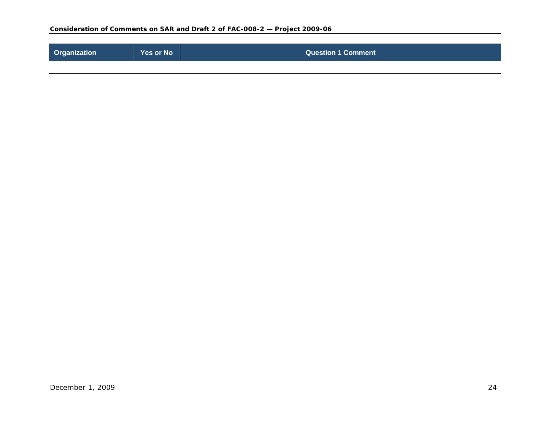| <b>Organization</b> | Yes or No | <b>Question 1 Comment</b> |
|---------------------|-----------|---------------------------|
|                     |           |                           |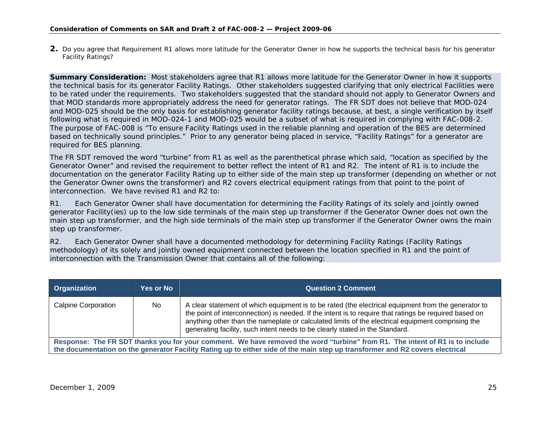**2.** Do you agree that Requirement R1 allows more latitude for the Generator Owner in how he supports the technical basis for his generator Facility Ratings?

**Summary Consideration:** Most stakeholders agree that R1 allows more latitude for the Generator Owner in how it supports the technical basis for its generator Facility Ratings. Other stakeholders suggested clarifying that only electrical Facilities were to be rated under the requirements. Two stakeholders suggested that the standard should not apply to Generator Owners and that MOD standards more appropriately address the need for generator ratings. The FR SDT does not believe that MOD-024 and MOD-025 should be the only basis for establishing generator facility ratings because, at best, a single verification by itself following what is required in MOD-024-1 and MOD-025 would be a subset of what is required in complying with FAC-008-2. The purpose of FAC-008 is "To ensure Facility Ratings used in the reliable planning and operation of the BES are determined based on technically sound principles." Prior to any generator being placed in service, "Facility Ratings" for a generator are required for BES planning.

The FR SDT removed the word "turbine" from R1 as well as the parenthetical phrase which said, "location as specified by the Generator Owner" and revised the requirement to better reflect the intent of R1 and R2. The intent of R1 is to include the documentation on the generator Facility Rating up to either side of the main step up transformer (depending on whether or not the Generator Owner owns the transformer) and R2 covers electrical equipment ratings from that point to the point of interconnection. We have revised R1 and R2 to:

R1. Each Generator Owner shall have documentation for determining the Facility Ratings of its solely and jointly owned generator Facility(ies) up to the low side terminals of the main step up transformer if the Generator Owner does not own the main step up transformer, and the high side terminals of the main step up transformer if the Generator Owner owns the main step up transformer.

<span id="page-24-0"></span>

| Organization                                                                                                                  | <b>Yes or No</b> | <b>Question 2 Comment</b>                                                                                                                                                                                                                                                                                                                                                                          |
|-------------------------------------------------------------------------------------------------------------------------------|------------------|----------------------------------------------------------------------------------------------------------------------------------------------------------------------------------------------------------------------------------------------------------------------------------------------------------------------------------------------------------------------------------------------------|
| <b>Calpine Corporation</b>                                                                                                    | No.              | A clear statement of which equipment is to be rated (the electrical equipment from the generator to<br>the point of interconnection) is needed. If the intent is to require that ratings be required based on<br>anything other than the nameplate or calculated limits of the electrical equipment comprising the<br>generating facility, such intent needs to be clearly stated in the Standard. |
| Response: The FR SDT thanks you for your comment. We have removed the word "turbine" from R1. The intent of R1 is to include  |                  |                                                                                                                                                                                                                                                                                                                                                                                                    |
| the documentation on the generator Facility Rating up to either side of the main step up transformer and R2 covers electrical |                  |                                                                                                                                                                                                                                                                                                                                                                                                    |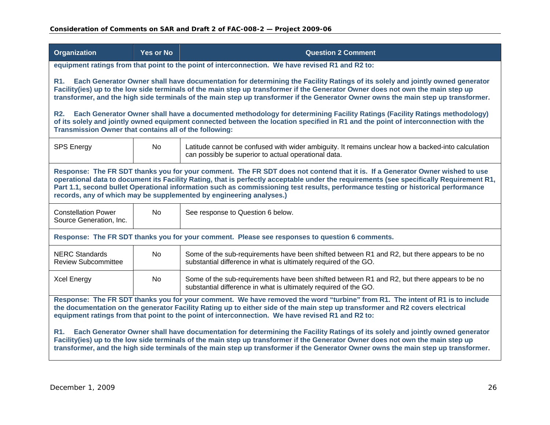| <b>Organization</b>                                                                                                                                                                                                                                                                                                                                                                                                 | <b>Yes or No</b>                                                                                                                                                                                                                                                                                                                                                                                                                                                                    | <b>Question 2 Comment</b>                                                                                                                                                                                                                                      |  |  |
|---------------------------------------------------------------------------------------------------------------------------------------------------------------------------------------------------------------------------------------------------------------------------------------------------------------------------------------------------------------------------------------------------------------------|-------------------------------------------------------------------------------------------------------------------------------------------------------------------------------------------------------------------------------------------------------------------------------------------------------------------------------------------------------------------------------------------------------------------------------------------------------------------------------------|----------------------------------------------------------------------------------------------------------------------------------------------------------------------------------------------------------------------------------------------------------------|--|--|
|                                                                                                                                                                                                                                                                                                                                                                                                                     |                                                                                                                                                                                                                                                                                                                                                                                                                                                                                     | equipment ratings from that point to the point of interconnection. We have revised R1 and R2 to:                                                                                                                                                               |  |  |
| R1.                                                                                                                                                                                                                                                                                                                                                                                                                 | Each Generator Owner shall have documentation for determining the Facility Ratings of its solely and jointly owned generator<br>Facility(ies) up to the low side terminals of the main step up transformer if the Generator Owner does not own the main step up<br>transformer, and the high side terminals of the main step up transformer if the Generator Owner owns the main step up transformer.                                                                               |                                                                                                                                                                                                                                                                |  |  |
| <b>R2.</b><br>Transmission Owner that contains all of the following:                                                                                                                                                                                                                                                                                                                                                |                                                                                                                                                                                                                                                                                                                                                                                                                                                                                     | Each Generator Owner shall have a documented methodology for determining Facility Ratings (Facility Ratings methodology)<br>of its solely and jointly owned equipment connected between the location specified in R1 and the point of interconnection with the |  |  |
| <b>SPS Energy</b>                                                                                                                                                                                                                                                                                                                                                                                                   | No                                                                                                                                                                                                                                                                                                                                                                                                                                                                                  | Latitude cannot be confused with wider ambiguity. It remains unclear how a backed-into calculation<br>can possibly be superior to actual operational data.                                                                                                     |  |  |
|                                                                                                                                                                                                                                                                                                                                                                                                                     | Response: The FR SDT thanks you for your comment. The FR SDT does not contend that it is. If a Generator Owner wished to use<br>operational data to document its Facility Rating, that is perfectly acceptable under the requirements (see specifically Requirement R1,<br>Part 1.1, second bullet Operational information such as commissioning test results, performance testing or historical performance<br>records, any of which may be supplemented by engineering analyses.) |                                                                                                                                                                                                                                                                |  |  |
| <b>Constellation Power</b><br>Source Generation, Inc.                                                                                                                                                                                                                                                                                                                                                               | <b>No</b>                                                                                                                                                                                                                                                                                                                                                                                                                                                                           | See response to Question 6 below.                                                                                                                                                                                                                              |  |  |
|                                                                                                                                                                                                                                                                                                                                                                                                                     |                                                                                                                                                                                                                                                                                                                                                                                                                                                                                     | Response: The FR SDT thanks you for your comment. Please see responses to question 6 comments.                                                                                                                                                                 |  |  |
| <b>NERC Standards</b><br><b>Review Subcommittee</b>                                                                                                                                                                                                                                                                                                                                                                 | <b>No</b>                                                                                                                                                                                                                                                                                                                                                                                                                                                                           | Some of the sub-requirements have been shifted between R1 and R2, but there appears to be no<br>substantial difference in what is ultimately required of the GO.                                                                                               |  |  |
| <b>Xcel Energy</b>                                                                                                                                                                                                                                                                                                                                                                                                  | <b>No</b>                                                                                                                                                                                                                                                                                                                                                                                                                                                                           | Some of the sub-requirements have been shifted between R1 and R2, but there appears to be no<br>substantial difference in what is ultimately required of the GO.                                                                                               |  |  |
| Response: The FR SDT thanks you for your comment. We have removed the word "turbine" from R1. The intent of R1 is to include<br>the documentation on the generator Facility Rating up to either side of the main step up transformer and R2 covers electrical<br>equipment ratings from that point to the point of interconnection. We have revised R1 and R2 to:                                                   |                                                                                                                                                                                                                                                                                                                                                                                                                                                                                     |                                                                                                                                                                                                                                                                |  |  |
| Each Generator Owner shall have documentation for determining the Facility Ratings of its solely and jointly owned generator<br><b>R1.</b><br>Facility(ies) up to the low side terminals of the main step up transformer if the Generator Owner does not own the main step up<br>transformer, and the high side terminals of the main step up transformer if the Generator Owner owns the main step up transformer. |                                                                                                                                                                                                                                                                                                                                                                                                                                                                                     |                                                                                                                                                                                                                                                                |  |  |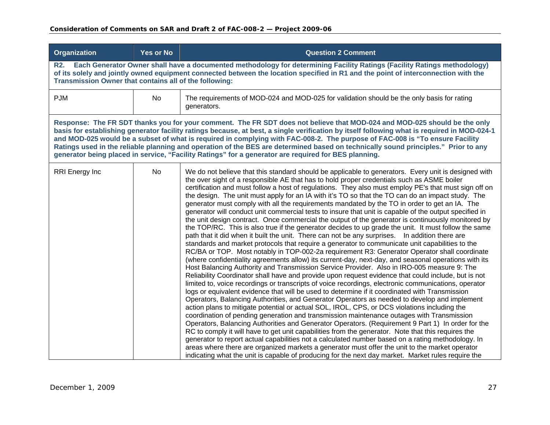| <b>Organization</b>   | <b>Yes or No</b>                                                                                                                                                                                                                                                                                                         | <b>Question 2 Comment</b>                                                                                                                                                                                                                                                                                                                                                                                                                                                                                                                                                                                                                                                                                                                                                                                                                                                                                                                                                                                                                                                                                                                                                                                                                                                                                                                                                                                                                                                                                                                                                                                                                                                                                                                                                                                                                                                                                                                                                                                                                                                                                                                                                                                                                                                                                                                                                                                                                                                                  |  |
|-----------------------|--------------------------------------------------------------------------------------------------------------------------------------------------------------------------------------------------------------------------------------------------------------------------------------------------------------------------|--------------------------------------------------------------------------------------------------------------------------------------------------------------------------------------------------------------------------------------------------------------------------------------------------------------------------------------------------------------------------------------------------------------------------------------------------------------------------------------------------------------------------------------------------------------------------------------------------------------------------------------------------------------------------------------------------------------------------------------------------------------------------------------------------------------------------------------------------------------------------------------------------------------------------------------------------------------------------------------------------------------------------------------------------------------------------------------------------------------------------------------------------------------------------------------------------------------------------------------------------------------------------------------------------------------------------------------------------------------------------------------------------------------------------------------------------------------------------------------------------------------------------------------------------------------------------------------------------------------------------------------------------------------------------------------------------------------------------------------------------------------------------------------------------------------------------------------------------------------------------------------------------------------------------------------------------------------------------------------------------------------------------------------------------------------------------------------------------------------------------------------------------------------------------------------------------------------------------------------------------------------------------------------------------------------------------------------------------------------------------------------------------------------------------------------------------------------------------------------------|--|
| R2.                   | Each Generator Owner shall have a documented methodology for determining Facility Ratings (Facility Ratings methodology)<br>of its solely and jointly owned equipment connected between the location specified in R1 and the point of interconnection with the<br>Transmission Owner that contains all of the following: |                                                                                                                                                                                                                                                                                                                                                                                                                                                                                                                                                                                                                                                                                                                                                                                                                                                                                                                                                                                                                                                                                                                                                                                                                                                                                                                                                                                                                                                                                                                                                                                                                                                                                                                                                                                                                                                                                                                                                                                                                                                                                                                                                                                                                                                                                                                                                                                                                                                                                            |  |
| <b>PJM</b>            | No                                                                                                                                                                                                                                                                                                                       | The requirements of MOD-024 and MOD-025 for validation should be the only basis for rating<br>generators.                                                                                                                                                                                                                                                                                                                                                                                                                                                                                                                                                                                                                                                                                                                                                                                                                                                                                                                                                                                                                                                                                                                                                                                                                                                                                                                                                                                                                                                                                                                                                                                                                                                                                                                                                                                                                                                                                                                                                                                                                                                                                                                                                                                                                                                                                                                                                                                  |  |
|                       |                                                                                                                                                                                                                                                                                                                          | Response: The FR SDT thanks you for your comment. The FR SDT does not believe that MOD-024 and MOD-025 should be the only<br>basis for establishing generator facility ratings because, at best, a single verification by itself following what is required in MOD-024-1<br>and MOD-025 would be a subset of what is required in complying with FAC-008-2. The purpose of FAC-008 is "To ensure Facility<br>Ratings used in the reliable planning and operation of the BES are determined based on technically sound principles." Prior to any<br>generator being placed in service, "Facility Ratings" for a generator are required for BES planning.                                                                                                                                                                                                                                                                                                                                                                                                                                                                                                                                                                                                                                                                                                                                                                                                                                                                                                                                                                                                                                                                                                                                                                                                                                                                                                                                                                                                                                                                                                                                                                                                                                                                                                                                                                                                                                     |  |
| <b>RRI</b> Energy Inc | No                                                                                                                                                                                                                                                                                                                       | We do not believe that this standard should be applicable to generators. Every unit is designed with<br>the over sight of a responsible AE that has to hold proper credentials such as ASME boiler<br>certification and must follow a host of regulations. They also must employ PE's that must sign off on<br>the design. The unit must apply for an IA with it's TO so that the TO can do an impact study. The<br>generator must comply with all the requirements mandated by the TO in order to get an IA. The<br>generator will conduct unit commercial tests to insure that unit is capable of the output specified in<br>the unit design contract. Once commercial the output of the generator is continuously monitored by<br>the TOP/RC. This is also true if the generator decides to up grade the unit. It must follow the same<br>path that it did when it built the unit. There can not be any surprises. In addition there are<br>standards and market protocols that require a generator to communicate unit capabilities to the<br>RC/BA or TOP. Most notably in TOP-002-2a requirement R3: Generator Operator shall coordinate<br>(where confidentiality agreements allow) its current-day, next-day, and seasonal operations with its<br>Host Balancing Authority and Transmission Service Provider. Also in IRO-005 measure 9: The<br>Reliability Coordinator shall have and provide upon request evidence that could include, but is not<br>limited to, voice recordings or transcripts of voice recordings, electronic communications, operator<br>logs or equivalent evidence that will be used to determine if it coordinated with Transmission<br>Operators, Balancing Authorities, and Generator Operators as needed to develop and implement<br>action plans to mitigate potential or actual SOL, IROL, CPS, or DCS violations including the<br>coordination of pending generation and transmission maintenance outages with Transmission<br>Operators, Balancing Authorities and Generator Operators. (Requirement 9 Part 1) In order for the<br>RC to comply it will have to get unit capabilities from the generator. Note that this requires the<br>generator to report actual capabilities not a calculated number based on a rating methodology. In<br>areas where there are organized markets a generator must offer the unit to the market operator<br>indicating what the unit is capable of producing for the next day market. Market rules require the |  |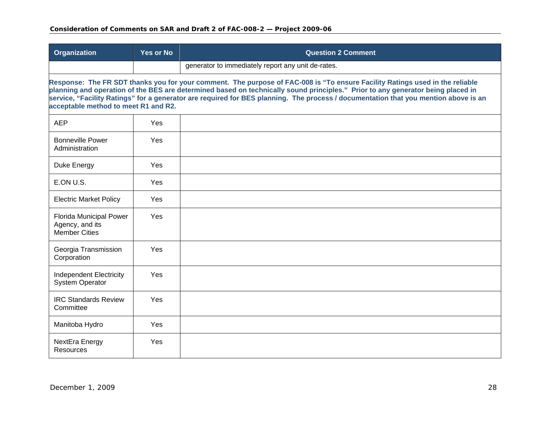| Organization                                                       | <b>Yes or No</b> | <b>Question 2 Comment</b>                                                                                                                                                                                                                                                                                                                                                                              |
|--------------------------------------------------------------------|------------------|--------------------------------------------------------------------------------------------------------------------------------------------------------------------------------------------------------------------------------------------------------------------------------------------------------------------------------------------------------------------------------------------------------|
|                                                                    |                  | generator to immediately report any unit de-rates.                                                                                                                                                                                                                                                                                                                                                     |
| acceptable method to meet R1 and R2.                               |                  | Response: The FR SDT thanks you for your comment. The purpose of FAC-008 is "To ensure Facility Ratings used in the reliable<br>planning and operation of the BES are determined based on technically sound principles." Prior to any generator being placed in<br>service, "Facility Ratings" for a generator are required for BES planning. The process / documentation that you mention above is an |
| <b>AEP</b>                                                         | Yes              |                                                                                                                                                                                                                                                                                                                                                                                                        |
| <b>Bonneville Power</b><br>Administration                          | Yes              |                                                                                                                                                                                                                                                                                                                                                                                                        |
| Duke Energy                                                        | Yes              |                                                                                                                                                                                                                                                                                                                                                                                                        |
| E.ON U.S.                                                          | Yes              |                                                                                                                                                                                                                                                                                                                                                                                                        |
| <b>Electric Market Policy</b>                                      | Yes              |                                                                                                                                                                                                                                                                                                                                                                                                        |
| Florida Municipal Power<br>Agency, and its<br><b>Member Cities</b> | <b>Yes</b>       |                                                                                                                                                                                                                                                                                                                                                                                                        |
| Georgia Transmission<br>Corporation                                | Yes              |                                                                                                                                                                                                                                                                                                                                                                                                        |
| <b>Independent Electricity</b><br><b>System Operator</b>           | Yes              |                                                                                                                                                                                                                                                                                                                                                                                                        |
| <b>IRC Standards Review</b><br>Committee                           | Yes              |                                                                                                                                                                                                                                                                                                                                                                                                        |
| Manitoba Hydro                                                     | Yes              |                                                                                                                                                                                                                                                                                                                                                                                                        |
| NextEra Energy<br><b>Resources</b>                                 | Yes              |                                                                                                                                                                                                                                                                                                                                                                                                        |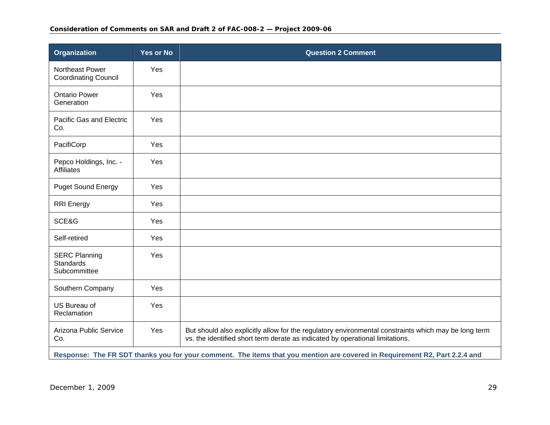| Organization                                                                                                               | <b>Yes or No</b> | <b>Question 2 Comment</b>                                                                                                                                                             |
|----------------------------------------------------------------------------------------------------------------------------|------------------|---------------------------------------------------------------------------------------------------------------------------------------------------------------------------------------|
| Northeast Power<br><b>Coordinating Council</b>                                                                             | Yes              |                                                                                                                                                                                       |
| <b>Ontario Power</b><br>Generation                                                                                         | Yes              |                                                                                                                                                                                       |
| Pacific Gas and Electric<br>Co.                                                                                            | Yes              |                                                                                                                                                                                       |
| PacifiCorp                                                                                                                 | Yes              |                                                                                                                                                                                       |
| Pepco Holdings, Inc. -<br><b>Affiliates</b>                                                                                | Yes              |                                                                                                                                                                                       |
| <b>Puget Sound Energy</b>                                                                                                  | Yes              |                                                                                                                                                                                       |
| <b>RRI</b> Energy                                                                                                          | Yes              |                                                                                                                                                                                       |
| SCE&G                                                                                                                      | Yes              |                                                                                                                                                                                       |
| Self-retired                                                                                                               | Yes              |                                                                                                                                                                                       |
| <b>SERC Planning</b><br><b>Standards</b><br>Subcommittee                                                                   | Yes              |                                                                                                                                                                                       |
| Southern Company                                                                                                           | Yes              |                                                                                                                                                                                       |
| US Bureau of<br>Reclamation                                                                                                | Yes              |                                                                                                                                                                                       |
| Arizona Public Service<br>Co.                                                                                              | Yes              | But should also explicitly allow for the regulatory environmental constraints which may be long term<br>vs. the identified short term derate as indicated by operational limitations. |
| Response: The FR SDT thanks you for your comment. The items that you mention are covered in Requirement R2, Part 2.2.4 and |                  |                                                                                                                                                                                       |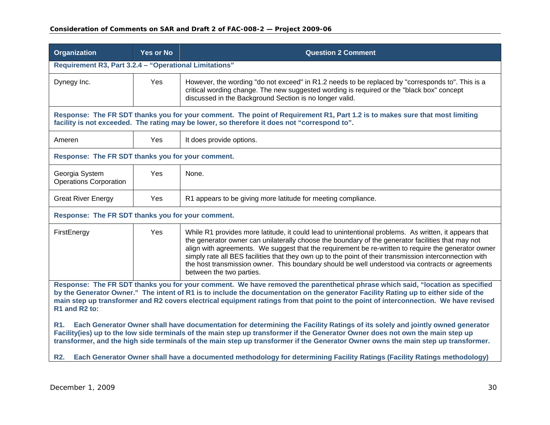| <b>Organization</b>                                                                                                                                                                                                                                                                                                                                                                                                           | <b>Yes or No</b> | <b>Question 2 Comment</b>                                                                                                                                                                                                                                                                                                                                                                                                                                                                                                                                    |
|-------------------------------------------------------------------------------------------------------------------------------------------------------------------------------------------------------------------------------------------------------------------------------------------------------------------------------------------------------------------------------------------------------------------------------|------------------|--------------------------------------------------------------------------------------------------------------------------------------------------------------------------------------------------------------------------------------------------------------------------------------------------------------------------------------------------------------------------------------------------------------------------------------------------------------------------------------------------------------------------------------------------------------|
| Requirement R3, Part 3.2.4 - "Operational Limitations"                                                                                                                                                                                                                                                                                                                                                                        |                  |                                                                                                                                                                                                                                                                                                                                                                                                                                                                                                                                                              |
| Dynegy Inc.                                                                                                                                                                                                                                                                                                                                                                                                                   | Yes              | However, the wording "do not exceed" in R1.2 needs to be replaced by "corresponds to". This is a<br>critical wording change. The new suggested wording is required or the "black box" concept<br>discussed in the Background Section is no longer valid.                                                                                                                                                                                                                                                                                                     |
|                                                                                                                                                                                                                                                                                                                                                                                                                               |                  | Response: The FR SDT thanks you for your comment. The point of Requirement R1, Part 1.2 is to makes sure that most limiting<br>facility is not exceeded. The rating may be lower, so therefore it does not "correspond to".                                                                                                                                                                                                                                                                                                                                  |
| Ameren                                                                                                                                                                                                                                                                                                                                                                                                                        | Yes              | It does provide options.                                                                                                                                                                                                                                                                                                                                                                                                                                                                                                                                     |
| Response: The FR SDT thanks you for your comment.                                                                                                                                                                                                                                                                                                                                                                             |                  |                                                                                                                                                                                                                                                                                                                                                                                                                                                                                                                                                              |
| Georgia System<br><b>Operations Corporation</b>                                                                                                                                                                                                                                                                                                                                                                               | Yes              | None.                                                                                                                                                                                                                                                                                                                                                                                                                                                                                                                                                        |
| <b>Great River Energy</b>                                                                                                                                                                                                                                                                                                                                                                                                     | Yes              | R1 appears to be giving more latitude for meeting compliance.                                                                                                                                                                                                                                                                                                                                                                                                                                                                                                |
| Response: The FR SDT thanks you for your comment.                                                                                                                                                                                                                                                                                                                                                                             |                  |                                                                                                                                                                                                                                                                                                                                                                                                                                                                                                                                                              |
| FirstEnergy                                                                                                                                                                                                                                                                                                                                                                                                                   | Yes              | While R1 provides more latitude, it could lead to unintentional problems. As written, it appears that<br>the generator owner can unilaterally choose the boundary of the generator facilities that may not<br>align with agreements. We suggest that the requirement be re-written to require the generator owner<br>simply rate all BES facilities that they own up to the point of their transmission interconnection with<br>the host transmission owner. This boundary should be well understood via contracts or agreements<br>between the two parties. |
| Response: The FR SDT thanks you for your comment. We have removed the parenthetical phrase which said, "location as specified<br>by the Generator Owner." The intent of R1 is to include the documentation on the generator Facility Rating up to either side of the<br>main step up transformer and R2 covers electrical equipment ratings from that point to the point of interconnection. We have revised<br>R1 and R2 to: |                  |                                                                                                                                                                                                                                                                                                                                                                                                                                                                                                                                                              |
| Each Generator Owner shall have documentation for determining the Facility Ratings of its solely and jointly owned generator<br>R1.<br>Facility(ies) up to the low side terminals of the main step up transformer if the Generator Owner does not own the main step up<br>transformer, and the high side terminals of the main step up transformer if the Generator Owner owns the main step up transformer.                  |                  |                                                                                                                                                                                                                                                                                                                                                                                                                                                                                                                                                              |
| Each Generator Owner shall have a documented methodology for determining Facility Ratings (Facility Ratings methodology)<br><b>R2.</b>                                                                                                                                                                                                                                                                                        |                  |                                                                                                                                                                                                                                                                                                                                                                                                                                                                                                                                                              |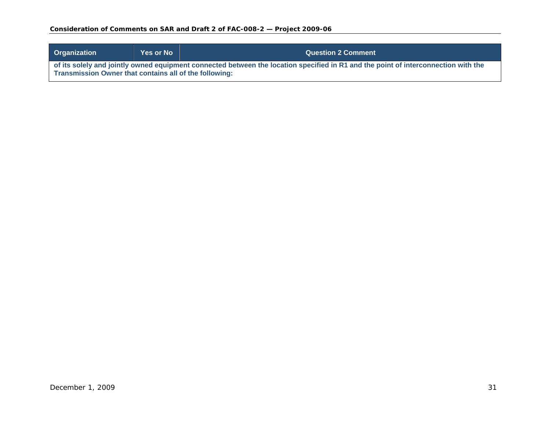### **Consideration of Comments on SAR and Draft 2 of FAC-008-2 — Project 2009-06**

| <b>Organization</b>                                                                                                                                                                                 | <b>Yes or No</b> | <b>Question 2 Comment</b> |
|-----------------------------------------------------------------------------------------------------------------------------------------------------------------------------------------------------|------------------|---------------------------|
| of its solely and jointly owned equipment connected between the location specified in R1 and the point of interconnection with the<br><b>Transmission Owner that contains all of the following:</b> |                  |                           |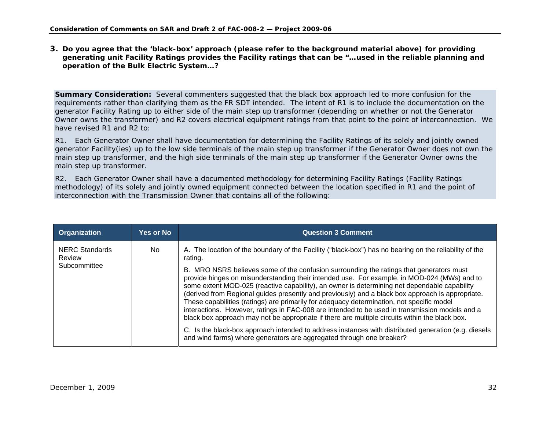**3. Do you agree that the 'black-box' approach (please refer to the background material above) for providing generating unit Facility Ratings provides the Facility ratings that can be "…used in the reliable planning and operation of the Bulk Electric System…?** 

**Summary Consideration:** Several commenters suggested that the black box approach led to more confusion for the requirements rather than clarifying them as the FR SDT intended. The intent of R1 is to include the documentation on the generator Facility Rating up to either side of the main step up transformer (depending on whether or not the Generator Owner owns the transformer) and R2 covers electrical equipment ratings from that point to the point of interconnection. We have revised R1 and R2 to:

R1. Each Generator Owner shall have documentation for determining the Facility Ratings of its solely and jointly owned generator Facility(ies) up to the low side terminals of the main step up transformer if the Generator Owner does not own the main step up transformer, and the high side terminals of the main step up transformer if the Generator Owner owns the main step up transformer.

<span id="page-31-0"></span>

| Organization                                    | Yes or No | <b>Question 3 Comment</b>                                                                                                                                                                                                                                                                                                                                                                                                                                                                                                                                                                                                                                                                   |
|-------------------------------------------------|-----------|---------------------------------------------------------------------------------------------------------------------------------------------------------------------------------------------------------------------------------------------------------------------------------------------------------------------------------------------------------------------------------------------------------------------------------------------------------------------------------------------------------------------------------------------------------------------------------------------------------------------------------------------------------------------------------------------|
| <b>NERC Standards</b><br>Review<br>Subcommittee | No.       | A. The location of the boundary of the Facility ("black-box") has no bearing on the reliability of the<br>rating.                                                                                                                                                                                                                                                                                                                                                                                                                                                                                                                                                                           |
|                                                 |           | B. MRO NSRS believes some of the confusion surrounding the ratings that generators must<br>provide hinges on misunderstanding their intended use. For example, in MOD-024 (MWs) and to<br>some extent MOD-025 (reactive capability), an owner is determining net dependable capability<br>(derived from Regional guides presently and previously) and a black box approach is appropriate.<br>These capabilities (ratings) are primarily for adequacy determination, not specific model<br>interactions. However, ratings in FAC-008 are intended to be used in transmission models and a<br>black box approach may not be appropriate if there are multiple circuits within the black box. |
|                                                 |           | C. Is the black-box approach intended to address instances with distributed generation (e.g. diesels<br>and wind farms) where generators are aggregated through one breaker?                                                                                                                                                                                                                                                                                                                                                                                                                                                                                                                |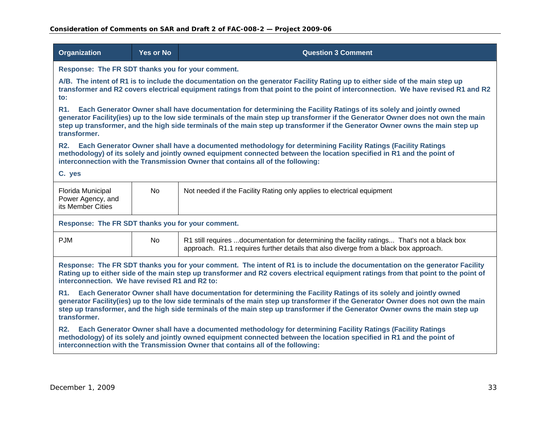| <b>Organization</b>                                                                                                                                                                                                                                                                                                                                                                                                    | <b>Yes or No</b>                                  | <b>Question 3 Comment</b>                                                                                                                                                                                                                                                                                                                                                                |  |
|------------------------------------------------------------------------------------------------------------------------------------------------------------------------------------------------------------------------------------------------------------------------------------------------------------------------------------------------------------------------------------------------------------------------|---------------------------------------------------|------------------------------------------------------------------------------------------------------------------------------------------------------------------------------------------------------------------------------------------------------------------------------------------------------------------------------------------------------------------------------------------|--|
|                                                                                                                                                                                                                                                                                                                                                                                                                        | Response: The FR SDT thanks you for your comment. |                                                                                                                                                                                                                                                                                                                                                                                          |  |
| to:                                                                                                                                                                                                                                                                                                                                                                                                                    |                                                   | A/B. The intent of R1 is to include the documentation on the generator Facility Rating up to either side of the main step up<br>transformer and R2 covers electrical equipment ratings from that point to the point of interconnection. We have revised R1 and R2                                                                                                                        |  |
| R <sub>1</sub> .<br>transformer.                                                                                                                                                                                                                                                                                                                                                                                       |                                                   | Each Generator Owner shall have documentation for determining the Facility Ratings of its solely and jointly owned<br>generator Facility(ies) up to the low side terminals of the main step up transformer if the Generator Owner does not own the main<br>step up transformer, and the high side terminals of the main step up transformer if the Generator Owner owns the main step up |  |
| <b>R2.</b>                                                                                                                                                                                                                                                                                                                                                                                                             |                                                   | Each Generator Owner shall have a documented methodology for determining Facility Ratings (Facility Ratings<br>methodology) of its solely and jointly owned equipment connected between the location specified in R1 and the point of<br>interconnection with the Transmission Owner that contains all of the following:                                                                 |  |
| C. yes                                                                                                                                                                                                                                                                                                                                                                                                                 |                                                   |                                                                                                                                                                                                                                                                                                                                                                                          |  |
| Florida Municipal<br>Power Agency, and<br>its Member Cities                                                                                                                                                                                                                                                                                                                                                            | <b>No</b>                                         | Not needed if the Facility Rating only applies to electrical equipment                                                                                                                                                                                                                                                                                                                   |  |
| Response: The FR SDT thanks you for your comment.                                                                                                                                                                                                                                                                                                                                                                      |                                                   |                                                                                                                                                                                                                                                                                                                                                                                          |  |
| <b>PJM</b>                                                                                                                                                                                                                                                                                                                                                                                                             | <b>No</b>                                         | R1 still requires documentation for determining the facility ratings That's not a black box<br>approach. R1.1 requires further details that also diverge from a black box approach.                                                                                                                                                                                                      |  |
| Response: The FR SDT thanks you for your comment. The intent of R1 is to include the documentation on the generator Facility<br>Rating up to either side of the main step up transformer and R2 covers electrical equipment ratings from that point to the point of<br>interconnection. We have revised R1 and R2 to:                                                                                                  |                                                   |                                                                                                                                                                                                                                                                                                                                                                                          |  |
| Each Generator Owner shall have documentation for determining the Facility Ratings of its solely and jointly owned<br><b>R1.</b><br>generator Facility(ies) up to the low side terminals of the main step up transformer if the Generator Owner does not own the main<br>step up transformer, and the high side terminals of the main step up transformer if the Generator Owner owns the main step up<br>transformer. |                                                   |                                                                                                                                                                                                                                                                                                                                                                                          |  |
| Each Generator Owner shall have a documented methodology for determining Facility Ratings (Facility Ratings<br><b>R2.</b><br>methodology) of its solely and jointly owned equipment connected between the location specified in R1 and the point of<br>interconnection with the Transmission Owner that contains all of the following:                                                                                 |                                                   |                                                                                                                                                                                                                                                                                                                                                                                          |  |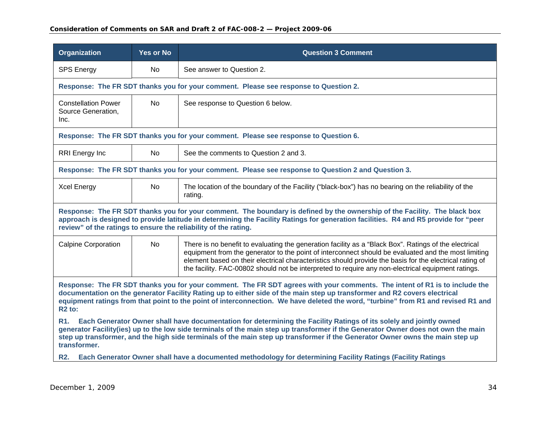| <b>Organization</b>                                                                                                                                                                                                                                                                                                                                                                                                | <b>Yes or No</b>                                                                                                                                                                                                                                                                                                                    | <b>Question 3 Comment</b>                                                                                                                                                                                                                                                                                                                                                                                                     |  |
|--------------------------------------------------------------------------------------------------------------------------------------------------------------------------------------------------------------------------------------------------------------------------------------------------------------------------------------------------------------------------------------------------------------------|-------------------------------------------------------------------------------------------------------------------------------------------------------------------------------------------------------------------------------------------------------------------------------------------------------------------------------------|-------------------------------------------------------------------------------------------------------------------------------------------------------------------------------------------------------------------------------------------------------------------------------------------------------------------------------------------------------------------------------------------------------------------------------|--|
| <b>SPS Energy</b>                                                                                                                                                                                                                                                                                                                                                                                                  | No.                                                                                                                                                                                                                                                                                                                                 | See answer to Question 2.                                                                                                                                                                                                                                                                                                                                                                                                     |  |
|                                                                                                                                                                                                                                                                                                                                                                                                                    |                                                                                                                                                                                                                                                                                                                                     | Response: The FR SDT thanks you for your comment. Please see response to Question 2.                                                                                                                                                                                                                                                                                                                                          |  |
| <b>Constellation Power</b><br>Source Generation,<br>Inc.                                                                                                                                                                                                                                                                                                                                                           | <b>No</b>                                                                                                                                                                                                                                                                                                                           | See response to Question 6 below.                                                                                                                                                                                                                                                                                                                                                                                             |  |
|                                                                                                                                                                                                                                                                                                                                                                                                                    |                                                                                                                                                                                                                                                                                                                                     | Response: The FR SDT thanks you for your comment. Please see response to Question 6.                                                                                                                                                                                                                                                                                                                                          |  |
| <b>RRI</b> Energy Inc                                                                                                                                                                                                                                                                                                                                                                                              | No.                                                                                                                                                                                                                                                                                                                                 | See the comments to Question 2 and 3.                                                                                                                                                                                                                                                                                                                                                                                         |  |
|                                                                                                                                                                                                                                                                                                                                                                                                                    |                                                                                                                                                                                                                                                                                                                                     | Response: The FR SDT thanks you for your comment. Please see response to Question 2 and Question 3.                                                                                                                                                                                                                                                                                                                           |  |
| <b>Xcel Energy</b>                                                                                                                                                                                                                                                                                                                                                                                                 | <b>No</b>                                                                                                                                                                                                                                                                                                                           | The location of the boundary of the Facility ("black-box") has no bearing on the reliability of the<br>rating.                                                                                                                                                                                                                                                                                                                |  |
|                                                                                                                                                                                                                                                                                                                                                                                                                    | Response: The FR SDT thanks you for your comment. The boundary is defined by the ownership of the Facility. The black box<br>approach is designed to provide latitude in determining the Facility Ratings for generation facilities. R4 and R5 provide for "peer<br>review" of the ratings to ensure the reliability of the rating. |                                                                                                                                                                                                                                                                                                                                                                                                                               |  |
| <b>Calpine Corporation</b>                                                                                                                                                                                                                                                                                                                                                                                         | <b>No</b>                                                                                                                                                                                                                                                                                                                           | There is no benefit to evaluating the generation facility as a "Black Box". Ratings of the electrical<br>equipment from the generator to the point of interconnect should be evaluated and the most limiting<br>element based on their electrical characteristics should provide the basis for the electrical rating of<br>the facility. FAC-00802 should not be interpreted to require any non-electrical equipment ratings. |  |
| Response: The FR SDT thanks you for your comment. The FR SDT agrees with your comments. The intent of R1 is to include the<br>documentation on the generator Facility Rating up to either side of the main step up transformer and R2 covers electrical<br>equipment ratings from that point to the point of interconnection. We have deleted the word, "turbine" from R1 and revised R1 and<br>R <sub>2</sub> to: |                                                                                                                                                                                                                                                                                                                                     |                                                                                                                                                                                                                                                                                                                                                                                                                               |  |
| Each Generator Owner shall have documentation for determining the Facility Ratings of its solely and jointly owned<br>R1.<br>generator Facility(ies) up to the low side terminals of the main step up transformer if the Generator Owner does not own the main<br>step up transformer, and the high side terminals of the main step up transformer if the Generator Owner owns the main step up<br>transformer.    |                                                                                                                                                                                                                                                                                                                                     |                                                                                                                                                                                                                                                                                                                                                                                                                               |  |
|                                                                                                                                                                                                                                                                                                                                                                                                                    |                                                                                                                                                                                                                                                                                                                                     | R2. Each Generator Owner shall have a documented methodology for determining Facility Ratings (Facility Ratings                                                                                                                                                                                                                                                                                                               |  |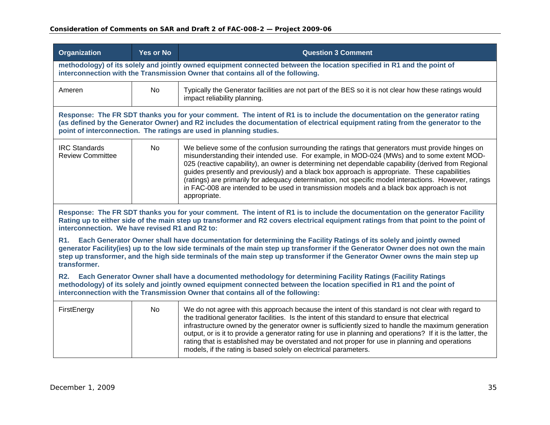| <b>Organization</b>                                                                                                                                                                                                                                                                                                                    | <b>Yes or No</b>                                                                                                                                                                                                                                                                                                                                                                         | <b>Question 3 Comment</b>                                                                                                                                                                                                                                                                                                                                                                                                                                                                                                                                                                                                  |  |
|----------------------------------------------------------------------------------------------------------------------------------------------------------------------------------------------------------------------------------------------------------------------------------------------------------------------------------------|------------------------------------------------------------------------------------------------------------------------------------------------------------------------------------------------------------------------------------------------------------------------------------------------------------------------------------------------------------------------------------------|----------------------------------------------------------------------------------------------------------------------------------------------------------------------------------------------------------------------------------------------------------------------------------------------------------------------------------------------------------------------------------------------------------------------------------------------------------------------------------------------------------------------------------------------------------------------------------------------------------------------------|--|
|                                                                                                                                                                                                                                                                                                                                        |                                                                                                                                                                                                                                                                                                                                                                                          | methodology) of its solely and jointly owned equipment connected between the location specified in R1 and the point of<br>interconnection with the Transmission Owner that contains all of the following.                                                                                                                                                                                                                                                                                                                                                                                                                  |  |
| Ameren                                                                                                                                                                                                                                                                                                                                 | <b>No</b>                                                                                                                                                                                                                                                                                                                                                                                | Typically the Generator facilities are not part of the BES so it is not clear how these ratings would<br>impact reliability planning.                                                                                                                                                                                                                                                                                                                                                                                                                                                                                      |  |
|                                                                                                                                                                                                                                                                                                                                        |                                                                                                                                                                                                                                                                                                                                                                                          | Response: The FR SDT thanks you for your comment. The intent of R1 is to include the documentation on the generator rating<br>(as defined by the Generator Owner) and R2 includes the documentation of electrical equipment rating from the generator to the<br>point of interconnection. The ratings are used in planning studies.                                                                                                                                                                                                                                                                                        |  |
| <b>IRC Standards</b><br><b>Review Committee</b>                                                                                                                                                                                                                                                                                        | <b>No</b>                                                                                                                                                                                                                                                                                                                                                                                | We believe some of the confusion surrounding the ratings that generators must provide hinges on<br>misunderstanding their intended use. For example, in MOD-024 (MWs) and to some extent MOD-<br>025 (reactive capability), an owner is determining net dependable capability (derived from Regional<br>guides presently and previously) and a black box approach is appropriate. These capabilities<br>(ratings) are primarily for adequacy determination, not specific model interactions. However, ratings<br>in FAC-008 are intended to be used in transmission models and a black box approach is not<br>appropriate. |  |
| Response: The FR SDT thanks you for your comment. The intent of R1 is to include the documentation on the generator Facility<br>Rating up to either side of the main step up transformer and R2 covers electrical equipment ratings from that point to the point of<br>interconnection. We have revised R1 and R2 to:                  |                                                                                                                                                                                                                                                                                                                                                                                          |                                                                                                                                                                                                                                                                                                                                                                                                                                                                                                                                                                                                                            |  |
| <b>R1.</b><br>transformer.                                                                                                                                                                                                                                                                                                             | Each Generator Owner shall have documentation for determining the Facility Ratings of its solely and jointly owned<br>generator Facility(ies) up to the low side terminals of the main step up transformer if the Generator Owner does not own the main<br>step up transformer, and the high side terminals of the main step up transformer if the Generator Owner owns the main step up |                                                                                                                                                                                                                                                                                                                                                                                                                                                                                                                                                                                                                            |  |
| <b>R2.</b><br>Each Generator Owner shall have a documented methodology for determining Facility Ratings (Facility Ratings<br>methodology) of its solely and jointly owned equipment connected between the location specified in R1 and the point of<br>interconnection with the Transmission Owner that contains all of the following: |                                                                                                                                                                                                                                                                                                                                                                                          |                                                                                                                                                                                                                                                                                                                                                                                                                                                                                                                                                                                                                            |  |
| FirstEnergy                                                                                                                                                                                                                                                                                                                            | No                                                                                                                                                                                                                                                                                                                                                                                       | We do not agree with this approach because the intent of this standard is not clear with regard to<br>the traditional generator facilities. Is the intent of this standard to ensure that electrical<br>infrastructure owned by the generator owner is sufficiently sized to handle the maximum generation<br>output, or is it to provide a generator rating for use in planning and operations? If it is the latter, the<br>rating that is established may be overstated and not proper for use in planning and operations<br>models, if the rating is based solely on electrical parameters.                             |  |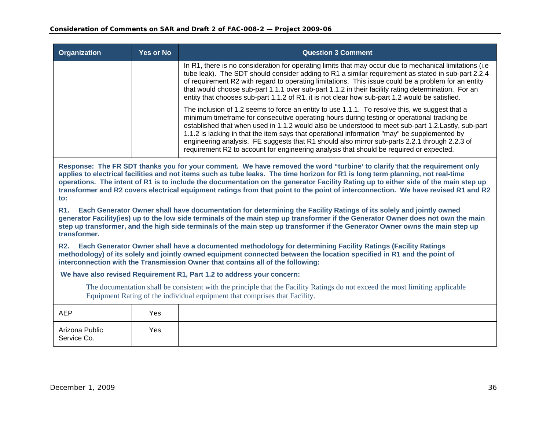| Organization                                                                                                                                                                                                                                                                                                                                                                                                                                                                                                                                    | Yes or No                                                                                                                                                                                                                                                                                                                                                                                | <b>Question 3 Comment</b>                                                                                                                                                                                                                                                                                                                                                                                                                                                                                                                                                                        |  |
|-------------------------------------------------------------------------------------------------------------------------------------------------------------------------------------------------------------------------------------------------------------------------------------------------------------------------------------------------------------------------------------------------------------------------------------------------------------------------------------------------------------------------------------------------|------------------------------------------------------------------------------------------------------------------------------------------------------------------------------------------------------------------------------------------------------------------------------------------------------------------------------------------------------------------------------------------|--------------------------------------------------------------------------------------------------------------------------------------------------------------------------------------------------------------------------------------------------------------------------------------------------------------------------------------------------------------------------------------------------------------------------------------------------------------------------------------------------------------------------------------------------------------------------------------------------|--|
|                                                                                                                                                                                                                                                                                                                                                                                                                                                                                                                                                 |                                                                                                                                                                                                                                                                                                                                                                                          | In R1, there is no consideration for operating limits that may occur due to mechanical limitations (i.e.<br>tube leak). The SDT should consider adding to R1 a similar requirement as stated in sub-part 2.2.4<br>of requirement R2 with regard to operating limitations. This issue could be a problem for an entity<br>that would choose sub-part 1.1.1 over sub-part 1.1.2 in their facility rating determination. For an<br>entity that chooses sub-part 1.1.2 of R1, it is not clear how sub-part 1.2 would be satisfied.                                                                   |  |
|                                                                                                                                                                                                                                                                                                                                                                                                                                                                                                                                                 |                                                                                                                                                                                                                                                                                                                                                                                          | The inclusion of 1.2 seems to force an entity to use 1.1.1. To resolve this, we suggest that a<br>minimum timeframe for consecutive operating hours during testing or operational tracking be<br>established that when used in 1.1.2 would also be understood to meet sub-part 1.2. Lastly, sub-part<br>1.1.2 is lacking in that the item says that operational information "may" be supplemented by<br>engineering analysis. FE suggests that R1 should also mirror sub-parts 2.2.1 through 2.2.3 of<br>requirement R2 to account for engineering analysis that should be required or expected. |  |
| Response: The FR SDT thanks you for your comment. We have removed the word "turbine' to clarify that the requirement only<br>applies to electrical facilities and not items such as tube leaks. The time horizon for R1 is long term planning, not real-time<br>operations. The intent of R1 is to include the documentation on the generator Facility Rating up to either side of the main step up<br>transformer and R2 covers electrical equipment ratings from that point to the point of interconnection. We have revised R1 and R2<br>to: |                                                                                                                                                                                                                                                                                                                                                                                          |                                                                                                                                                                                                                                                                                                                                                                                                                                                                                                                                                                                                  |  |
| <b>R1.</b><br>transformer.                                                                                                                                                                                                                                                                                                                                                                                                                                                                                                                      | Each Generator Owner shall have documentation for determining the Facility Ratings of its solely and jointly owned<br>generator Facility(ies) up to the low side terminals of the main step up transformer if the Generator Owner does not own the main<br>step up transformer, and the high side terminals of the main step up transformer if the Generator Owner owns the main step up |                                                                                                                                                                                                                                                                                                                                                                                                                                                                                                                                                                                                  |  |
| Each Generator Owner shall have a documented methodology for determining Facility Ratings (Facility Ratings<br><b>R2.</b><br>methodology) of its solely and jointly owned equipment connected between the location specified in R1 and the point of<br>interconnection with the Transmission Owner that contains all of the following:                                                                                                                                                                                                          |                                                                                                                                                                                                                                                                                                                                                                                          |                                                                                                                                                                                                                                                                                                                                                                                                                                                                                                                                                                                                  |  |
| We have also revised Requirement R1, Part 1.2 to address your concern:                                                                                                                                                                                                                                                                                                                                                                                                                                                                          |                                                                                                                                                                                                                                                                                                                                                                                          |                                                                                                                                                                                                                                                                                                                                                                                                                                                                                                                                                                                                  |  |
| The documentation shall be consistent with the principle that the Facility Ratings do not exceed the most limiting applicable<br>Equipment Rating of the individual equipment that comprises that Facility.                                                                                                                                                                                                                                                                                                                                     |                                                                                                                                                                                                                                                                                                                                                                                          |                                                                                                                                                                                                                                                                                                                                                                                                                                                                                                                                                                                                  |  |
| <b>AEP</b>                                                                                                                                                                                                                                                                                                                                                                                                                                                                                                                                      | Yes                                                                                                                                                                                                                                                                                                                                                                                      |                                                                                                                                                                                                                                                                                                                                                                                                                                                                                                                                                                                                  |  |
| Arizona Public                                                                                                                                                                                                                                                                                                                                                                                                                                                                                                                                  | Yes                                                                                                                                                                                                                                                                                                                                                                                      |                                                                                                                                                                                                                                                                                                                                                                                                                                                                                                                                                                                                  |  |

Service Co.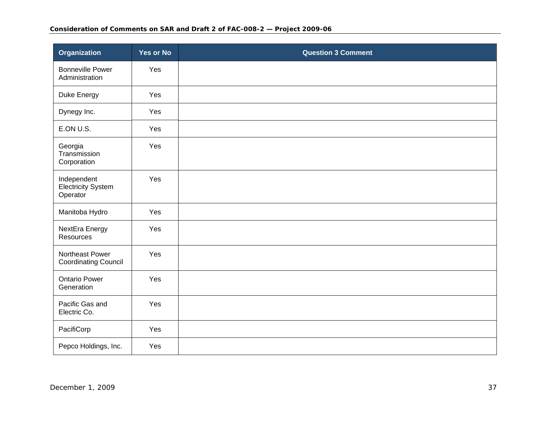| <b>Organization</b>                                  | <b>Yes or No</b> | <b>Question 3 Comment</b> |
|------------------------------------------------------|------------------|---------------------------|
| <b>Bonneville Power</b><br>Administration            | Yes              |                           |
| Duke Energy                                          | Yes              |                           |
| Dynegy Inc.                                          | Yes              |                           |
| E.ON U.S.                                            | Yes              |                           |
| Georgia<br>Transmission<br>Corporation               | Yes              |                           |
| Independent<br><b>Electricity System</b><br>Operator | Yes              |                           |
| Manitoba Hydro                                       | Yes              |                           |
| NextEra Energy<br>Resources                          | Yes              |                           |
| Northeast Power<br><b>Coordinating Council</b>       | Yes              |                           |
| <b>Ontario Power</b><br>Generation                   | Yes              |                           |
| Pacific Gas and<br>Electric Co.                      | Yes              |                           |
| PacifiCorp                                           | Yes              |                           |
| Pepco Holdings, Inc.                                 | Yes              |                           |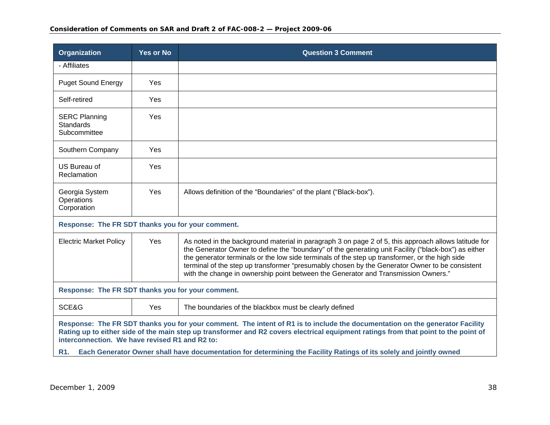| <b>Organization</b>                                                                                                                                                                                                                                                                                                   | <b>Yes or No</b>                                                                                                   | <b>Question 3 Comment</b>                                                                                                                                                                                                                                                                                                                                                                                                                                                                              |  |
|-----------------------------------------------------------------------------------------------------------------------------------------------------------------------------------------------------------------------------------------------------------------------------------------------------------------------|--------------------------------------------------------------------------------------------------------------------|--------------------------------------------------------------------------------------------------------------------------------------------------------------------------------------------------------------------------------------------------------------------------------------------------------------------------------------------------------------------------------------------------------------------------------------------------------------------------------------------------------|--|
| - Affiliates                                                                                                                                                                                                                                                                                                          |                                                                                                                    |                                                                                                                                                                                                                                                                                                                                                                                                                                                                                                        |  |
| <b>Puget Sound Energy</b>                                                                                                                                                                                                                                                                                             | Yes.                                                                                                               |                                                                                                                                                                                                                                                                                                                                                                                                                                                                                                        |  |
| Self-retired                                                                                                                                                                                                                                                                                                          | Yes                                                                                                                |                                                                                                                                                                                                                                                                                                                                                                                                                                                                                                        |  |
| <b>SERC Planning</b><br><b>Standards</b><br>Subcommittee                                                                                                                                                                                                                                                              | Yes                                                                                                                |                                                                                                                                                                                                                                                                                                                                                                                                                                                                                                        |  |
| Southern Company                                                                                                                                                                                                                                                                                                      | Yes                                                                                                                |                                                                                                                                                                                                                                                                                                                                                                                                                                                                                                        |  |
| US Bureau of<br>Reclamation                                                                                                                                                                                                                                                                                           | Yes                                                                                                                |                                                                                                                                                                                                                                                                                                                                                                                                                                                                                                        |  |
| Georgia System<br>Operations<br>Corporation                                                                                                                                                                                                                                                                           | Yes                                                                                                                | Allows definition of the "Boundaries" of the plant ("Black-box").                                                                                                                                                                                                                                                                                                                                                                                                                                      |  |
| Response: The FR SDT thanks you for your comment.                                                                                                                                                                                                                                                                     |                                                                                                                    |                                                                                                                                                                                                                                                                                                                                                                                                                                                                                                        |  |
| <b>Electric Market Policy</b>                                                                                                                                                                                                                                                                                         | Yes                                                                                                                | As noted in the background material in paragraph 3 on page 2 of 5, this approach allows latitude for<br>the Generator Owner to define the "boundary" of the generating unit Facility ("black-box") as either<br>the generator terminals or the low side terminals of the step up transformer, or the high side<br>terminal of the step up transformer "presumably chosen by the Generator Owner to be consistent<br>with the change in ownership point between the Generator and Transmission Owners." |  |
| Response: The FR SDT thanks you for your comment.                                                                                                                                                                                                                                                                     |                                                                                                                    |                                                                                                                                                                                                                                                                                                                                                                                                                                                                                                        |  |
| SCE&G                                                                                                                                                                                                                                                                                                                 | Yes                                                                                                                | The boundaries of the blackbox must be clearly defined                                                                                                                                                                                                                                                                                                                                                                                                                                                 |  |
| Response: The FR SDT thanks you for your comment. The intent of R1 is to include the documentation on the generator Facility<br>Rating up to either side of the main step up transformer and R2 covers electrical equipment ratings from that point to the point of<br>interconnection. We have revised R1 and R2 to: |                                                                                                                    |                                                                                                                                                                                                                                                                                                                                                                                                                                                                                                        |  |
| R <sub>1</sub> .                                                                                                                                                                                                                                                                                                      | Each Generator Owner shall have documentation for determining the Facility Ratings of its solely and jointly owned |                                                                                                                                                                                                                                                                                                                                                                                                                                                                                                        |  |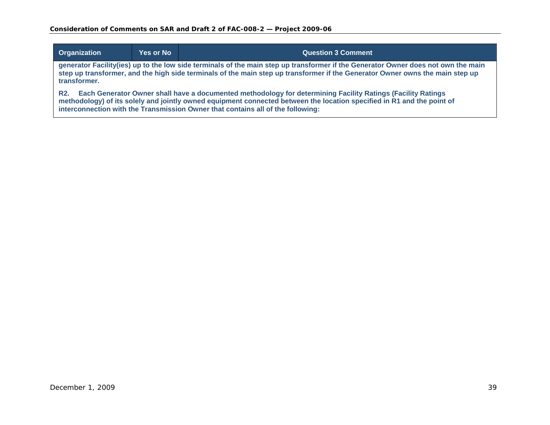| Organization                                                                                                                                                                                                                                                                                                                           | <b>Yes or No</b> | <b>Question 3 Comment</b> |
|----------------------------------------------------------------------------------------------------------------------------------------------------------------------------------------------------------------------------------------------------------------------------------------------------------------------------------------|------------------|---------------------------|
| generator Facility(ies) up to the low side terminals of the main step up transformer if the Generator Owner does not own the main<br>step up transformer, and the high side terminals of the main step up transformer if the Generator Owner owns the main step up<br>transformer.                                                     |                  |                           |
| Each Generator Owner shall have a documented methodology for determining Facility Ratings (Facility Ratings<br><b>R2.</b><br>methodology) of its solely and jointly owned equipment connected between the location specified in R1 and the point of<br>interconnection with the Transmission Owner that contains all of the following: |                  |                           |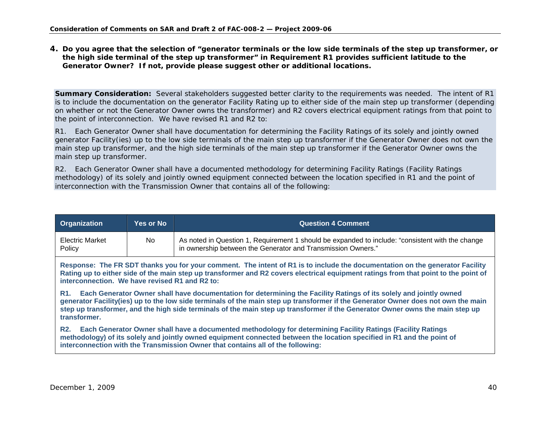**4. Do you agree that the selection of "generator terminals or the low side terminals of the step up transformer, or the high side terminal of the step up transformer" in Requirement R1 provides sufficient latitude to the Generator Owner? If not, provide please suggest other or additional locations.** 

**Summary Consideration:** Several stakeholders suggested better clarity to the requirements was needed. The intent of R1 is to include the documentation on the generator Facility Rating up to either side of the main step up transformer (depending on whether or not the Generator Owner owns the transformer) and R2 covers electrical equipment ratings from that point to the point of interconnection. We have revised R1 and R2 to:

R1. Each Generator Owner shall have documentation for determining the Facility Ratings of its solely and jointly owned generator Facility(ies) up to the low side terminals of the main step up transformer if the Generator Owner does not own the main step up transformer, and the high side terminals of the main step up transformer if the Generator Owner owns the main step up transformer.

<span id="page-39-0"></span>

| Organization                                                                                                                                                                                                                                                                                                                                                                                                 | <b>Yes or No</b> | <b>Question 4 Comment</b>                                                                                                                                        |
|--------------------------------------------------------------------------------------------------------------------------------------------------------------------------------------------------------------------------------------------------------------------------------------------------------------------------------------------------------------------------------------------------------------|------------------|------------------------------------------------------------------------------------------------------------------------------------------------------------------|
| Electric Market<br>Policy                                                                                                                                                                                                                                                                                                                                                                                    | No.              | As noted in Question 1, Requirement 1 should be expanded to include: "consistent with the change<br>in ownership between the Generator and Transmission Owners." |
| Response: The FR SDT thanks you for your comment. The intent of R1 is to include the documentation on the generator Facility<br>Rating up to either side of the main step up transformer and R2 covers electrical equipment ratings from that point to the point of<br>interconnection. We have revised R1 and R2 to:                                                                                        |                  |                                                                                                                                                                  |
| R1. Each Generator Owner shall have documentation for determining the Facility Ratings of its solely and jointly owned<br>generator Facility(ies) up to the low side terminals of the main step up transformer if the Generator Owner does not own the main<br>step up transformer, and the high side terminals of the main step up transformer if the Generator Owner owns the main step up<br>transformer. |                  |                                                                                                                                                                  |
| Each Generator Owner shall have a documented methodology for determining Facility Ratings (Facility Ratings<br><b>R2.</b><br>methodology) of its solely and jointly owned equipment connected between the location specified in R1 and the point of<br>interconnection with the Transmission Owner that contains all of the following:                                                                       |                  |                                                                                                                                                                  |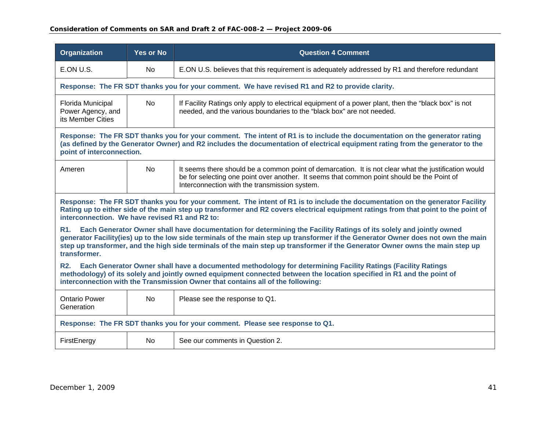| <b>Organization</b>                                                                                                                                                                                                                                                                                                                                                                                             | <b>Yes or No</b>                                                                                                                                                                                                                                                                          | <b>Question 4 Comment</b>                                                                                                                                                                                                                           |  |  |
|-----------------------------------------------------------------------------------------------------------------------------------------------------------------------------------------------------------------------------------------------------------------------------------------------------------------------------------------------------------------------------------------------------------------|-------------------------------------------------------------------------------------------------------------------------------------------------------------------------------------------------------------------------------------------------------------------------------------------|-----------------------------------------------------------------------------------------------------------------------------------------------------------------------------------------------------------------------------------------------------|--|--|
| E.ON U.S.                                                                                                                                                                                                                                                                                                                                                                                                       | No                                                                                                                                                                                                                                                                                        | E.ON U.S. believes that this requirement is adequately addressed by R1 and therefore redundant                                                                                                                                                      |  |  |
|                                                                                                                                                                                                                                                                                                                                                                                                                 |                                                                                                                                                                                                                                                                                           | Response: The FR SDT thanks you for your comment. We have revised R1 and R2 to provide clarity.                                                                                                                                                     |  |  |
| Florida Municipal<br>Power Agency, and<br>its Member Cities                                                                                                                                                                                                                                                                                                                                                     | <b>No</b>                                                                                                                                                                                                                                                                                 | If Facility Ratings only apply to electrical equipment of a power plant, then the "black box" is not<br>needed, and the various boundaries to the "black box" are not needed.                                                                       |  |  |
|                                                                                                                                                                                                                                                                                                                                                                                                                 | Response: The FR SDT thanks you for your comment. The intent of R1 is to include the documentation on the generator rating<br>(as defined by the Generator Owner) and R2 includes the documentation of electrical equipment rating from the generator to the<br>point of interconnection. |                                                                                                                                                                                                                                                     |  |  |
| Ameren                                                                                                                                                                                                                                                                                                                                                                                                          | No.                                                                                                                                                                                                                                                                                       | It seems there should be a common point of demarcation. It is not clear what the justification would<br>be for selecting one point over another. It seems that common point should be the Point of<br>Interconnection with the transmission system. |  |  |
| Response: The FR SDT thanks you for your comment. The intent of R1 is to include the documentation on the generator Facility<br>Rating up to either side of the main step up transformer and R2 covers electrical equipment ratings from that point to the point of<br>interconnection. We have revised R1 and R2 to:                                                                                           |                                                                                                                                                                                                                                                                                           |                                                                                                                                                                                                                                                     |  |  |
| Each Generator Owner shall have documentation for determining the Facility Ratings of its solely and jointly owned<br>R1.<br>generator Facility(ies) up to the low side terminals of the main step up transformer if the Generator Owner does not own the main<br>step up transformer, and the high side terminals of the main step up transformer if the Generator Owner owns the main step up<br>transformer. |                                                                                                                                                                                                                                                                                           |                                                                                                                                                                                                                                                     |  |  |
| <b>R2.</b><br>Each Generator Owner shall have a documented methodology for determining Facility Ratings (Facility Ratings<br>methodology) of its solely and jointly owned equipment connected between the location specified in R1 and the point of<br>interconnection with the Transmission Owner that contains all of the following:                                                                          |                                                                                                                                                                                                                                                                                           |                                                                                                                                                                                                                                                     |  |  |
| <b>Ontario Power</b><br>Generation                                                                                                                                                                                                                                                                                                                                                                              | No.                                                                                                                                                                                                                                                                                       | Please see the response to Q1.                                                                                                                                                                                                                      |  |  |
|                                                                                                                                                                                                                                                                                                                                                                                                                 |                                                                                                                                                                                                                                                                                           | Response: The FR SDT thanks you for your comment. Please see response to Q1.                                                                                                                                                                        |  |  |
| FirstEnergy                                                                                                                                                                                                                                                                                                                                                                                                     | No                                                                                                                                                                                                                                                                                        | See our comments in Question 2.                                                                                                                                                                                                                     |  |  |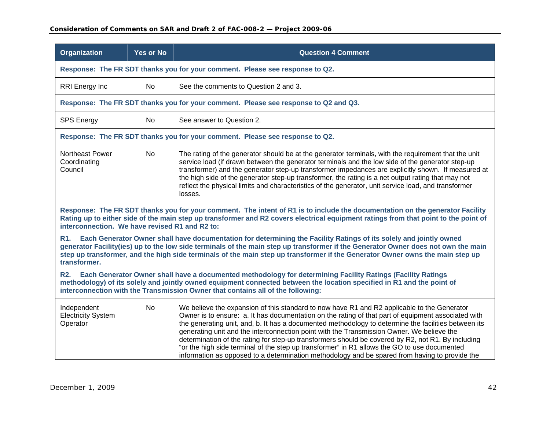| <b>Organization</b>                                                                                                                                                                                                                                                                                                                                                                                                    | <b>Yes or No</b> | <b>Question 4 Comment</b>                                                                                                                                                                                                                                                                                                                                                                                                                                                                                                                                                                                                                                                                                       |  |
|------------------------------------------------------------------------------------------------------------------------------------------------------------------------------------------------------------------------------------------------------------------------------------------------------------------------------------------------------------------------------------------------------------------------|------------------|-----------------------------------------------------------------------------------------------------------------------------------------------------------------------------------------------------------------------------------------------------------------------------------------------------------------------------------------------------------------------------------------------------------------------------------------------------------------------------------------------------------------------------------------------------------------------------------------------------------------------------------------------------------------------------------------------------------------|--|
|                                                                                                                                                                                                                                                                                                                                                                                                                        |                  | Response: The FR SDT thanks you for your comment. Please see response to Q2.                                                                                                                                                                                                                                                                                                                                                                                                                                                                                                                                                                                                                                    |  |
| RRI Energy Inc                                                                                                                                                                                                                                                                                                                                                                                                         | No.              | See the comments to Question 2 and 3.                                                                                                                                                                                                                                                                                                                                                                                                                                                                                                                                                                                                                                                                           |  |
|                                                                                                                                                                                                                                                                                                                                                                                                                        |                  | Response: The FR SDT thanks you for your comment. Please see response to Q2 and Q3.                                                                                                                                                                                                                                                                                                                                                                                                                                                                                                                                                                                                                             |  |
| <b>SPS Energy</b>                                                                                                                                                                                                                                                                                                                                                                                                      | <b>No</b>        | See answer to Question 2.                                                                                                                                                                                                                                                                                                                                                                                                                                                                                                                                                                                                                                                                                       |  |
|                                                                                                                                                                                                                                                                                                                                                                                                                        |                  | Response: The FR SDT thanks you for your comment. Please see response to Q2.                                                                                                                                                                                                                                                                                                                                                                                                                                                                                                                                                                                                                                    |  |
| Northeast Power<br>Coordinating<br>Council                                                                                                                                                                                                                                                                                                                                                                             | <b>No</b>        | The rating of the generator should be at the generator terminals, with the requirement that the unit<br>service load (if drawn between the generator terminals and the low side of the generator step-up<br>transformer) and the generator step-up transformer impedances are explicitly shown. If measured at<br>the high side of the generator step-up transformer, the rating is a net output rating that may not<br>reflect the physical limits and characteristics of the generator, unit service load, and transformer<br>losses.                                                                                                                                                                         |  |
| Response: The FR SDT thanks you for your comment. The intent of R1 is to include the documentation on the generator Facility<br>Rating up to either side of the main step up transformer and R2 covers electrical equipment ratings from that point to the point of<br>interconnection. We have revised R1 and R2 to:                                                                                                  |                  |                                                                                                                                                                                                                                                                                                                                                                                                                                                                                                                                                                                                                                                                                                                 |  |
| Each Generator Owner shall have documentation for determining the Facility Ratings of its solely and jointly owned<br><b>R1.</b><br>generator Facility(ies) up to the low side terminals of the main step up transformer if the Generator Owner does not own the main<br>step up transformer, and the high side terminals of the main step up transformer if the Generator Owner owns the main step up<br>transformer. |                  |                                                                                                                                                                                                                                                                                                                                                                                                                                                                                                                                                                                                                                                                                                                 |  |
| <b>R2.</b><br>Each Generator Owner shall have a documented methodology for determining Facility Ratings (Facility Ratings<br>methodology) of its solely and jointly owned equipment connected between the location specified in R1 and the point of<br>interconnection with the Transmission Owner that contains all of the following:                                                                                 |                  |                                                                                                                                                                                                                                                                                                                                                                                                                                                                                                                                                                                                                                                                                                                 |  |
| Independent<br><b>Electricity System</b><br>Operator                                                                                                                                                                                                                                                                                                                                                                   | <b>No</b>        | We believe the expansion of this standard to now have R1 and R2 applicable to the Generator<br>Owner is to ensure: a. It has documentation on the rating of that part of equipment associated with<br>the generating unit, and, b. It has a documented methodology to determine the facilities between its<br>generating unit and the interconnection point with the Transmission Owner. We believe the<br>determination of the rating for step-up transformers should be covered by R2, not R1. By including<br>"or the high side terminal of the step up transformer" in R1 allows the GO to use documented<br>information as opposed to a determination methodology and be spared from having to provide the |  |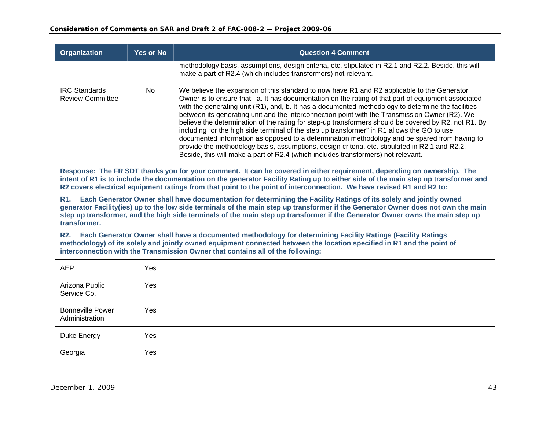| <b>Organization</b>                             | <b>Yes or No</b> | <b>Question 4 Comment</b>                                                                                                                                                                                                                                                                                                                                                                                                                                                                                                                                                                                                                                                                                                                                                                                                                                                                                 |
|-------------------------------------------------|------------------|-----------------------------------------------------------------------------------------------------------------------------------------------------------------------------------------------------------------------------------------------------------------------------------------------------------------------------------------------------------------------------------------------------------------------------------------------------------------------------------------------------------------------------------------------------------------------------------------------------------------------------------------------------------------------------------------------------------------------------------------------------------------------------------------------------------------------------------------------------------------------------------------------------------|
|                                                 |                  | methodology basis, assumptions, design criteria, etc. stipulated in R2.1 and R2.2. Beside, this will<br>make a part of R2.4 (which includes transformers) not relevant.                                                                                                                                                                                                                                                                                                                                                                                                                                                                                                                                                                                                                                                                                                                                   |
| <b>IRC Standards</b><br><b>Review Committee</b> | No.              | We believe the expansion of this standard to now have R1 and R2 applicable to the Generator<br>Owner is to ensure that: a. It has documentation on the rating of that part of equipment associated<br>with the generating unit (R1), and, b. It has a documented methodology to determine the facilities<br>between its generating unit and the interconnection point with the Transmission Owner (R2). We<br>believe the determination of the rating for step-up transformers should be covered by R2, not R1. By<br>including "or the high side terminal of the step up transformer" in R1 allows the GO to use<br>documented information as opposed to a determination methodology and be spared from having to<br>provide the methodology basis, assumptions, design criteria, etc. stipulated in R2.1 and R2.2.<br>Beside, this will make a part of R2.4 (which includes transformers) not relevant. |

**Response: The FR SDT thanks you for your comment. It can be covered in either requirement, depending on ownership. The intent of R1 is to include the documentation on the generator Facility Rating up to either side of the main step up transformer and R2 covers electrical equipment ratings from that point to the point of interconnection. We have revised R1 and R2 to:** 

**R1. Each Generator Owner shall have documentation for determining the Facility Ratings of its solely and jointly owned generator Facility(ies) up to the low side terminals of the main step up transformer if the Generator Owner does not own the main step up transformer, and the high side terminals of the main step up transformer if the Generator Owner owns the main step up transformer.** 

| <b>AEP</b>                                | Yes |  |
|-------------------------------------------|-----|--|
| Arizona Public<br>Service Co.             | Yes |  |
| <b>Bonneville Power</b><br>Administration | Yes |  |
| Duke Energy                               | Yes |  |
| Georgia                                   | Yes |  |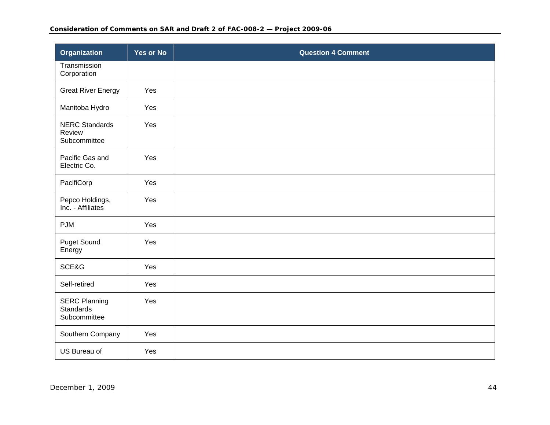| <b>Organization</b>                                      | <b>Yes or No</b> | <b>Question 4 Comment</b> |
|----------------------------------------------------------|------------------|---------------------------|
| Transmission<br>Corporation                              |                  |                           |
| <b>Great River Energy</b>                                | Yes              |                           |
| Manitoba Hydro                                           | Yes              |                           |
| <b>NERC Standards</b><br>Review<br>Subcommittee          | Yes              |                           |
| Pacific Gas and<br>Electric Co.                          | Yes              |                           |
| PacifiCorp                                               | Yes              |                           |
| Pepco Holdings,<br>Inc. - Affiliates                     | Yes              |                           |
| <b>PJM</b>                                               | Yes              |                           |
| <b>Puget Sound</b><br>Energy                             | Yes              |                           |
| SCE&G                                                    | Yes              |                           |
| Self-retired                                             | Yes              |                           |
| <b>SERC Planning</b><br><b>Standards</b><br>Subcommittee | Yes              |                           |
| Southern Company                                         | Yes              |                           |
| US Bureau of                                             | Yes              |                           |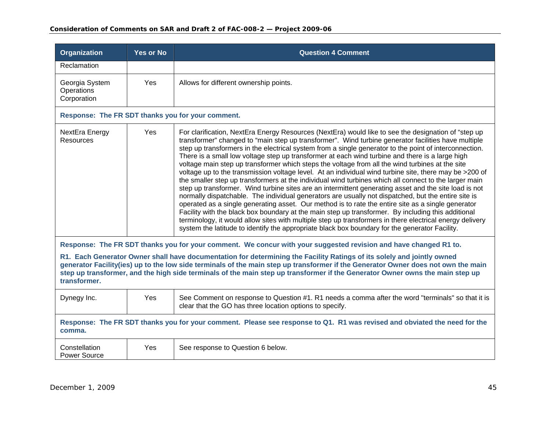| <b>Organization</b>                                                                                                                                                                                                                                                                                                                                                                                          | <b>Yes or No</b> | <b>Question 4 Comment</b>                                                                                                                                                                                                                                                                                                                                                                                                                                                                                                                                                                                                                                                                                                                                                                                                                                                                                                                                                                                                                                                                                                                                                                                                                                                                                                                                                               |
|--------------------------------------------------------------------------------------------------------------------------------------------------------------------------------------------------------------------------------------------------------------------------------------------------------------------------------------------------------------------------------------------------------------|------------------|-----------------------------------------------------------------------------------------------------------------------------------------------------------------------------------------------------------------------------------------------------------------------------------------------------------------------------------------------------------------------------------------------------------------------------------------------------------------------------------------------------------------------------------------------------------------------------------------------------------------------------------------------------------------------------------------------------------------------------------------------------------------------------------------------------------------------------------------------------------------------------------------------------------------------------------------------------------------------------------------------------------------------------------------------------------------------------------------------------------------------------------------------------------------------------------------------------------------------------------------------------------------------------------------------------------------------------------------------------------------------------------------|
| Reclamation                                                                                                                                                                                                                                                                                                                                                                                                  |                  |                                                                                                                                                                                                                                                                                                                                                                                                                                                                                                                                                                                                                                                                                                                                                                                                                                                                                                                                                                                                                                                                                                                                                                                                                                                                                                                                                                                         |
| Georgia System<br>Operations<br>Corporation                                                                                                                                                                                                                                                                                                                                                                  | Yes              | Allows for different ownership points.                                                                                                                                                                                                                                                                                                                                                                                                                                                                                                                                                                                                                                                                                                                                                                                                                                                                                                                                                                                                                                                                                                                                                                                                                                                                                                                                                  |
|                                                                                                                                                                                                                                                                                                                                                                                                              |                  | Response: The FR SDT thanks you for your comment.                                                                                                                                                                                                                                                                                                                                                                                                                                                                                                                                                                                                                                                                                                                                                                                                                                                                                                                                                                                                                                                                                                                                                                                                                                                                                                                                       |
| NextEra Energy<br><b>Resources</b>                                                                                                                                                                                                                                                                                                                                                                           | Yes              | For clarification, NextEra Energy Resources (NextEra) would like to see the designation of "step up<br>transformer" changed to "main step up transformer". Wind turbine generator facilities have multiple<br>step up transformers in the electrical system from a single generator to the point of interconnection.<br>There is a small low voltage step up transformer at each wind turbine and there is a large high<br>voltage main step up transformer which steps the voltage from all the wind turbines at the site<br>voltage up to the transmission voltage level. At an individual wind turbine site, there may be >200 of<br>the smaller step up transformers at the individual wind turbines which all connect to the larger main<br>step up transformer. Wind turbine sites are an intermittent generating asset and the site load is not<br>normally dispatchable. The individual generators are usually not dispatched, but the entire site is<br>operated as a single generating asset. Our method is to rate the entire site as a single generator<br>Facility with the black box boundary at the main step up transformer. By including this additional<br>terminology, it would allow sites with multiple step up transformers in there electrical energy delivery<br>system the latitude to identify the appropriate black box boundary for the generator Facility. |
|                                                                                                                                                                                                                                                                                                                                                                                                              |                  | Response: The FR SDT thanks you for your comment. We concur with your suggested revision and have changed R1 to.                                                                                                                                                                                                                                                                                                                                                                                                                                                                                                                                                                                                                                                                                                                                                                                                                                                                                                                                                                                                                                                                                                                                                                                                                                                                        |
| R1. Each Generator Owner shall have documentation for determining the Facility Ratings of its solely and jointly owned<br>generator Facility(ies) up to the low side terminals of the main step up transformer if the Generator Owner does not own the main<br>step up transformer, and the high side terminals of the main step up transformer if the Generator Owner owns the main step up<br>transformer. |                  |                                                                                                                                                                                                                                                                                                                                                                                                                                                                                                                                                                                                                                                                                                                                                                                                                                                                                                                                                                                                                                                                                                                                                                                                                                                                                                                                                                                         |
| Dynegy Inc.                                                                                                                                                                                                                                                                                                                                                                                                  | Yes              | See Comment on response to Question #1. R1 needs a comma after the word "terminals" so that it is<br>clear that the GO has three location options to specify.                                                                                                                                                                                                                                                                                                                                                                                                                                                                                                                                                                                                                                                                                                                                                                                                                                                                                                                                                                                                                                                                                                                                                                                                                           |
| comma.                                                                                                                                                                                                                                                                                                                                                                                                       |                  | Response: The FR SDT thanks you for your comment. Please see response to Q1. R1 was revised and obviated the need for the                                                                                                                                                                                                                                                                                                                                                                                                                                                                                                                                                                                                                                                                                                                                                                                                                                                                                                                                                                                                                                                                                                                                                                                                                                                               |
| Constellation<br><b>Power Source</b>                                                                                                                                                                                                                                                                                                                                                                         | Yes              | See response to Question 6 below.                                                                                                                                                                                                                                                                                                                                                                                                                                                                                                                                                                                                                                                                                                                                                                                                                                                                                                                                                                                                                                                                                                                                                                                                                                                                                                                                                       |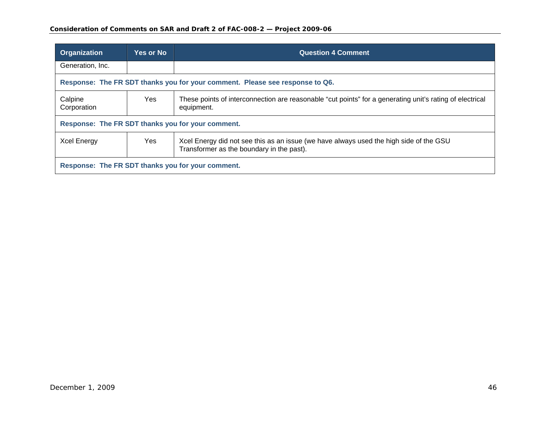| <b>Organization</b>                                                          | <b>Yes or No</b> | <b>Question 4 Comment</b>                                                                                                           |
|------------------------------------------------------------------------------|------------------|-------------------------------------------------------------------------------------------------------------------------------------|
| Generation, Inc.                                                             |                  |                                                                                                                                     |
| Response: The FR SDT thanks you for your comment. Please see response to Q6. |                  |                                                                                                                                     |
| Calpine<br>Corporation                                                       | Yes              | These points of interconnection are reasonable "cut points" for a generating unit's rating of electrical<br>equipment.              |
| Response: The FR SDT thanks you for your comment.                            |                  |                                                                                                                                     |
| Xcel Energy                                                                  | Yes              | Xcel Energy did not see this as an issue (we have always used the high side of the GSU<br>Transformer as the boundary in the past). |
| Response: The FR SDT thanks you for your comment.                            |                  |                                                                                                                                     |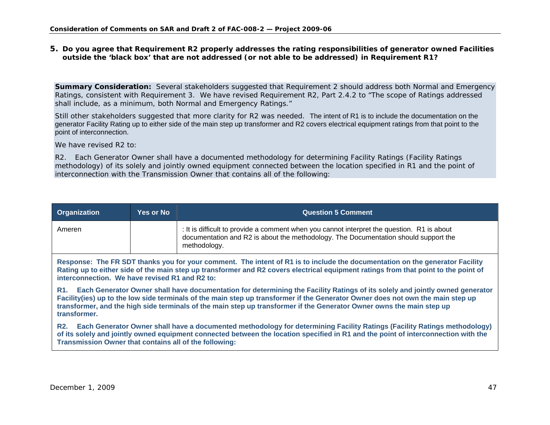#### **5. Do you agree that Requirement R2 properly addresses the rating responsibilities of generator owned Facilities outside the 'black box' that are not addressed (or not able to be addressed) in Requirement R1?**

**Summary Consideration:** Several stakeholders suggested that Requirement 2 should address both Normal and Emergency Ratings, consistent with Requirement 3. We have revised Requirement R2, Part 2.4.2 to "The scope of Ratings addressed shall include, as a minimum, both Normal and Emergency Ratings."

Still other stakeholders suggested that more clarity for R2 was needed. The intent of R1 is to include the documentation on the generator Facility Rating up to either side of the main step up transformer and R2 covers electrical equipment ratings from that point to the point of interconnection.

We have revised R<sub>2</sub> to:

R2. Each Generator Owner shall have a documented methodology for determining Facility Ratings (Facility Ratings methodology) of its solely and jointly owned equipment connected between the location specified in R1 and the point of interconnection with the Transmission Owner that contains all of the following:

| Organization | <b>Yes or No</b> | Question 5 Comment                                                                                                                                                                                |
|--------------|------------------|---------------------------------------------------------------------------------------------------------------------------------------------------------------------------------------------------|
| Ameren       |                  | : It is difficult to provide a comment when you cannot interpret the question. R1 is about<br>documentation and R2 is about the methodology. The Documentation should support the<br>methodology. |

**Response: The FR SDT thanks you for your comment. The intent of R1 is to include the documentation on the generator Facility Rating up to either side of the main step up transformer and R2 covers electrical equipment ratings from that point to the point of interconnection. We have revised R1 and R2 to:** 

<span id="page-46-0"></span>**R1. Each Generator Owner shall have documentation for determining the Facility Ratings of its solely and jointly owned generator Facility(ies) up to the low side terminals of the main step up transformer if the Generator Owner does not own the main step up transformer, and the high side terminals of the main step up transformer if the Generator Owner owns the main step up transformer.**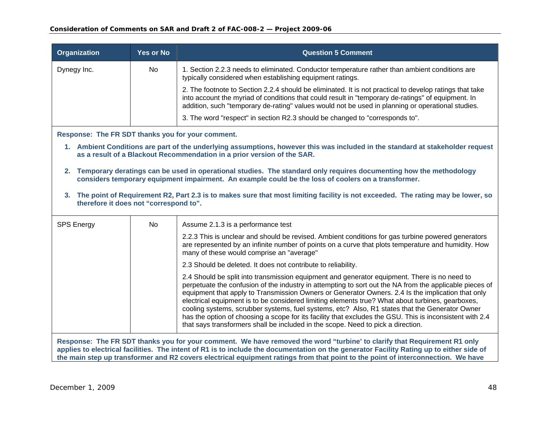| <b>Organization</b>                               | <b>Yes or No</b> | <b>Question 5 Comment</b>                                                                                                                                                                                                                                                                                          |
|---------------------------------------------------|------------------|--------------------------------------------------------------------------------------------------------------------------------------------------------------------------------------------------------------------------------------------------------------------------------------------------------------------|
| Dynegy Inc.                                       | No.              | 1. Section 2.2.3 needs to eliminated. Conductor temperature rather than ambient conditions are<br>typically considered when establishing equipment ratings.                                                                                                                                                        |
|                                                   |                  | 2. The footnote to Section 2.2.4 should be eliminated. It is not practical to develop ratings that take<br>into account the myriad of conditions that could result in "temporary de-ratings" of equipment. In<br>addition, such "temporary de-rating" values would not be used in planning or operational studies. |
|                                                   |                  | 3. The word "respect" in section R2.3 should be changed to "corresponds to".                                                                                                                                                                                                                                       |
| Response: The FR SDT thanks you for your comment. |                  |                                                                                                                                                                                                                                                                                                                    |
|                                                   |                  | 1. Ambient Conditions are part of the underlying assumptions, however this was included in the standard at stakeholder request<br>as a result of a Blackout Recommendation in a prior version of the SAR.                                                                                                          |
| 2.                                                |                  | Temporary deratings can be used in operational studies. The standard only requires documenting how the methodology<br>considers temporary equipment impairment. An example could be the loss of coolers on a transformer.                                                                                          |

**3. The point of Requirement R2, Part 2.3 is to makes sure that most limiting facility is not exceeded. The rating may be lower, so therefore it does not "correspond to".**

| <b>SPS Energy</b> | No. | Assume 2.1.3 is a performance test                                                                                                                                                                                                                                                                                                                                                                                                                                                                                                                                                                                                                                                                                 |
|-------------------|-----|--------------------------------------------------------------------------------------------------------------------------------------------------------------------------------------------------------------------------------------------------------------------------------------------------------------------------------------------------------------------------------------------------------------------------------------------------------------------------------------------------------------------------------------------------------------------------------------------------------------------------------------------------------------------------------------------------------------------|
|                   |     | 2.2.3 This is unclear and should be revised. Ambient conditions for gas turbine powered generators<br>are represented by an infinite number of points on a curve that plots temperature and humidity. How<br>many of these would comprise an "average"                                                                                                                                                                                                                                                                                                                                                                                                                                                             |
|                   |     | 2.3 Should be deleted. It does not contribute to reliability.                                                                                                                                                                                                                                                                                                                                                                                                                                                                                                                                                                                                                                                      |
|                   |     | 2.4 Should be split into transmission equipment and generator equipment. There is no need to<br>perpetuate the confusion of the industry in attempting to sort out the NA from the applicable pieces of<br>equipment that apply to Transmission Owners or Generator Owners. 2.4 Is the implication that only<br>electrical equipment is to be considered limiting elements true? What about turbines, gearboxes,<br>cooling systems, scrubber systems, fuel systems, etc? Also, R1 states that the Generator Owner<br>has the option of choosing a scope for its facility that excludes the GSU. This is inconsistent with 2.4<br>that says transformers shall be included in the scope. Need to pick a direction. |

**Response: The FR SDT thanks you for your comment. We have removed the word "turbine' to clarify that Requirement R1 only applies to electrical facilities. The intent of R1 is to include the documentation on the generator Facility Rating up to either side of the main step up transformer and R2 covers electrical equipment ratings from that point to the point of interconnection. We have**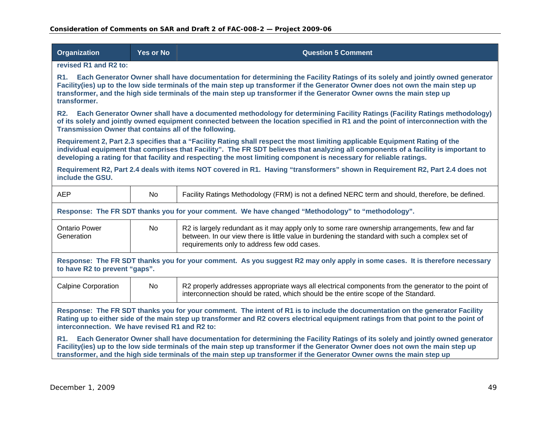| <b>Organization</b>                                                                                                                                                                                                                                                                                                                                                                             | <b>Yes or No</b>                                                                                                                                                                                                                                                                                                                                                                             | <b>Question 5 Comment</b>                                                                                                                                                                                                                                                                                                                                                                  |  |
|-------------------------------------------------------------------------------------------------------------------------------------------------------------------------------------------------------------------------------------------------------------------------------------------------------------------------------------------------------------------------------------------------|----------------------------------------------------------------------------------------------------------------------------------------------------------------------------------------------------------------------------------------------------------------------------------------------------------------------------------------------------------------------------------------------|--------------------------------------------------------------------------------------------------------------------------------------------------------------------------------------------------------------------------------------------------------------------------------------------------------------------------------------------------------------------------------------------|--|
| revised R1 and R2 to:                                                                                                                                                                                                                                                                                                                                                                           |                                                                                                                                                                                                                                                                                                                                                                                              |                                                                                                                                                                                                                                                                                                                                                                                            |  |
| transformer.                                                                                                                                                                                                                                                                                                                                                                                    | R1. Each Generator Owner shall have documentation for determining the Facility Ratings of its solely and jointly owned generator<br>Facility(ies) up to the low side terminals of the main step up transformer if the Generator Owner does not own the main step up<br>transformer, and the high side terminals of the main step up transformer if the Generator Owner owns the main step up |                                                                                                                                                                                                                                                                                                                                                                                            |  |
| <b>R2.</b><br>Transmission Owner that contains all of the following.                                                                                                                                                                                                                                                                                                                            |                                                                                                                                                                                                                                                                                                                                                                                              | Each Generator Owner shall have a documented methodology for determining Facility Ratings (Facility Ratings methodology)<br>of its solely and jointly owned equipment connected between the location specified in R1 and the point of interconnection with the                                                                                                                             |  |
|                                                                                                                                                                                                                                                                                                                                                                                                 |                                                                                                                                                                                                                                                                                                                                                                                              | Requirement 2, Part 2.3 specifies that a "Facility Rating shall respect the most limiting applicable Equipment Rating of the<br>individual equipment that comprises that Facility". The FR SDT believes that analyzing all components of a facility is important to<br>developing a rating for that facility and respecting the most limiting component is necessary for reliable ratings. |  |
| include the GSU.                                                                                                                                                                                                                                                                                                                                                                                |                                                                                                                                                                                                                                                                                                                                                                                              | Requirement R2, Part 2.4 deals with items NOT covered in R1. Having "transformers" shown in Requirement R2, Part 2.4 does not                                                                                                                                                                                                                                                              |  |
| <b>AEP</b>                                                                                                                                                                                                                                                                                                                                                                                      | <b>No</b>                                                                                                                                                                                                                                                                                                                                                                                    | Facility Ratings Methodology (FRM) is not a defined NERC term and should, therefore, be defined.                                                                                                                                                                                                                                                                                           |  |
|                                                                                                                                                                                                                                                                                                                                                                                                 |                                                                                                                                                                                                                                                                                                                                                                                              | Response: The FR SDT thanks you for your comment. We have changed "Methodology" to "methodology".                                                                                                                                                                                                                                                                                          |  |
| <b>Ontario Power</b><br>Generation                                                                                                                                                                                                                                                                                                                                                              | <b>No</b>                                                                                                                                                                                                                                                                                                                                                                                    | R2 is largely redundant as it may apply only to some rare ownership arrangements, few and far<br>between. In our view there is little value in burdening the standard with such a complex set of<br>requirements only to address few odd cases.                                                                                                                                            |  |
| Response: The FR SDT thanks you for your comment. As you suggest R2 may only apply in some cases. It is therefore necessary<br>to have R2 to prevent "gaps".                                                                                                                                                                                                                                    |                                                                                                                                                                                                                                                                                                                                                                                              |                                                                                                                                                                                                                                                                                                                                                                                            |  |
| <b>Calpine Corporation</b>                                                                                                                                                                                                                                                                                                                                                                      | No                                                                                                                                                                                                                                                                                                                                                                                           | R2 properly addresses appropriate ways all electrical components from the generator to the point of<br>interconnection should be rated, which should be the entire scope of the Standard.                                                                                                                                                                                                  |  |
| Response: The FR SDT thanks you for your comment. The intent of R1 is to include the documentation on the generator Facility<br>Rating up to either side of the main step up transformer and R2 covers electrical equipment ratings from that point to the point of<br>interconnection. We have revised R1 and R2 to:                                                                           |                                                                                                                                                                                                                                                                                                                                                                                              |                                                                                                                                                                                                                                                                                                                                                                                            |  |
| Each Generator Owner shall have documentation for determining the Facility Ratings of its solely and jointly owned generator<br>R1.<br>Facility(ies) up to the low side terminals of the main step up transformer if the Generator Owner does not own the main step up<br>transformer, and the high side terminals of the main step up transformer if the Generator Owner owns the main step up |                                                                                                                                                                                                                                                                                                                                                                                              |                                                                                                                                                                                                                                                                                                                                                                                            |  |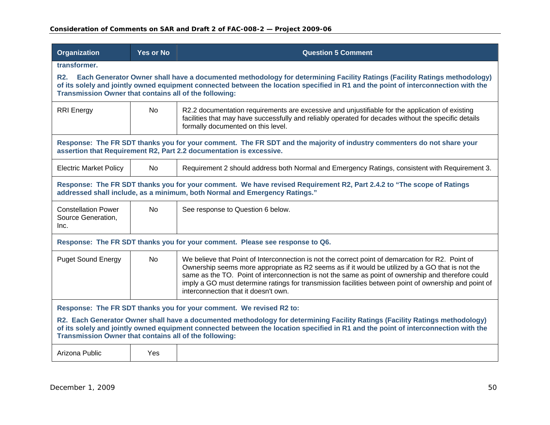| Organization                                                                                                                                                                                                                                                                                                                 | <b>Yes or No</b>                                                                                                                                                                                                                                                                                                         | <b>Question 5 Comment</b>                                                                                                                                                                                                                                                                                                                                                                                                                                   |  |
|------------------------------------------------------------------------------------------------------------------------------------------------------------------------------------------------------------------------------------------------------------------------------------------------------------------------------|--------------------------------------------------------------------------------------------------------------------------------------------------------------------------------------------------------------------------------------------------------------------------------------------------------------------------|-------------------------------------------------------------------------------------------------------------------------------------------------------------------------------------------------------------------------------------------------------------------------------------------------------------------------------------------------------------------------------------------------------------------------------------------------------------|--|
| transformer.                                                                                                                                                                                                                                                                                                                 |                                                                                                                                                                                                                                                                                                                          |                                                                                                                                                                                                                                                                                                                                                                                                                                                             |  |
| <b>R2.</b>                                                                                                                                                                                                                                                                                                                   | Each Generator Owner shall have a documented methodology for determining Facility Ratings (Facility Ratings methodology)<br>of its solely and jointly owned equipment connected between the location specified in R1 and the point of interconnection with the<br>Transmission Owner that contains all of the following: |                                                                                                                                                                                                                                                                                                                                                                                                                                                             |  |
| <b>RRI</b> Energy                                                                                                                                                                                                                                                                                                            | No.                                                                                                                                                                                                                                                                                                                      | R2.2 documentation requirements are excessive and unjustifiable for the application of existing<br>facilities that may have successfully and reliably operated for decades without the specific details<br>formally documented on this level.                                                                                                                                                                                                               |  |
|                                                                                                                                                                                                                                                                                                                              |                                                                                                                                                                                                                                                                                                                          | Response: The FR SDT thanks you for your comment. The FR SDT and the majority of industry commenters do not share your<br>assertion that Requirement R2, Part 2.2 documentation is excessive.                                                                                                                                                                                                                                                               |  |
| <b>Electric Market Policy</b>                                                                                                                                                                                                                                                                                                | <b>No</b>                                                                                                                                                                                                                                                                                                                | Requirement 2 should address both Normal and Emergency Ratings, consistent with Requirement 3.                                                                                                                                                                                                                                                                                                                                                              |  |
| Response: The FR SDT thanks you for your comment. We have revised Requirement R2, Part 2.4.2 to "The scope of Ratings<br>addressed shall include, as a minimum, both Normal and Emergency Ratings."                                                                                                                          |                                                                                                                                                                                                                                                                                                                          |                                                                                                                                                                                                                                                                                                                                                                                                                                                             |  |
| <b>Constellation Power</b><br>Source Generation,<br>Inc.                                                                                                                                                                                                                                                                     | <b>No</b>                                                                                                                                                                                                                                                                                                                | See response to Question 6 below.                                                                                                                                                                                                                                                                                                                                                                                                                           |  |
|                                                                                                                                                                                                                                                                                                                              |                                                                                                                                                                                                                                                                                                                          | Response: The FR SDT thanks you for your comment. Please see response to Q6.                                                                                                                                                                                                                                                                                                                                                                                |  |
| <b>Puget Sound Energy</b>                                                                                                                                                                                                                                                                                                    | <b>No</b>                                                                                                                                                                                                                                                                                                                | We believe that Point of Interconnection is not the correct point of demarcation for R2. Point of<br>Ownership seems more appropriate as R2 seems as if it would be utilized by a GO that is not the<br>same as the TO. Point of interconnection is not the same as point of ownership and therefore could<br>imply a GO must determine ratings for transmission facilities between point of ownership and point of<br>interconnection that it doesn't own. |  |
| Response: The FR SDT thanks you for your comment. We revised R2 to:                                                                                                                                                                                                                                                          |                                                                                                                                                                                                                                                                                                                          |                                                                                                                                                                                                                                                                                                                                                                                                                                                             |  |
| R2. Each Generator Owner shall have a documented methodology for determining Facility Ratings (Facility Ratings methodology)<br>of its solely and jointly owned equipment connected between the location specified in R1 and the point of interconnection with the<br>Transmission Owner that contains all of the following: |                                                                                                                                                                                                                                                                                                                          |                                                                                                                                                                                                                                                                                                                                                                                                                                                             |  |
| Arizona Public                                                                                                                                                                                                                                                                                                               | Yes                                                                                                                                                                                                                                                                                                                      |                                                                                                                                                                                                                                                                                                                                                                                                                                                             |  |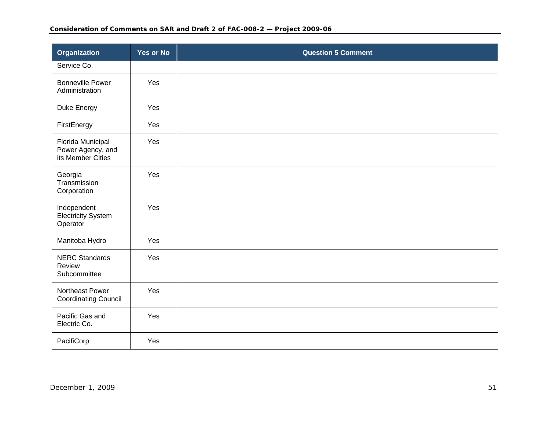| <b>Organization</b>                                         | <b>Yes or No</b> | <b>Question 5 Comment</b> |
|-------------------------------------------------------------|------------------|---------------------------|
| Service Co.                                                 |                  |                           |
| <b>Bonneville Power</b><br>Administration                   | Yes              |                           |
| Duke Energy                                                 | Yes              |                           |
| FirstEnergy                                                 | Yes              |                           |
| Florida Municipal<br>Power Agency, and<br>its Member Cities | Yes              |                           |
| Georgia<br>Transmission<br>Corporation                      | Yes              |                           |
| Independent<br><b>Electricity System</b><br>Operator        | Yes              |                           |
| Manitoba Hydro                                              | Yes              |                           |
| <b>NERC Standards</b><br>Review<br>Subcommittee             | Yes              |                           |
| Northeast Power<br><b>Coordinating Council</b>              | Yes              |                           |
| Pacific Gas and<br>Electric Co.                             | Yes              |                           |
| PacifiCorp                                                  | Yes              |                           |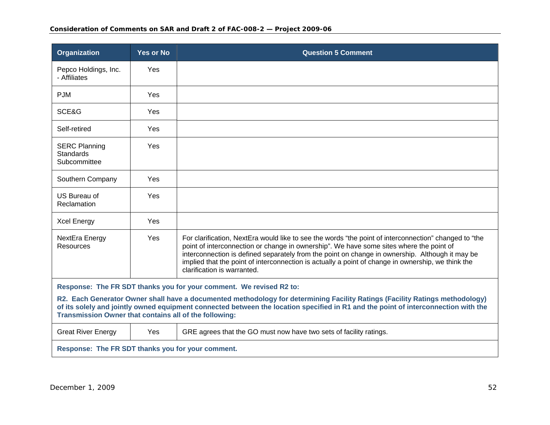| <b>Organization</b>                                                                                                                                                                                                                                                                                                          | <b>Yes or No</b> | <b>Question 5 Comment</b>                                                                                                                                                                                                                                                                                                                                                                                                                |
|------------------------------------------------------------------------------------------------------------------------------------------------------------------------------------------------------------------------------------------------------------------------------------------------------------------------------|------------------|------------------------------------------------------------------------------------------------------------------------------------------------------------------------------------------------------------------------------------------------------------------------------------------------------------------------------------------------------------------------------------------------------------------------------------------|
| Pepco Holdings, Inc.<br>- Affiliates                                                                                                                                                                                                                                                                                         | Yes              |                                                                                                                                                                                                                                                                                                                                                                                                                                          |
| <b>PJM</b>                                                                                                                                                                                                                                                                                                                   | Yes              |                                                                                                                                                                                                                                                                                                                                                                                                                                          |
| SCE&G                                                                                                                                                                                                                                                                                                                        | <b>Yes</b>       |                                                                                                                                                                                                                                                                                                                                                                                                                                          |
| Self-retired                                                                                                                                                                                                                                                                                                                 | Yes              |                                                                                                                                                                                                                                                                                                                                                                                                                                          |
| <b>SERC Planning</b><br>Standards<br>Subcommittee                                                                                                                                                                                                                                                                            | Yes              |                                                                                                                                                                                                                                                                                                                                                                                                                                          |
| Southern Company                                                                                                                                                                                                                                                                                                             | <b>Yes</b>       |                                                                                                                                                                                                                                                                                                                                                                                                                                          |
| US Bureau of<br>Reclamation                                                                                                                                                                                                                                                                                                  | Yes              |                                                                                                                                                                                                                                                                                                                                                                                                                                          |
| <b>Xcel Energy</b>                                                                                                                                                                                                                                                                                                           | Yes              |                                                                                                                                                                                                                                                                                                                                                                                                                                          |
| NextEra Energy<br>Resources                                                                                                                                                                                                                                                                                                  | <b>Yes</b>       | For clarification, NextEra would like to see the words "the point of interconnection" changed to "the<br>point of interconnection or change in ownership". We have some sites where the point of<br>interconnection is defined separately from the point on change in ownership. Although it may be<br>implied that the point of interconnection is actually a point of change in ownership, we think the<br>clarification is warranted. |
| Response: The FR SDT thanks you for your comment. We revised R2 to:                                                                                                                                                                                                                                                          |                  |                                                                                                                                                                                                                                                                                                                                                                                                                                          |
| R2. Each Generator Owner shall have a documented methodology for determining Facility Ratings (Facility Ratings methodology)<br>of its solely and jointly owned equipment connected between the location specified in R1 and the point of interconnection with the<br>Transmission Owner that contains all of the following: |                  |                                                                                                                                                                                                                                                                                                                                                                                                                                          |
| <b>Great River Energy</b>                                                                                                                                                                                                                                                                                                    | Yes              | GRE agrees that the GO must now have two sets of facility ratings.                                                                                                                                                                                                                                                                                                                                                                       |
| Response: The FR SDT thanks you for your comment.                                                                                                                                                                                                                                                                            |                  |                                                                                                                                                                                                                                                                                                                                                                                                                                          |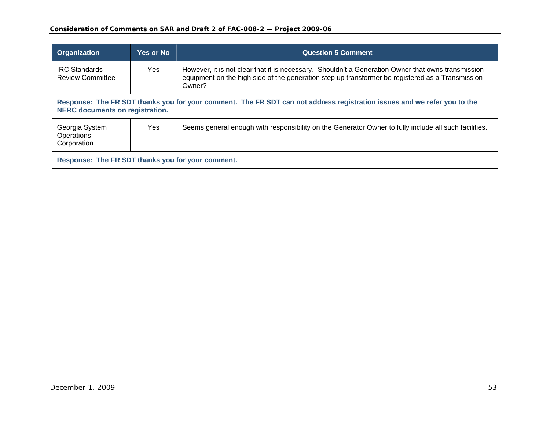| Organization                                                                                                                                                       | <b>Yes or No</b> | <b>Question 5 Comment</b>                                                                                                                                                                                        |
|--------------------------------------------------------------------------------------------------------------------------------------------------------------------|------------------|------------------------------------------------------------------------------------------------------------------------------------------------------------------------------------------------------------------|
| <b>IRC Standards</b><br><b>Review Committee</b>                                                                                                                    | Yes              | However, it is not clear that it is necessary. Shouldn't a Generation Owner that owns transmission<br>equipment on the high side of the generation step up transformer be registered as a Transmission<br>Owner? |
| Response: The FR SDT thanks you for your comment. The FR SDT can not address registration issues and we refer you to the<br><b>NERC</b> documents on registration. |                  |                                                                                                                                                                                                                  |
| Georgia System<br>Operations<br>Corporation                                                                                                                        | Yes.             | Seems general enough with responsibility on the Generator Owner to fully include all such facilities.                                                                                                            |
| Response: The FR SDT thanks you for your comment.                                                                                                                  |                  |                                                                                                                                                                                                                  |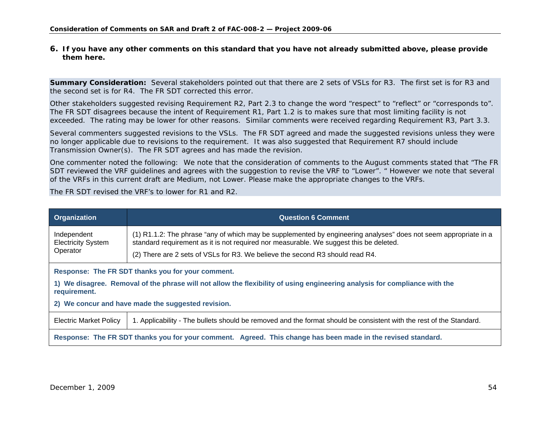**6. If you have any other comments on this standard that you have not already submitted above, please provide them here.** 

**Summary Consideration:** Several stakeholders pointed out that there are 2 sets of VSLs for R3. The first set is for R3 and the second set is for R4. The FR SDT corrected this error.

Other stakeholders suggested revising Requirement R2, Part 2.3 to change the word "respect" to "reflect" or "corresponds to". The FR SDT disagrees because the intent of Requirement R1, Part 1.2 is to makes sure that most limiting facility is not exceeded. The rating may be lower for other reasons. Similar comments were received regarding Requirement R3, Part 3.3.

Several commenters suggested revisions to the VSLs. The FR SDT agreed and made the suggested revisions unless they were no longer applicable due to revisions to the requirement. It was also suggested that Requirement R7 should include Transmission Owner(s). The FR SDT agrees and has made the revision.

One commenter noted the following: *We note that the consideration of comments to the August comments stated that "The FR SDT reviewed the VRF guidelines and agrees with the suggestion to revise the VRF to "Lower". " However we note that several of the VRFs in this current draft are Medium, not Lower. Please make the appropriate changes to the VRFs.*

The FR SDT revised the VRF's to lower for R1 and R2.

<span id="page-53-0"></span>

| <b>Organization</b>                                                                                                                                                                                                                                   | <b>Question 6 Comment</b>                                                                                                                                                                                                                                                                   |  |
|-------------------------------------------------------------------------------------------------------------------------------------------------------------------------------------------------------------------------------------------------------|---------------------------------------------------------------------------------------------------------------------------------------------------------------------------------------------------------------------------------------------------------------------------------------------|--|
| Independent<br><b>Electricity System</b><br>Operator                                                                                                                                                                                                  | (1) R1.1.2: The phrase "any of which may be supplemented by engineering analyses" does not seem appropriate in a<br>standard requirement as it is not required nor measurable. We suggest this be deleted.<br>(2) There are 2 sets of VSLs for R3. We believe the second R3 should read R4. |  |
| Response: The FR SDT thanks you for your comment.<br>1) We disagree. Removal of the phrase will not allow the flexibility of using engineering analysis for compliance with the<br>requirement.<br>2) We concur and have made the suggested revision. |                                                                                                                                                                                                                                                                                             |  |
| <b>Electric Market Policy</b>                                                                                                                                                                                                                         | 1. Applicability - The bullets should be removed and the format should be consistent with the rest of the Standard.                                                                                                                                                                         |  |
| Response: The FR SDT thanks you for your comment. Agreed. This change has been made in the revised standard.                                                                                                                                          |                                                                                                                                                                                                                                                                                             |  |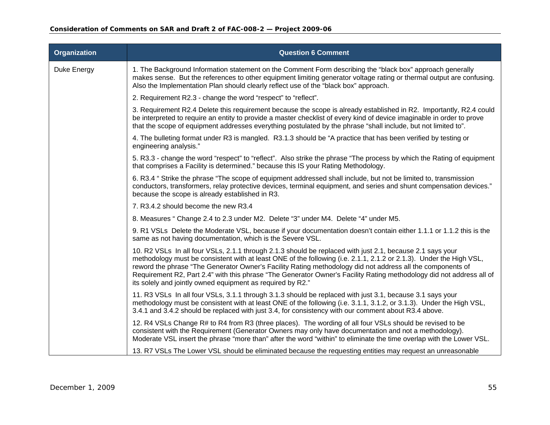| Organization | <b>Question 6 Comment</b>                                                                                                                                                                                                                                                                                                                                                                                                                                                                                                            |
|--------------|--------------------------------------------------------------------------------------------------------------------------------------------------------------------------------------------------------------------------------------------------------------------------------------------------------------------------------------------------------------------------------------------------------------------------------------------------------------------------------------------------------------------------------------|
| Duke Energy  | 1. The Background Information statement on the Comment Form describing the "black box" approach generally<br>makes sense. But the references to other equipment limiting generator voltage rating or thermal output are confusing.<br>Also the Implementation Plan should clearly reflect use of the "black box" approach.                                                                                                                                                                                                           |
|              | 2. Requirement R2.3 - change the word "respect" to "reflect".                                                                                                                                                                                                                                                                                                                                                                                                                                                                        |
|              | 3. Requirement R2.4 Delete this requirement because the scope is already established in R2. Importantly, R2.4 could<br>be interpreted to require an entity to provide a master checklist of every kind of device imaginable in order to prove<br>that the scope of equipment addresses everything postulated by the phrase "shall include, but not limited to".                                                                                                                                                                      |
|              | 4. The bulleting format under R3 is mangled. R3.1.3 should be "A practice that has been verified by testing or<br>engineering analysis."                                                                                                                                                                                                                                                                                                                                                                                             |
|              | 5. R3.3 - change the word "respect" to "reflect". Also strike the phrase "The process by which the Rating of equipment<br>that comprises a Facility is determined." because this IS your Rating Methodology.                                                                                                                                                                                                                                                                                                                         |
|              | 6. R3.4 " Strike the phrase "The scope of equipment addressed shall include, but not be limited to, transmission<br>conductors, transformers, relay protective devices, terminal equipment, and series and shunt compensation devices."<br>because the scope is already established in R3.                                                                                                                                                                                                                                           |
|              | 7. R3.4.2 should become the new R3.4                                                                                                                                                                                                                                                                                                                                                                                                                                                                                                 |
|              | 8. Measures " Change 2.4 to 2.3 under M2. Delete "3" under M4. Delete "4" under M5.                                                                                                                                                                                                                                                                                                                                                                                                                                                  |
|              | 9. R1 VSLs Delete the Moderate VSL, because if your documentation doesn't contain either 1.1.1 or 1.1.2 this is the<br>same as not having documentation, which is the Severe VSL.                                                                                                                                                                                                                                                                                                                                                    |
|              | 10. R2 VSLs In all four VSLs, 2.1.1 through 2.1.3 should be replaced with just 2.1, because 2.1 says your<br>methodology must be consistent with at least ONE of the following (i.e. 2.1.1, 2.1.2 or 2.1.3). Under the High VSL,<br>reword the phrase "The Generator Owner's Facility Rating methodology did not address all the components of<br>Requirement R2, Part 2.4" with this phrase "The Generator Owner's Facility Rating methodology did not address all of<br>its solely and jointly owned equipment as required by R2." |
|              | 11. R3 VSLs In all four VSLs, 3.1.1 through 3.1.3 should be replaced with just 3.1, because 3.1 says your<br>methodology must be consistent with at least ONE of the following (i.e. 3.1.1, 3.1.2, or 3.1.3). Under the High VSL,<br>3.4.1 and 3.4.2 should be replaced with just 3.4, for consistency with our comment about R3.4 above.                                                                                                                                                                                            |
|              | 12. R4 VSLs Change R# to R4 from R3 (three places). The wording of all four VSLs should be revised to be<br>consistent with the Requirement (Generator Owners may only have documentation and not a methodology).<br>Moderate VSL insert the phrase "more than" after the word "within" to eliminate the time overlap with the Lower VSL.                                                                                                                                                                                            |
|              | 13. R7 VSLs The Lower VSL should be eliminated because the requesting entities may request an unreasonable                                                                                                                                                                                                                                                                                                                                                                                                                           |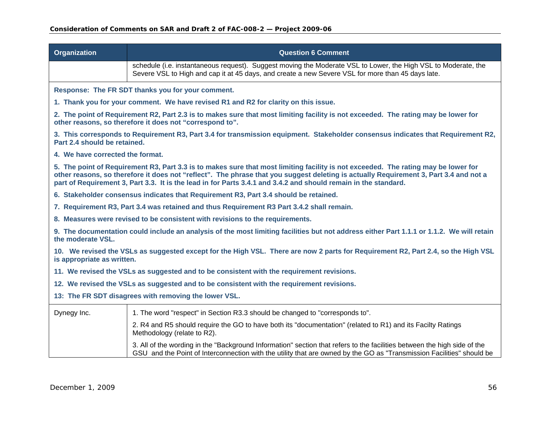| <b>Organization</b>                                                                                                                                             | <b>Question 6 Comment</b>                                                                                                                                                                                                                                                                                                                                                                      |  |  |
|-----------------------------------------------------------------------------------------------------------------------------------------------------------------|------------------------------------------------------------------------------------------------------------------------------------------------------------------------------------------------------------------------------------------------------------------------------------------------------------------------------------------------------------------------------------------------|--|--|
|                                                                                                                                                                 | schedule (i.e. instantaneous request). Suggest moving the Moderate VSL to Lower, the High VSL to Moderate, the<br>Severe VSL to High and cap it at 45 days, and create a new Severe VSL for more than 45 days late.                                                                                                                                                                            |  |  |
|                                                                                                                                                                 | Response: The FR SDT thanks you for your comment.                                                                                                                                                                                                                                                                                                                                              |  |  |
|                                                                                                                                                                 | 1. Thank you for your comment. We have revised R1 and R2 for clarity on this issue.                                                                                                                                                                                                                                                                                                            |  |  |
|                                                                                                                                                                 | 2. The point of Requirement R2, Part 2.3 is to makes sure that most limiting facility is not exceeded. The rating may be lower for<br>other reasons, so therefore it does not "correspond to".                                                                                                                                                                                                 |  |  |
| Part 2.4 should be retained.                                                                                                                                    | 3. This corresponds to Requirement R3, Part 3.4 for transmission equipment. Stakeholder consensus indicates that Requirement R2,                                                                                                                                                                                                                                                               |  |  |
| 4. We have corrected the format.                                                                                                                                |                                                                                                                                                                                                                                                                                                                                                                                                |  |  |
|                                                                                                                                                                 | 5. The point of Requirement R3, Part 3.3 is to makes sure that most limiting facility is not exceeded. The rating may be lower for<br>other reasons, so therefore it does not "reflect". The phrase that you suggest deleting is actually Requirement 3, Part 3.4 and not a<br>part of Requirement 3, Part 3.3. It is the lead in for Parts 3.4.1 and 3.4.2 and should remain in the standard. |  |  |
|                                                                                                                                                                 | 6. Stakeholder consensus indicates that Requirement R3, Part 3.4 should be retained.                                                                                                                                                                                                                                                                                                           |  |  |
|                                                                                                                                                                 | 7. Requirement R3, Part 3.4 was retained and thus Requirement R3 Part 3.4.2 shall remain.                                                                                                                                                                                                                                                                                                      |  |  |
|                                                                                                                                                                 | 8. Measures were revised to be consistent with revisions to the requirements.                                                                                                                                                                                                                                                                                                                  |  |  |
| 9. The documentation could include an analysis of the most limiting facilities but not address either Part 1.1.1 or 1.1.2. We will retain<br>the moderate VSL.  |                                                                                                                                                                                                                                                                                                                                                                                                |  |  |
| 10. We revised the VSLs as suggested except for the High VSL. There are now 2 parts for Requirement R2, Part 2.4, so the High VSL<br>is appropriate as written. |                                                                                                                                                                                                                                                                                                                                                                                                |  |  |
| 11. We revised the VSLs as suggested and to be consistent with the requirement revisions.                                                                       |                                                                                                                                                                                                                                                                                                                                                                                                |  |  |
| 12. We revised the VSLs as suggested and to be consistent with the requirement revisions.                                                                       |                                                                                                                                                                                                                                                                                                                                                                                                |  |  |
| 13: The FR SDT disagrees with removing the lower VSL.                                                                                                           |                                                                                                                                                                                                                                                                                                                                                                                                |  |  |
| Dynegy Inc.                                                                                                                                                     | 1. The word "respect" in Section R3.3 should be changed to "corresponds to".                                                                                                                                                                                                                                                                                                                   |  |  |
|                                                                                                                                                                 | 2. R4 and R5 should require the GO to have both its "documentation" (related to R1) and its Facilty Ratings<br>Methodology (relate to R2).                                                                                                                                                                                                                                                     |  |  |
|                                                                                                                                                                 | 3. All of the wording in the "Background Information" section that refers to the facilities between the high side of the<br>GSU and the Point of Interconnection with the utility that are owned by the GO as "Transmission Facilities" should be                                                                                                                                              |  |  |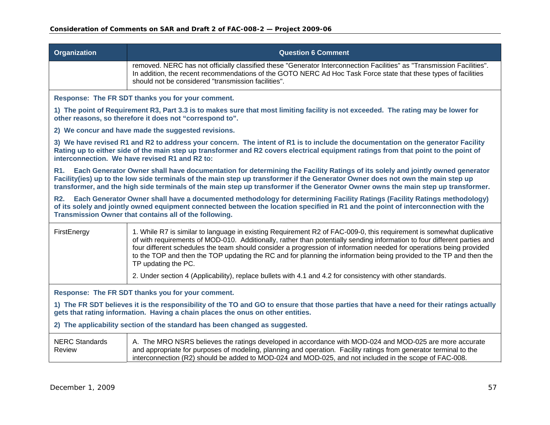| <b>Organization</b>                                                                                                                                                                                                          | <b>Question 6 Comment</b>                                                                                                                                                                                                                                                                                                                                                                                                                                                                                                                                                                                                          |  |  |
|------------------------------------------------------------------------------------------------------------------------------------------------------------------------------------------------------------------------------|------------------------------------------------------------------------------------------------------------------------------------------------------------------------------------------------------------------------------------------------------------------------------------------------------------------------------------------------------------------------------------------------------------------------------------------------------------------------------------------------------------------------------------------------------------------------------------------------------------------------------------|--|--|
|                                                                                                                                                                                                                              | removed. NERC has not officially classified these "Generator Interconnection Facilities" as "Transmission Facilities".<br>In addition, the recent recommendations of the GOTO NERC Ad Hoc Task Force state that these types of facilities<br>should not be considered "transmission facilities".                                                                                                                                                                                                                                                                                                                                   |  |  |
|                                                                                                                                                                                                                              | Response: The FR SDT thanks you for your comment.                                                                                                                                                                                                                                                                                                                                                                                                                                                                                                                                                                                  |  |  |
|                                                                                                                                                                                                                              | 1) The point of Requirement R3, Part 3.3 is to makes sure that most limiting facility is not exceeded. The rating may be lower for<br>other reasons, so therefore it does not "correspond to".                                                                                                                                                                                                                                                                                                                                                                                                                                     |  |  |
|                                                                                                                                                                                                                              | 2) We concur and have made the suggested revisions.                                                                                                                                                                                                                                                                                                                                                                                                                                                                                                                                                                                |  |  |
|                                                                                                                                                                                                                              | 3) We have revised R1 and R2 to address your concern. The intent of R1 is to include the documentation on the generator Facility<br>Rating up to either side of the main step up transformer and R2 covers electrical equipment ratings from that point to the point of<br>interconnection. We have revised R1 and R2 to:                                                                                                                                                                                                                                                                                                          |  |  |
| <b>R1.</b>                                                                                                                                                                                                                   | Each Generator Owner shall have documentation for determining the Facility Ratings of its solely and jointly owned generator<br>Facility(ies) up to the low side terminals of the main step up transformer if the Generator Owner does not own the main step up<br>transformer, and the high side terminals of the main step up transformer if the Generator Owner owns the main step up transformer.                                                                                                                                                                                                                              |  |  |
| <b>R2.</b>                                                                                                                                                                                                                   | Each Generator Owner shall have a documented methodology for determining Facility Ratings (Facility Ratings methodology)<br>of its solely and jointly owned equipment connected between the location specified in R1 and the point of interconnection with the<br>Transmission Owner that contains all of the following.                                                                                                                                                                                                                                                                                                           |  |  |
| FirstEnergy                                                                                                                                                                                                                  | 1. While R7 is similar to language in existing Requirement R2 of FAC-009-0, this requirement is somewhat duplicative<br>of with requirements of MOD-010. Additionally, rather than potentially sending information to four different parties and<br>four different schedules the team should consider a progression of information needed for operations being provided<br>to the TOP and then the TOP updating the RC and for planning the information being provided to the TP and then the<br>TP updating the PC.<br>2. Under section 4 (Applicability), replace bullets with 4.1 and 4.2 for consistency with other standards. |  |  |
|                                                                                                                                                                                                                              |                                                                                                                                                                                                                                                                                                                                                                                                                                                                                                                                                                                                                                    |  |  |
| Response: The FR SDT thanks you for your comment.                                                                                                                                                                            |                                                                                                                                                                                                                                                                                                                                                                                                                                                                                                                                                                                                                                    |  |  |
| 1) The FR SDT believes it is the responsibility of the TO and GO to ensure that those parties that have a need for their ratings actually<br>gets that rating information. Having a chain places the onus on other entities. |                                                                                                                                                                                                                                                                                                                                                                                                                                                                                                                                                                                                                                    |  |  |
| 2) The applicability section of the standard has been changed as suggested.                                                                                                                                                  |                                                                                                                                                                                                                                                                                                                                                                                                                                                                                                                                                                                                                                    |  |  |
| <b>NERC Standards</b><br>Review                                                                                                                                                                                              | A. The MRO NSRS believes the ratings developed in accordance with MOD-024 and MOD-025 are more accurate<br>and appropriate for purposes of modeling, planning and operation. Facility ratings from generator terminal to the<br>interconnection (R2) should be added to MOD-024 and MOD-025, and not included in the scope of FAC-008.                                                                                                                                                                                                                                                                                             |  |  |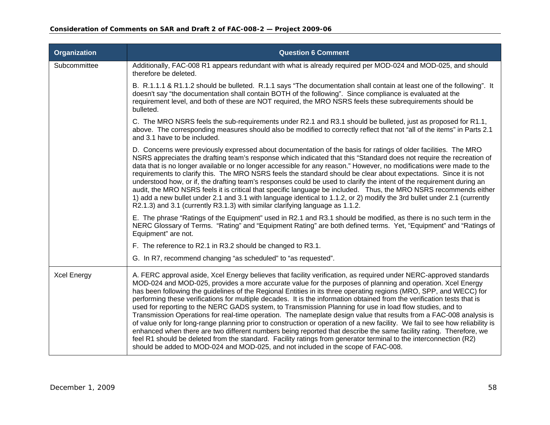| <b>Organization</b> | <b>Question 6 Comment</b>                                                                                                                                                                                                                                                                                                                                                                                                                                                                                                                                                                                                                                                                                                                                                                                                                                                                                                                                                                                                                                                                                                                                                               |
|---------------------|-----------------------------------------------------------------------------------------------------------------------------------------------------------------------------------------------------------------------------------------------------------------------------------------------------------------------------------------------------------------------------------------------------------------------------------------------------------------------------------------------------------------------------------------------------------------------------------------------------------------------------------------------------------------------------------------------------------------------------------------------------------------------------------------------------------------------------------------------------------------------------------------------------------------------------------------------------------------------------------------------------------------------------------------------------------------------------------------------------------------------------------------------------------------------------------------|
| Subcommittee        | Additionally, FAC-008 R1 appears redundant with what is already required per MOD-024 and MOD-025, and should<br>therefore be deleted.                                                                                                                                                                                                                                                                                                                                                                                                                                                                                                                                                                                                                                                                                                                                                                                                                                                                                                                                                                                                                                                   |
|                     | B. R.1.1.1 & R1.1.2 should be bulleted. R.1.1 says "The documentation shall contain at least one of the following". It<br>doesn't say "the documentation shall contain BOTH of the following". Since compliance is evaluated at the<br>requirement level, and both of these are NOT required, the MRO NSRS feels these subrequirements should be<br>bulleted.                                                                                                                                                                                                                                                                                                                                                                                                                                                                                                                                                                                                                                                                                                                                                                                                                           |
|                     | C. The MRO NSRS feels the sub-requirements under R2.1 and R3.1 should be bulleted, just as proposed for R1.1,<br>above. The corresponding measures should also be modified to correctly reflect that not "all of the items" in Parts 2.1<br>and 3.1 have to be included.                                                                                                                                                                                                                                                                                                                                                                                                                                                                                                                                                                                                                                                                                                                                                                                                                                                                                                                |
|                     | D. Concerns were previously expressed about documentation of the basis for ratings of older facilities. The MRO<br>NSRS appreciates the drafting team's response which indicated that this "Standard does not require the recreation of<br>data that is no longer available or no longer accessible for any reason." However, no modifications were made to the<br>requirements to clarify this. The MRO NSRS feels the standard should be clear about expectations. Since it is not<br>understood how, or if, the drafting team's responses could be used to clarify the intent of the requirement during an<br>audit, the MRO NSRS feels it is critical that specific language be included. Thus, the MRO NSRS recommends either<br>1) add a new bullet under 2.1 and 3.1 with language identical to 1.1.2, or 2) modify the 3rd bullet under 2.1 (currently<br>R2.1.3) and 3.1 (currently R3.1.3) with similar clarifying language as 1.1.2.                                                                                                                                                                                                                                         |
|                     | E. The phrase "Ratings of the Equipment" used in R2.1 and R3.1 should be modified, as there is no such term in the<br>NERC Glossary of Terms. "Rating" and "Equipment Rating" are both defined terms. Yet, "Equipment" and "Ratings of<br>Equipment" are not.                                                                                                                                                                                                                                                                                                                                                                                                                                                                                                                                                                                                                                                                                                                                                                                                                                                                                                                           |
|                     | F. The reference to R2.1 in R3.2 should be changed to R3.1.                                                                                                                                                                                                                                                                                                                                                                                                                                                                                                                                                                                                                                                                                                                                                                                                                                                                                                                                                                                                                                                                                                                             |
|                     | G. In R7, recommend changing "as scheduled" to "as requested".                                                                                                                                                                                                                                                                                                                                                                                                                                                                                                                                                                                                                                                                                                                                                                                                                                                                                                                                                                                                                                                                                                                          |
| <b>Xcel Energy</b>  | A. FERC approval aside, Xcel Energy believes that facility verification, as required under NERC-approved standards<br>MOD-024 and MOD-025, provides a more accurate value for the purposes of planning and operation. Xcel Energy<br>has been following the guidelines of the Regional Entities in its three operating regions (MRO, SPP, and WECC) for<br>performing these verifications for multiple decades. It is the information obtained from the verification tests that is<br>used for reporting to the NERC GADS system, to Transmission Planning for use in load flow studies, and to<br>Transmission Operations for real-time operation. The nameplate design value that results from a FAC-008 analysis is<br>of value only for long-range planning prior to construction or operation of a new facility. We fail to see how reliability is<br>enhanced when there are two different numbers being reported that describe the same facility rating. Therefore, we<br>feel R1 should be deleted from the standard. Facility ratings from generator terminal to the interconnection (R2)<br>should be added to MOD-024 and MOD-025, and not included in the scope of FAC-008. |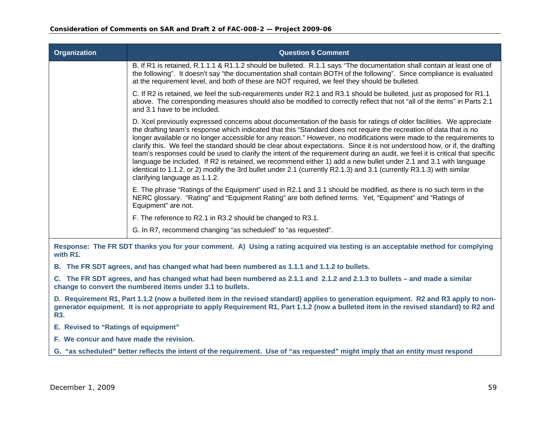| <b>Organization</b>                                                                                                                        | <b>Question 6 Comment</b>                                                                                                                                                                                                                                                                                                                                                                                                                                                                                                                                                                                                                                                                                                                                                                                                                                                                                        |  |
|--------------------------------------------------------------------------------------------------------------------------------------------|------------------------------------------------------------------------------------------------------------------------------------------------------------------------------------------------------------------------------------------------------------------------------------------------------------------------------------------------------------------------------------------------------------------------------------------------------------------------------------------------------------------------------------------------------------------------------------------------------------------------------------------------------------------------------------------------------------------------------------------------------------------------------------------------------------------------------------------------------------------------------------------------------------------|--|
|                                                                                                                                            | B. If R1 is retained, R.1.1.1 & R1.1.2 should be bulleted. R.1.1 says "The documentation shall contain at least one of<br>the following". It doesn't say "the documentation shall contain BOTH of the following". Since compliance is evaluated<br>at the requirement level, and both of these are NOT required, we feel they should be bulleted.                                                                                                                                                                                                                                                                                                                                                                                                                                                                                                                                                                |  |
|                                                                                                                                            | C. If R2 is retained, we feel the sub-requirements under R2.1 and R3.1 should be bulleted, just as proposed for R1.1<br>above. The corresponding measures should also be modified to correctly reflect that not "all of the items" in Parts 2.1<br>and 3.1 have to be included.                                                                                                                                                                                                                                                                                                                                                                                                                                                                                                                                                                                                                                  |  |
|                                                                                                                                            | D. Xcel previously expressed concerns about documentation of the basis for ratings of older facilities. We appreciate<br>the drafting team's response which indicated that this "Standard does not require the recreation of data that is no<br>longer available or no longer accessible for any reason." However, no modifications were made to the requirements to<br>clarify this. We feel the standard should be clear about expectations. Since it is not understood how, or if, the drafting<br>team's responses could be used to clarify the intent of the requirement during an audit, we feel it is critical that specific<br>language be included. If R2 is retained, we recommend either 1) add a new bullet under 2.1 and 3.1 with language<br>identical to 1.1.2, or 2) modify the 3rd bullet under 2.1 (currently R2.1.3) and 3.1 (currently R3.1.3) with similar<br>clarifying language as 1.1.2. |  |
|                                                                                                                                            | E. The phrase "Ratings of the Equipment" used in R2.1 and 3.1 should be modified, as there is no such term in the<br>NERC glossary. "Rating" and "Equipment Rating" are both defined terms. Yet, "Equipment" and "Ratings of<br>Equipment" are not.                                                                                                                                                                                                                                                                                                                                                                                                                                                                                                                                                                                                                                                              |  |
|                                                                                                                                            | F. The reference to R2.1 in R3.2 should be changed to R3.1.                                                                                                                                                                                                                                                                                                                                                                                                                                                                                                                                                                                                                                                                                                                                                                                                                                                      |  |
|                                                                                                                                            | G. In R7, recommend changing "as scheduled" to "as requested".                                                                                                                                                                                                                                                                                                                                                                                                                                                                                                                                                                                                                                                                                                                                                                                                                                                   |  |
| Response: The FR SDT thanks you for your comment. A) Using a rating acquired via testing is an acceptable method for complying<br>with R1. |                                                                                                                                                                                                                                                                                                                                                                                                                                                                                                                                                                                                                                                                                                                                                                                                                                                                                                                  |  |

**B. The FR SDT agrees, and has changed what had been numbered as 1.1.1 and 1.1.2 to bullets.** 

**C. The FR SDT agrees, and has changed what had been numbered as 2.1.1 and 2.1.2 and 2.1.3 to bullets – and made a similar change to convert the numbered items under 3.1 to bullets.** 

**D. Requirement R1, Part 1.1.2 (now a bulleted item in the revised standard) applies to generation equipment. R2 and R3 apply to nongenerator equipment. It is not appropriate to apply Requirement R1, Part 1.1.2 (now a bulleted item in the revised standard) to R2 and R3.** 

**E. Revised to "Ratings of equipment"** 

**F. We concur and have made the revision.** 

**G. "as scheduled" better reflects the intent of the requirement. Use of "as requested" might imply that an entity must respond**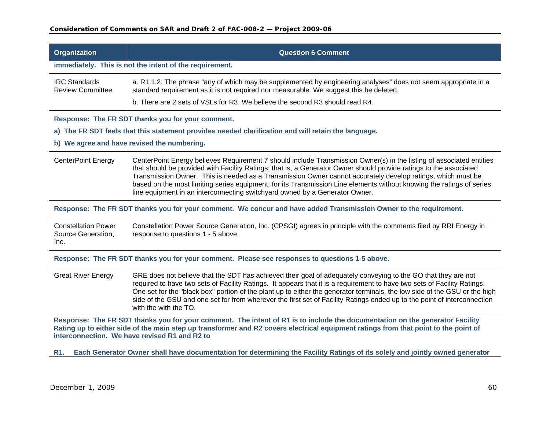| <b>Organization</b>                                                                                                                                                                                                                                                                                                  | <b>Question 6 Comment</b>                                                                                                                                                                                                                                                                                                                                                                                                                                                                                                                                         |  |
|----------------------------------------------------------------------------------------------------------------------------------------------------------------------------------------------------------------------------------------------------------------------------------------------------------------------|-------------------------------------------------------------------------------------------------------------------------------------------------------------------------------------------------------------------------------------------------------------------------------------------------------------------------------------------------------------------------------------------------------------------------------------------------------------------------------------------------------------------------------------------------------------------|--|
| immediately. This is not the intent of the requirement.                                                                                                                                                                                                                                                              |                                                                                                                                                                                                                                                                                                                                                                                                                                                                                                                                                                   |  |
| <b>IRC Standards</b><br><b>Review Committee</b>                                                                                                                                                                                                                                                                      | a. R1.1.2: The phrase "any of which may be supplemented by engineering analyses" does not seem appropriate in a<br>standard requirement as it is not required nor measurable. We suggest this be deleted.                                                                                                                                                                                                                                                                                                                                                         |  |
|                                                                                                                                                                                                                                                                                                                      | b. There are 2 sets of VSLs for R3. We believe the second R3 should read R4.                                                                                                                                                                                                                                                                                                                                                                                                                                                                                      |  |
|                                                                                                                                                                                                                                                                                                                      | Response: The FR SDT thanks you for your comment.                                                                                                                                                                                                                                                                                                                                                                                                                                                                                                                 |  |
|                                                                                                                                                                                                                                                                                                                      | a) The FR SDT feels that this statement provides needed clarification and will retain the language.                                                                                                                                                                                                                                                                                                                                                                                                                                                               |  |
|                                                                                                                                                                                                                                                                                                                      | b) We agree and have revised the numbering.                                                                                                                                                                                                                                                                                                                                                                                                                                                                                                                       |  |
| <b>CenterPoint Energy</b>                                                                                                                                                                                                                                                                                            | CenterPoint Energy believes Requirement 7 should include Transmission Owner(s) in the listing of associated entities<br>that should be provided with Facility Ratings; that is, a Generator Owner should provide ratings to the associated<br>Transmission Owner. This is needed as a Transmission Owner cannot accurately develop ratings, which must be<br>based on the most limiting series equipment, for its Transmission Line elements without knowing the ratings of series<br>line equipment in an interconnecting switchyard owned by a Generator Owner. |  |
|                                                                                                                                                                                                                                                                                                                      | Response: The FR SDT thanks you for your comment. We concur and have added Transmission Owner to the requirement.                                                                                                                                                                                                                                                                                                                                                                                                                                                 |  |
| <b>Constellation Power</b><br>Source Generation,<br>Inc.                                                                                                                                                                                                                                                             | Constellation Power Source Generation, Inc. (CPSGI) agrees in principle with the comments filed by RRI Energy in<br>response to questions 1 - 5 above.                                                                                                                                                                                                                                                                                                                                                                                                            |  |
| Response: The FR SDT thanks you for your comment. Please see responses to questions 1-5 above.                                                                                                                                                                                                                       |                                                                                                                                                                                                                                                                                                                                                                                                                                                                                                                                                                   |  |
| <b>Great River Energy</b>                                                                                                                                                                                                                                                                                            | GRE does not believe that the SDT has achieved their goal of adequately conveying to the GO that they are not<br>required to have two sets of Facility Ratings. It appears that it is a requirement to have two sets of Facility Ratings.<br>One set for the "black box" portion of the plant up to either the generator terminals, the low side of the GSU or the high<br>side of the GSU and one set for from wherever the first set of Facility Ratings ended up to the point of interconnection<br>with the with the TO.                                      |  |
| Response: The FR SDT thanks you for your comment. The intent of R1 is to include the documentation on the generator Facility<br>Rating up to either side of the main step up transformer and R2 covers electrical equipment ratings from that point to the point of<br>interconnection. We have revised R1 and R2 to |                                                                                                                                                                                                                                                                                                                                                                                                                                                                                                                                                                   |  |
| Each Generator Owner shall have documentation for determining the Facility Ratings of its solely and jointly owned generator<br>R1.                                                                                                                                                                                  |                                                                                                                                                                                                                                                                                                                                                                                                                                                                                                                                                                   |  |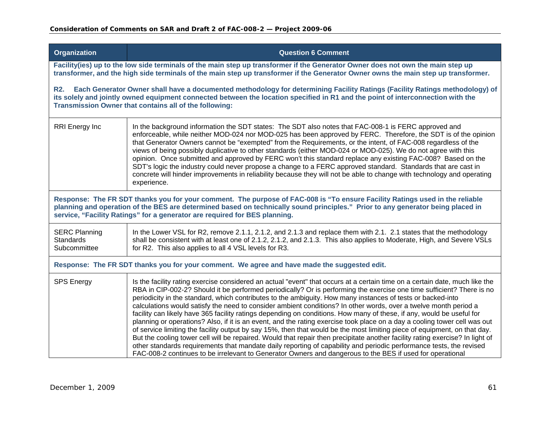| <b>Organization</b>                                                                                                                                                                                                                                                                                                                           | <b>Question 6 Comment</b>                                                                                                                                                                                                                                                                                                                                                                                                                                                                                                                                                                                                                                                                                                                                                                                                                                                                                                                                                                                                                                                                                                                                                                                                                       |
|-----------------------------------------------------------------------------------------------------------------------------------------------------------------------------------------------------------------------------------------------------------------------------------------------------------------------------------------------|-------------------------------------------------------------------------------------------------------------------------------------------------------------------------------------------------------------------------------------------------------------------------------------------------------------------------------------------------------------------------------------------------------------------------------------------------------------------------------------------------------------------------------------------------------------------------------------------------------------------------------------------------------------------------------------------------------------------------------------------------------------------------------------------------------------------------------------------------------------------------------------------------------------------------------------------------------------------------------------------------------------------------------------------------------------------------------------------------------------------------------------------------------------------------------------------------------------------------------------------------|
|                                                                                                                                                                                                                                                                                                                                               | Facility(ies) up to the low side terminals of the main step up transformer if the Generator Owner does not own the main step up<br>transformer, and the high side terminals of the main step up transformer if the Generator Owner owns the main step up transformer.                                                                                                                                                                                                                                                                                                                                                                                                                                                                                                                                                                                                                                                                                                                                                                                                                                                                                                                                                                           |
| Each Generator Owner shall have a documented methodology for determining Facility Ratings (Facility Ratings methodology) of<br><b>R2.</b><br>its solely and jointly owned equipment connected between the location specified in R1 and the point of interconnection with the<br>Transmission Owner that contains all of the following:        |                                                                                                                                                                                                                                                                                                                                                                                                                                                                                                                                                                                                                                                                                                                                                                                                                                                                                                                                                                                                                                                                                                                                                                                                                                                 |
| <b>RRI</b> Energy Inc                                                                                                                                                                                                                                                                                                                         | In the background information the SDT states: The SDT also notes that FAC-008-1 is FERC approved and<br>enforceable, while neither MOD-024 nor MOD-025 has been approved by FERC. Therefore, the SDT is of the opinion<br>that Generator Owners cannot be "exempted" from the Requirements, or the intent, of FAC-008 regardless of the<br>views of being possibly duplicative to other standards (either MOD-024 or MOD-025). We do not agree with this<br>opinion. Once submitted and approved by FERC won't this standard replace any existing FAC-008? Based on the<br>SDT's logic the industry could never propose a change to a FERC approved standard. Standards that are cast in<br>concrete will hinder improvements in reliability because they will not be able to change with technology and operating<br>experience.                                                                                                                                                                                                                                                                                                                                                                                                               |
| Response: The FR SDT thanks you for your comment. The purpose of FAC-008 is "To ensure Facility Ratings used in the reliable<br>planning and operation of the BES are determined based on technically sound principles." Prior to any generator being placed in<br>service, "Facility Ratings" for a generator are required for BES planning. |                                                                                                                                                                                                                                                                                                                                                                                                                                                                                                                                                                                                                                                                                                                                                                                                                                                                                                                                                                                                                                                                                                                                                                                                                                                 |
| <b>SERC Planning</b><br><b>Standards</b><br>Subcommittee                                                                                                                                                                                                                                                                                      | In the Lower VSL for R2, remove 2.1.1, 2.1.2, and 2.1.3 and replace them with 2.1. 2.1 states that the methodology<br>shall be consistent with at least one of 2.1.2, 2.1.2, and 2.1.3. This also applies to Moderate, High, and Severe VSLs<br>for R2. This also applies to all 4 VSL levels for R3.                                                                                                                                                                                                                                                                                                                                                                                                                                                                                                                                                                                                                                                                                                                                                                                                                                                                                                                                           |
| Response: The FR SDT thanks you for your comment. We agree and have made the suggested edit.                                                                                                                                                                                                                                                  |                                                                                                                                                                                                                                                                                                                                                                                                                                                                                                                                                                                                                                                                                                                                                                                                                                                                                                                                                                                                                                                                                                                                                                                                                                                 |
| <b>SPS Energy</b>                                                                                                                                                                                                                                                                                                                             | Is the facility rating exercise considered an actual "event" that occurs at a certain time on a certain date, much like the<br>RBA in CIP-002-2? Should it be performed periodically? Or is performing the exercise one time sufficient? There is no<br>periodicity in the standard, which contributes to the ambiguity. How many instances of tests or backed-into<br>calculations would satisfy the need to consider ambient conditions? In other words, over a twelve month period a<br>facility can likely have 365 facility ratings depending on conditions. How many of these, if any, would be useful for<br>planning or operations? Also, if it is an event, and the rating exercise took place on a day a cooling tower cell was out<br>of service limiting the facility output by say 15%, then that would be the most limiting piece of equipment, on that day.<br>But the cooling tower cell will be repaired. Would that repair then precipitate another facility rating exercise? In light of<br>other standards requirements that mandate daily reporting of capability and periodic performance tests, the revised<br>FAC-008-2 continues to be irrelevant to Generator Owners and dangerous to the BES if used for operational |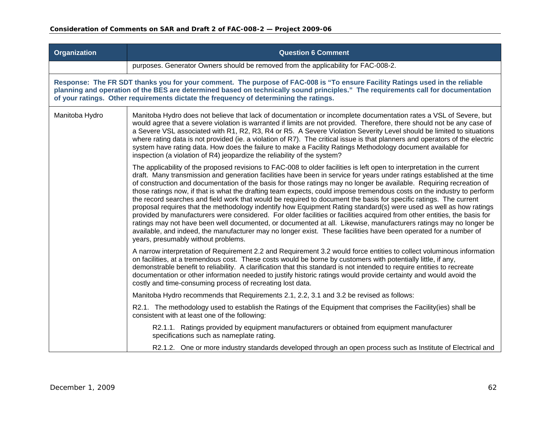| <b>Organization</b> | <b>Question 6 Comment</b>                                                                                                                                                                                                                                                                                                                                                                                                                                                                                                                                                                                                                                                                                                                                                                                                                                                                                                                                                                                                                                                                                                                                     |
|---------------------|---------------------------------------------------------------------------------------------------------------------------------------------------------------------------------------------------------------------------------------------------------------------------------------------------------------------------------------------------------------------------------------------------------------------------------------------------------------------------------------------------------------------------------------------------------------------------------------------------------------------------------------------------------------------------------------------------------------------------------------------------------------------------------------------------------------------------------------------------------------------------------------------------------------------------------------------------------------------------------------------------------------------------------------------------------------------------------------------------------------------------------------------------------------|
|                     | purposes. Generator Owners should be removed from the applicability for FAC-008-2.                                                                                                                                                                                                                                                                                                                                                                                                                                                                                                                                                                                                                                                                                                                                                                                                                                                                                                                                                                                                                                                                            |
|                     | Response: The FR SDT thanks you for your comment. The purpose of FAC-008 is "To ensure Facility Ratings used in the reliable<br>planning and operation of the BES are determined based on technically sound principles." The requirements call for documentation<br>of your ratings. Other requirements dictate the frequency of determining the ratings.                                                                                                                                                                                                                                                                                                                                                                                                                                                                                                                                                                                                                                                                                                                                                                                                     |
| Manitoba Hydro      | Manitoba Hydro does not believe that lack of documentation or incomplete documentation rates a VSL of Severe, but<br>would agree that a severe violation is warranted if limits are not provided. Therefore, there should not be any case of<br>a Severe VSL associated with R1, R2, R3, R4 or R5. A Severe Violation Severity Level should be limited to situations<br>where rating data is not provided (ie. a violation of R7). The critical issue is that planners and operators of the electric<br>system have rating data. How does the failure to make a Facility Ratings Methodology document available for<br>inspection (a violation of R4) jeopardize the reliability of the system?                                                                                                                                                                                                                                                                                                                                                                                                                                                               |
|                     | The applicability of the proposed revisions to FAC-008 to older facilities is left open to interpretation in the current<br>draft. Many transmission and generation facilities have been in service for years under ratings established at the time<br>of construction and documentation of the basis for those ratings may no longer be available. Requiring recreation of<br>those ratings now, if that is what the drafting team expects, could impose tremendous costs on the industry to perform<br>the record searches and field work that would be required to document the basis for specific ratings. The current<br>proposal requires that the methodology indentify how Equipment Rating standard(s) were used as well as how ratings<br>provided by manufacturers were considered. For older facilities or facilities acquired from other entities, the basis for<br>ratings may not have been well documented, or documented at all. Likewise, manufacturers ratings may no longer be<br>available, and indeed, the manufacturer may no longer exist. These facilities have been operated for a number of<br>years, presumably without problems. |
|                     | A narrow interpretation of Requirement 2.2 and Requirement 3.2 would force entities to collect voluminous information<br>on facilities, at a tremendous cost. These costs would be borne by customers with potentially little, if any,<br>demonstrable benefit to reliability. A clarification that this standard is not intended to require entities to recreate<br>documentation or other information needed to justify historic ratings would provide certainty and would avoid the<br>costly and time-consuming process of recreating lost data.                                                                                                                                                                                                                                                                                                                                                                                                                                                                                                                                                                                                          |
|                     | Manitoba Hydro recommends that Requirements 2.1, 2.2, 3.1 and 3.2 be revised as follows:                                                                                                                                                                                                                                                                                                                                                                                                                                                                                                                                                                                                                                                                                                                                                                                                                                                                                                                                                                                                                                                                      |
|                     | R2.1. The methodology used to establish the Ratings of the Equipment that comprises the Facility(ies) shall be<br>consistent with at least one of the following:                                                                                                                                                                                                                                                                                                                                                                                                                                                                                                                                                                                                                                                                                                                                                                                                                                                                                                                                                                                              |
|                     | R2.1.1. Ratings provided by equipment manufacturers or obtained from equipment manufacturer<br>specifications such as nameplate rating.                                                                                                                                                                                                                                                                                                                                                                                                                                                                                                                                                                                                                                                                                                                                                                                                                                                                                                                                                                                                                       |
|                     | R2.1.2. One or more industry standards developed through an open process such as Institute of Electrical and                                                                                                                                                                                                                                                                                                                                                                                                                                                                                                                                                                                                                                                                                                                                                                                                                                                                                                                                                                                                                                                  |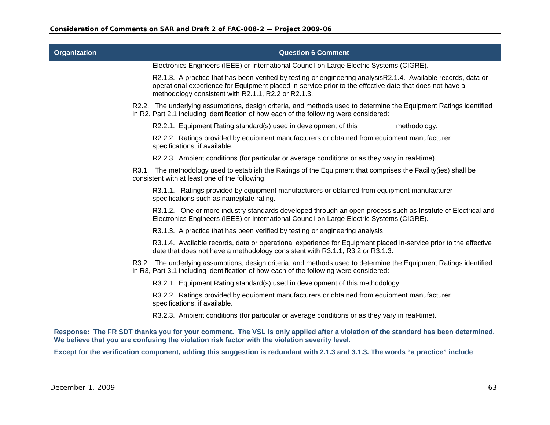| <b>Organization</b> | <b>Question 6 Comment</b>                                                                                                                                                                                                                                                        |
|---------------------|----------------------------------------------------------------------------------------------------------------------------------------------------------------------------------------------------------------------------------------------------------------------------------|
|                     | Electronics Engineers (IEEE) or International Council on Large Electric Systems (CIGRE).                                                                                                                                                                                         |
|                     | R2.1.3. A practice that has been verified by testing or engineering analysisR2.1.4. Available records, data or<br>operational experience for Equipment placed in-service prior to the effective date that does not have a<br>methodology consistent with R2.1.1, R2.2 or R2.1.3. |
|                     | R2.2. The underlying assumptions, design criteria, and methods used to determine the Equipment Ratings identified<br>in R2, Part 2.1 including identification of how each of the following were considered:                                                                      |
|                     | R2.2.1. Equipment Rating standard(s) used in development of this<br>methodology.                                                                                                                                                                                                 |
|                     | R2.2.2. Ratings provided by equipment manufacturers or obtained from equipment manufacturer<br>specifications, if available.                                                                                                                                                     |
|                     | R2.2.3. Ambient conditions (for particular or average conditions or as they vary in real-time).                                                                                                                                                                                  |
|                     | R3.1. The methodology used to establish the Ratings of the Equipment that comprises the Facility(ies) shall be<br>consistent with at least one of the following:                                                                                                                 |
|                     | R3.1.1. Ratings provided by equipment manufacturers or obtained from equipment manufacturer<br>specifications such as nameplate rating.                                                                                                                                          |
|                     | R3.1.2. One or more industry standards developed through an open process such as Institute of Electrical and<br>Electronics Engineers (IEEE) or International Council on Large Electric Systems (CIGRE).                                                                         |
|                     | R3.1.3. A practice that has been verified by testing or engineering analysis                                                                                                                                                                                                     |
|                     | R3.1.4. Available records, data or operational experience for Equipment placed in-service prior to the effective<br>date that does not have a methodology consistent with R3.1.1, R3.2 or R3.1.3.                                                                                |
|                     | R3.2. The underlying assumptions, design criteria, and methods used to determine the Equipment Ratings identified<br>in R3, Part 3.1 including identification of how each of the following were considered:                                                                      |
|                     | R3.2.1. Equipment Rating standard(s) used in development of this methodology.                                                                                                                                                                                                    |
|                     | R3.2.2. Ratings provided by equipment manufacturers or obtained from equipment manufacturer<br>specifications, if available.                                                                                                                                                     |
|                     | R3.2.3. Ambient conditions (for particular or average conditions or as they vary in real-time).                                                                                                                                                                                  |
|                     | Response: The FR SDT thanks you for your comment. The VSL is only applied after a violation of the standard has been determined.<br>We believe that you are confusing the violation risk factor with the violation severity level.                                               |
|                     | Except for the verification component, adding this suggestion is redundant with 2.1.3 and 3.1.3. The words "a practice" include                                                                                                                                                  |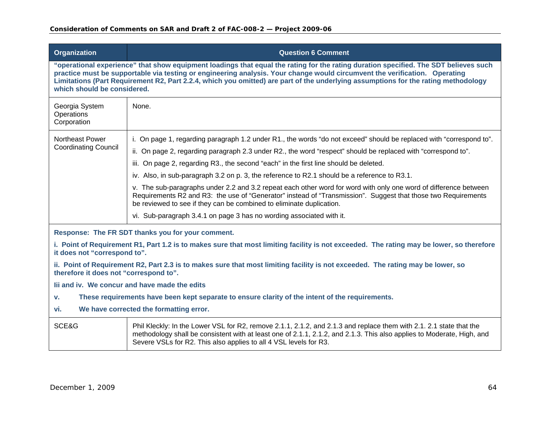| <b>Organization</b>                                                                                                                                                                                                                                                                                                                                                                                                                     | <b>Question 6 Comment</b>                                                                                                                                                                                                                                                                                          |
|-----------------------------------------------------------------------------------------------------------------------------------------------------------------------------------------------------------------------------------------------------------------------------------------------------------------------------------------------------------------------------------------------------------------------------------------|--------------------------------------------------------------------------------------------------------------------------------------------------------------------------------------------------------------------------------------------------------------------------------------------------------------------|
| "operational experience" that show equipment loadings that equal the rating for the rating duration specified. The SDT believes such<br>practice must be supportable via testing or engineering analysis. Your change would circumvent the verification. Operating<br>Limitations (Part Requirement R2, Part 2.2.4, which you omitted) are part of the underlying assumptions for the rating methodology<br>which should be considered. |                                                                                                                                                                                                                                                                                                                    |
| Georgia System<br>Operations<br>Corporation                                                                                                                                                                                                                                                                                                                                                                                             | None.                                                                                                                                                                                                                                                                                                              |
| Northeast Power                                                                                                                                                                                                                                                                                                                                                                                                                         | i. On page 1, regarding paragraph 1.2 under R1., the words "do not exceed" should be replaced with "correspond to".                                                                                                                                                                                                |
| <b>Coordinating Council</b>                                                                                                                                                                                                                                                                                                                                                                                                             | ii. On page 2, regarding paragraph 2.3 under R2., the word "respect" should be replaced with "correspond to".                                                                                                                                                                                                      |
|                                                                                                                                                                                                                                                                                                                                                                                                                                         | iii. On page 2, regarding R3., the second "each" in the first line should be deleted.                                                                                                                                                                                                                              |
|                                                                                                                                                                                                                                                                                                                                                                                                                                         | iv. Also, in sub-paragraph 3.2 on p. 3, the reference to R2.1 should be a reference to R3.1.                                                                                                                                                                                                                       |
|                                                                                                                                                                                                                                                                                                                                                                                                                                         | v. The sub-paragraphs under 2.2 and 3.2 repeat each other word for word with only one word of difference between<br>Requirements R2 and R3: the use of "Generator" instead of "Transmission". Suggest that those two Requirements<br>be reviewed to see if they can be combined to eliminate duplication.          |
|                                                                                                                                                                                                                                                                                                                                                                                                                                         | vi. Sub-paragraph 3.4.1 on page 3 has no wording associated with it.                                                                                                                                                                                                                                               |
| Response: The FR SDT thanks you for your comment.                                                                                                                                                                                                                                                                                                                                                                                       |                                                                                                                                                                                                                                                                                                                    |
| i. Point of Requirement R1, Part 1.2 is to makes sure that most limiting facility is not exceeded. The rating may be lower, so therefore<br>it does not "correspond to".                                                                                                                                                                                                                                                                |                                                                                                                                                                                                                                                                                                                    |
| ii. Point of Requirement R2, Part 2.3 is to makes sure that most limiting facility is not exceeded. The rating may be lower, so<br>therefore it does not "correspond to".                                                                                                                                                                                                                                                               |                                                                                                                                                                                                                                                                                                                    |
| lij and iv. We concur and have made the edits                                                                                                                                                                                                                                                                                                                                                                                           |                                                                                                                                                                                                                                                                                                                    |
| These requirements have been kept separate to ensure clarity of the intent of the requirements.<br>v.                                                                                                                                                                                                                                                                                                                                   |                                                                                                                                                                                                                                                                                                                    |
| We have corrected the formatting error.<br>vi.                                                                                                                                                                                                                                                                                                                                                                                          |                                                                                                                                                                                                                                                                                                                    |
| SCE&G                                                                                                                                                                                                                                                                                                                                                                                                                                   | Phil Kleckly: In the Lower VSL for R2, remove 2.1.1, 2.1.2, and 2.1.3 and replace them with 2.1. 2.1 state that the<br>methodology shall be consistent with at least one of 2.1.1, 2.1.2, and 2.1.3. This also applies to Moderate, High, and<br>Severe VSLs for R2. This also applies to all 4 VSL levels for R3. |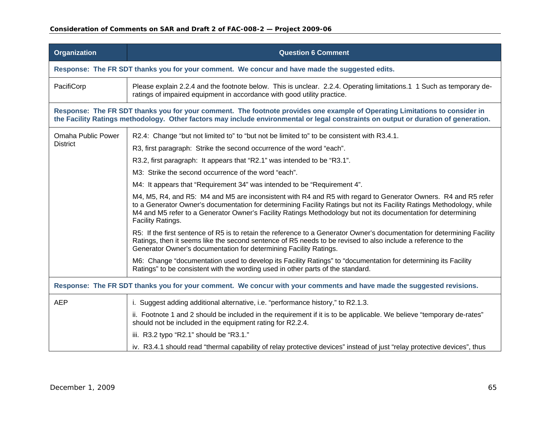| <b>Organization</b>                                                                                                                                                                                                                                                | <b>Question 6 Comment</b>                                                                                                                                                                                                                                                                                                                                                     |  |
|--------------------------------------------------------------------------------------------------------------------------------------------------------------------------------------------------------------------------------------------------------------------|-------------------------------------------------------------------------------------------------------------------------------------------------------------------------------------------------------------------------------------------------------------------------------------------------------------------------------------------------------------------------------|--|
|                                                                                                                                                                                                                                                                    | Response: The FR SDT thanks you for your comment. We concur and have made the suggested edits.                                                                                                                                                                                                                                                                                |  |
| PacifiCorp                                                                                                                                                                                                                                                         | Please explain 2.2.4 and the footnote below. This is unclear. 2.2.4. Operating limitations.1 1 Such as temporary de-<br>ratings of impaired equipment in accordance with good utility practice.                                                                                                                                                                               |  |
| Response: The FR SDT thanks you for your comment. The footnote provides one example of Operating Limitations to consider in<br>the Facility Ratings methodology. Other factors may include environmental or legal constraints on output or duration of generation. |                                                                                                                                                                                                                                                                                                                                                                               |  |
| <b>Omaha Public Power</b>                                                                                                                                                                                                                                          | R2.4: Change "but not limited to" to "but not be limited to" to be consistent with R3.4.1.                                                                                                                                                                                                                                                                                    |  |
| <b>District</b>                                                                                                                                                                                                                                                    | R3, first paragraph: Strike the second occurrence of the word "each".                                                                                                                                                                                                                                                                                                         |  |
|                                                                                                                                                                                                                                                                    | R3.2, first paragraph: It appears that "R2.1" was intended to be "R3.1".                                                                                                                                                                                                                                                                                                      |  |
|                                                                                                                                                                                                                                                                    | M3: Strike the second occurrence of the word "each".                                                                                                                                                                                                                                                                                                                          |  |
|                                                                                                                                                                                                                                                                    | M4: It appears that "Requirement 34" was intended to be "Requirement 4".                                                                                                                                                                                                                                                                                                      |  |
|                                                                                                                                                                                                                                                                    | M4, M5, R4, and R5: M4 and M5 are inconsistent with R4 and R5 with regard to Generator Owners. R4 and R5 refer<br>to a Generator Owner's documentation for determining Facility Ratings but not its Facility Ratings Methodology, while<br>M4 and M5 refer to a Generator Owner's Facility Ratings Methodology but not its documentation for determining<br>Facility Ratings. |  |
|                                                                                                                                                                                                                                                                    | R5: If the first sentence of R5 is to retain the reference to a Generator Owner's documentation for determining Facility<br>Ratings, then it seems like the second sentence of R5 needs to be revised to also include a reference to the<br>Generator Owner's documentation for determining Facility Ratings.                                                                 |  |
|                                                                                                                                                                                                                                                                    | M6: Change "documentation used to develop its Facility Ratings" to "documentation for determining its Facility<br>Ratings" to be consistent with the wording used in other parts of the standard.                                                                                                                                                                             |  |
| Response: The FR SDT thanks you for your comment. We concur with your comments and have made the suggested revisions.                                                                                                                                              |                                                                                                                                                                                                                                                                                                                                                                               |  |
| <b>AEP</b>                                                                                                                                                                                                                                                         | i. Suggest adding additional alternative, i.e. "performance history," to R2.1.3.                                                                                                                                                                                                                                                                                              |  |
|                                                                                                                                                                                                                                                                    | ii. Footnote 1 and 2 should be included in the requirement if it is to be applicable. We believe "temporary de-rates"<br>should not be included in the equipment rating for R2.2.4.                                                                                                                                                                                           |  |
|                                                                                                                                                                                                                                                                    | iii. R3.2 typo "R2.1" should be "R3.1."                                                                                                                                                                                                                                                                                                                                       |  |
|                                                                                                                                                                                                                                                                    | iv. R3.4.1 should read "thermal capability of relay protective devices" instead of just "relay protective devices", thus                                                                                                                                                                                                                                                      |  |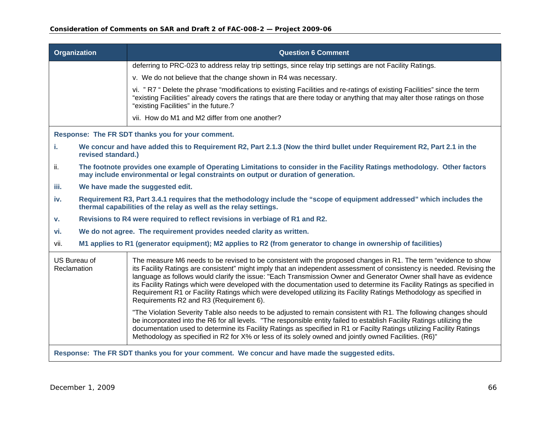|                                                                                                | Organization       | <b>Question 6 Comment</b>                                                                                                                                                                                                                                                                                                                                                                                                                                                                                                                                                                                                                                 |
|------------------------------------------------------------------------------------------------|--------------------|-----------------------------------------------------------------------------------------------------------------------------------------------------------------------------------------------------------------------------------------------------------------------------------------------------------------------------------------------------------------------------------------------------------------------------------------------------------------------------------------------------------------------------------------------------------------------------------------------------------------------------------------------------------|
|                                                                                                |                    | deferring to PRC-023 to address relay trip settings, since relay trip settings are not Facility Ratings.                                                                                                                                                                                                                                                                                                                                                                                                                                                                                                                                                  |
|                                                                                                |                    | v. We do not believe that the change shown in R4 was necessary.                                                                                                                                                                                                                                                                                                                                                                                                                                                                                                                                                                                           |
|                                                                                                |                    | vi. "R7 " Delete the phrase "modifications to existing Facilities and re-ratings of existing Facilities" since the term<br>"existing Facilities" already covers the ratings that are there today or anything that may alter those ratings on those<br>"existing Facilities" in the future.?                                                                                                                                                                                                                                                                                                                                                               |
|                                                                                                |                    | vii. How do M1 and M2 differ from one another?                                                                                                                                                                                                                                                                                                                                                                                                                                                                                                                                                                                                            |
|                                                                                                |                    | Response: The FR SDT thanks you for your comment.                                                                                                                                                                                                                                                                                                                                                                                                                                                                                                                                                                                                         |
| i.                                                                                             | revised standard.) | We concur and have added this to Requirement R2, Part 2.1.3 (Now the third bullet under Requirement R2, Part 2.1 in the                                                                                                                                                                                                                                                                                                                                                                                                                                                                                                                                   |
| ii.                                                                                            |                    | The footnote provides one example of Operating Limitations to consider in the Facility Ratings methodology. Other factors<br>may include environmental or legal constraints on output or duration of generation.                                                                                                                                                                                                                                                                                                                                                                                                                                          |
| iii.                                                                                           |                    | We have made the suggested edit.                                                                                                                                                                                                                                                                                                                                                                                                                                                                                                                                                                                                                          |
| iv.                                                                                            |                    | Requirement R3, Part 3.4.1 requires that the methodology include the "scope of equipment addressed" which includes the<br>thermal capabilities of the relay as well as the relay settings.                                                                                                                                                                                                                                                                                                                                                                                                                                                                |
| v.                                                                                             |                    | Revisions to R4 were required to reflect revisions in verbiage of R1 and R2.                                                                                                                                                                                                                                                                                                                                                                                                                                                                                                                                                                              |
| vi.                                                                                            |                    | We do not agree. The requirement provides needed clarity as written.                                                                                                                                                                                                                                                                                                                                                                                                                                                                                                                                                                                      |
| vii.                                                                                           |                    | M1 applies to R1 (generator equipment); M2 applies to R2 (from generator to change in ownership of facilities)                                                                                                                                                                                                                                                                                                                                                                                                                                                                                                                                            |
| Reclamation                                                                                    | US Bureau of       | The measure M6 needs to be revised to be consistent with the proposed changes in R1. The term "evidence to show<br>its Facility Ratings are consistent" might imply that an independent assessment of consistency is needed. Revising the<br>language as follows would clarify the issue: "Each Transmission Owner and Generator Owner shall have as evidence<br>its Facility Ratings which were developed with the documentation used to determine its Facility Ratings as specified in<br>Requirement R1 or Facility Ratings which were developed utilizing its Facility Ratings Methodology as specified in<br>Requirements R2 and R3 (Requirement 6). |
|                                                                                                |                    | "The Violation Severity Table also needs to be adjusted to remain consistent with R1. The following changes should<br>be incorporated into the R6 for all levels. "The responsible entity failed to establish Facility Ratings utilizing the<br>documentation used to determine its Facility Ratings as specified in R1 or Facilty Ratings utilizing Facility Ratings<br>Methodology as specified in R2 for X% or less of its solely owned and jointly owned Facilities. (R6)"                                                                                                                                                                            |
| Response: The FR SDT thanks you for your comment. We concur and have made the suggested edits. |                    |                                                                                                                                                                                                                                                                                                                                                                                                                                                                                                                                                                                                                                                           |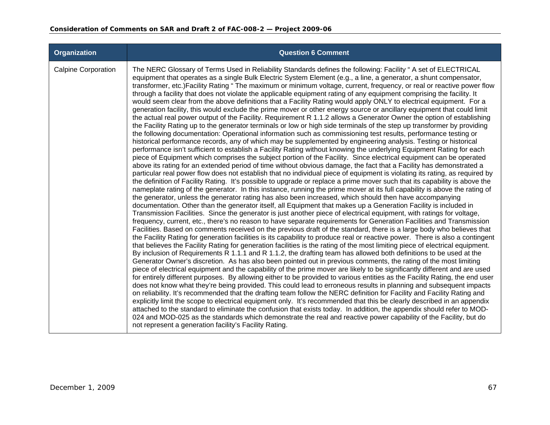| <b>Organization</b>        | <b>Question 6 Comment</b>                                                                                                                                                                                                                                                                                                                                                                                                                                                                                                                                                                                                                                                                                                                                                                                                                                                                                                                                                                                                                                                                                                                                                                                                                                                                                                                                                                                                                                                                                                                                                                                                                                                                                                                                                                                                                                                                                                                                                                                                                                                                                                                                                                                                                                                                                                                                                                                                                                                                                                                                                                                                                                                                                                                                                                                                                                                                                                                                                                                                                                                                                                                                                                                                                                                                                                                                                                                                                                                                                                                                                                                                                                                                                                                                                                                                                                                                                                                                                                                                                                            |
|----------------------------|----------------------------------------------------------------------------------------------------------------------------------------------------------------------------------------------------------------------------------------------------------------------------------------------------------------------------------------------------------------------------------------------------------------------------------------------------------------------------------------------------------------------------------------------------------------------------------------------------------------------------------------------------------------------------------------------------------------------------------------------------------------------------------------------------------------------------------------------------------------------------------------------------------------------------------------------------------------------------------------------------------------------------------------------------------------------------------------------------------------------------------------------------------------------------------------------------------------------------------------------------------------------------------------------------------------------------------------------------------------------------------------------------------------------------------------------------------------------------------------------------------------------------------------------------------------------------------------------------------------------------------------------------------------------------------------------------------------------------------------------------------------------------------------------------------------------------------------------------------------------------------------------------------------------------------------------------------------------------------------------------------------------------------------------------------------------------------------------------------------------------------------------------------------------------------------------------------------------------------------------------------------------------------------------------------------------------------------------------------------------------------------------------------------------------------------------------------------------------------------------------------------------------------------------------------------------------------------------------------------------------------------------------------------------------------------------------------------------------------------------------------------------------------------------------------------------------------------------------------------------------------------------------------------------------------------------------------------------------------------------------------------------------------------------------------------------------------------------------------------------------------------------------------------------------------------------------------------------------------------------------------------------------------------------------------------------------------------------------------------------------------------------------------------------------------------------------------------------------------------------------------------------------------------------------------------------------------------------------------------------------------------------------------------------------------------------------------------------------------------------------------------------------------------------------------------------------------------------------------------------------------------------------------------------------------------------------------------------------------------------------------------------------------------------------------------------|
| <b>Calpine Corporation</b> | The NERC Glossary of Terms Used in Reliability Standards defines the following: Facility " A set of ELECTRICAL<br>equipment that operates as a single Bulk Electric System Element (e.g., a line, a generator, a shunt compensator,<br>transformer, etc.)Facility Rating "The maximum or minimum voltage, current, frequency, or real or reactive power flow<br>through a facility that does not violate the applicable equipment rating of any equipment comprising the facility. It<br>would seem clear from the above definitions that a Facility Rating would apply ONLY to electrical equipment. For a<br>generation facility, this would exclude the prime mover or other energy source or ancillary equipment that could limit<br>the actual real power output of the Facility. Requirement R 1.1.2 allows a Generator Owner the option of establishing<br>the Facility Rating up to the generator terminals or low or high side terminals of the step up transformer by providing<br>the following documentation: Operational information such as commissioning test results, performance testing or<br>historical performance records, any of which may be supplemented by engineering analysis. Testing or historical<br>performance isn't sufficient to establish a Facility Rating without knowing the underlying Equipment Rating for each<br>piece of Equipment which comprises the subject portion of the Facility. Since electrical equipment can be operated<br>above its rating for an extended period of time without obvious damage, the fact that a Facility has demonstrated a<br>particular real power flow does not establish that no individual piece of equipment is violating its rating, as required by<br>the definition of Facility Rating. It's possible to upgrade or replace a prime mover such that its capability is above the<br>nameplate rating of the generator. In this instance, running the prime mover at its full capability is above the rating of<br>the generator, unless the generator rating has also been increased, which should then have accompanying<br>documentation. Other than the generator itself, all Equipment that makes up a Generation Facility is included in<br>Transmission Facilities. Since the generator is just another piece of electrical equipment, with ratings for voltage,<br>frequency, current, etc., there's no reason to have separate requirements for Generation Facilities and Transmission<br>Facilities. Based on comments received on the previous draft of the standard, there is a large body who believes that<br>the Facility Rating for generation facilities is its capability to produce real or reactive power. There is also a contingent<br>that believes the Facility Rating for generation facilities is the rating of the most limiting piece of electrical equipment.<br>By inclusion of Requirements R 1.1.1 and R 1.1.2, the drafting team has allowed both definitions to be used at the<br>Generator Owner's discretion. As has also been pointed out in previous comments, the rating of the most limiting<br>piece of electrical equipment and the capability of the prime mover are likely to be significantly different and are used<br>for entirely different purposes. By allowing either to be provided to various entities as the Facility Rating, the end user<br>does not know what they're being provided. This could lead to erroneous results in planning and subsequent impacts<br>on reliability. It's recommended that the drafting team follow the NERC definition for Facility and Facility Rating and<br>explicitly limit the scope to electrical equipment only. It's recommended that this be clearly described in an appendix<br>attached to the standard to eliminate the confusion that exists today. In addition, the appendix should refer to MOD-<br>024 and MOD-025 as the standards which demonstrate the real and reactive power capability of the Facility, but do<br>not represent a generation facility's Facility Rating. |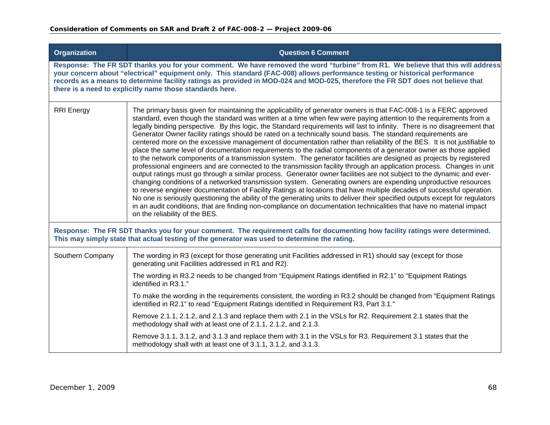| <b>Organization</b> | <b>Question 6 Comment</b>                                                                                                                                                                                                                                                                                                                                                                                                                                                                                                                                                                                                                                                                                                                                                                                                                                                                                                                                                                                                                                                                                                                                                                                                                                                                                                                                                                                                                                                                                                                                                                                                                             |
|---------------------|-------------------------------------------------------------------------------------------------------------------------------------------------------------------------------------------------------------------------------------------------------------------------------------------------------------------------------------------------------------------------------------------------------------------------------------------------------------------------------------------------------------------------------------------------------------------------------------------------------------------------------------------------------------------------------------------------------------------------------------------------------------------------------------------------------------------------------------------------------------------------------------------------------------------------------------------------------------------------------------------------------------------------------------------------------------------------------------------------------------------------------------------------------------------------------------------------------------------------------------------------------------------------------------------------------------------------------------------------------------------------------------------------------------------------------------------------------------------------------------------------------------------------------------------------------------------------------------------------------------------------------------------------------|
|                     | Response: The FR SDT thanks you for your comment. We have removed the word "turbine" from R1. We believe that this will address<br>your concern about "electrical" equipment only. This standard (FAC-008) allows performance testing or historical performance<br>records as a means to determine facility ratings as provided in MOD-024 and MOD-025, therefore the FR SDT does not believe that<br>there is a need to explicitly name those standards here.                                                                                                                                                                                                                                                                                                                                                                                                                                                                                                                                                                                                                                                                                                                                                                                                                                                                                                                                                                                                                                                                                                                                                                                        |
| <b>RRI Energy</b>   | The primary basis given for maintaining the applicability of generator owners is that FAC-008-1 is a FERC approved<br>standard, even though the standard was written at a time when few were paying attention to the requirements from a<br>legally binding perspective. By this logic, the Standard requirements will last to infinity. There is no disagreement that<br>Generator Owner facility ratings should be rated on a technically sound basis. The standard requirements are<br>centered more on the excessive management of documentation rather than reliability of the BES. It is not justifiable to<br>place the same level of documentation requirements to the radial components of a generator owner as those applied<br>to the network components of a transmission system. The generator facilities are designed as projects by registered<br>professional engineers and are connected to the transmission facility through an application process. Changes in unit<br>output ratings must go through a similar process. Generator owner facilities are not subject to the dynamic and ever-<br>changing conditions of a networked transmission system. Generating owners are expending unproductive resources<br>to reverse engineer documentation of Facility Ratings at locations that have multiple decades of successful operation.<br>No one is seriously questioning the ability of the generating units to deliver their specified outputs except for regulators<br>in an audit conditions, that are finding non-compliance on documentation technicalities that have no material impact<br>on the reliability of the BES. |
|                     | Response: The FR SDT thanks you for your comment. The requirement calls for documenting how facility ratings were determined.<br>This may simply state that actual testing of the generator was used to determine the rating.                                                                                                                                                                                                                                                                                                                                                                                                                                                                                                                                                                                                                                                                                                                                                                                                                                                                                                                                                                                                                                                                                                                                                                                                                                                                                                                                                                                                                         |
| Southern Company    | The wording in R3 (except for those generating unit Facilities addressed in R1) should say (except for those<br>generating unit Facilities addressed in R1 and R2).                                                                                                                                                                                                                                                                                                                                                                                                                                                                                                                                                                                                                                                                                                                                                                                                                                                                                                                                                                                                                                                                                                                                                                                                                                                                                                                                                                                                                                                                                   |
|                     | The wording in R3.2 needs to be changed from "Equipment Ratings identified in R2.1" to "Equipment Ratings"<br>identified in R3.1."                                                                                                                                                                                                                                                                                                                                                                                                                                                                                                                                                                                                                                                                                                                                                                                                                                                                                                                                                                                                                                                                                                                                                                                                                                                                                                                                                                                                                                                                                                                    |
|                     | To make the wording in the requirements consistent, the wording in R3.2 should be changed from "Equipment Ratings"<br>identified in R2.1" to read "Equipment Ratings identified in Requirement R3, Part 3.1."                                                                                                                                                                                                                                                                                                                                                                                                                                                                                                                                                                                                                                                                                                                                                                                                                                                                                                                                                                                                                                                                                                                                                                                                                                                                                                                                                                                                                                         |
|                     | Remove 2.1.1, 2.1.2, and 2.1.3 and replace them with 2.1 in the VSLs for R2. Requirement 2.1 states that the<br>methodology shall with at least one of 2.1.1, 2.1.2, and 2.1.3.                                                                                                                                                                                                                                                                                                                                                                                                                                                                                                                                                                                                                                                                                                                                                                                                                                                                                                                                                                                                                                                                                                                                                                                                                                                                                                                                                                                                                                                                       |
|                     | Remove 3.1.1, 3.1.2, and 3.1.3 and replace them with 3.1 in the VSLs for R3. Requirement 3.1 states that the<br>methodology shall with at least one of 3.1.1, 3.1.2, and 3.1.3.                                                                                                                                                                                                                                                                                                                                                                                                                                                                                                                                                                                                                                                                                                                                                                                                                                                                                                                                                                                                                                                                                                                                                                                                                                                                                                                                                                                                                                                                       |